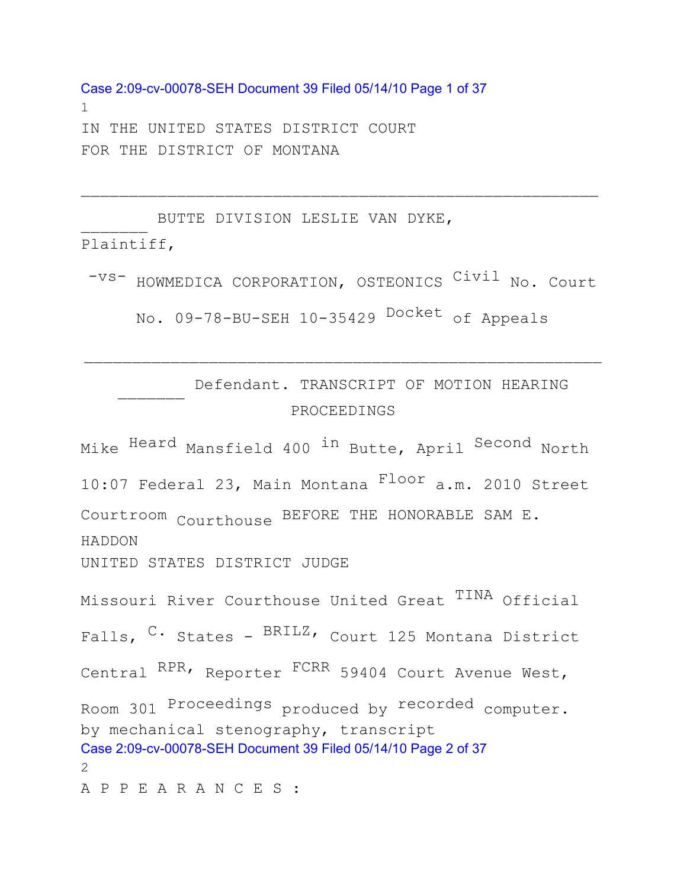Case 2:09-cv-00078-SEH Document 39 Filed 05/14/10 Page 1 of 37 1 IN THE UNITED STATES DISTRICT COURT FOR THE DISTRICT OF MONTANA

 $\frac{1}{2}$ BUTTE DIVISION LESLIE VAN DYKE, Plaintiff,

-VS- HOWMEDICA CORPORATION, OSTEONICS Civil No. Court No. 09-78-BU-SEH 10-35429 <sup>Docket</sup> of Appeals

 $\overline{\phantom{a}}$  ,  $\overline{\phantom{a}}$  ,  $\overline{\phantom{a}}$  ,  $\overline{\phantom{a}}$  ,  $\overline{\phantom{a}}$  ,  $\overline{\phantom{a}}$  ,  $\overline{\phantom{a}}$  ,  $\overline{\phantom{a}}$  ,  $\overline{\phantom{a}}$  ,  $\overline{\phantom{a}}$  ,  $\overline{\phantom{a}}$  ,  $\overline{\phantom{a}}$  ,  $\overline{\phantom{a}}$  ,  $\overline{\phantom{a}}$  ,  $\overline{\phantom{a}}$  ,  $\overline{\phantom{a}}$ 

 $\frac{1}{2}$ Defendant. TRANSCRIPT OF MOTION HEARING PROCEEDINGS

 $\overline{\phantom{a}}$  ,  $\overline{\phantom{a}}$  ,  $\overline{\phantom{a}}$  ,  $\overline{\phantom{a}}$  ,  $\overline{\phantom{a}}$  ,  $\overline{\phantom{a}}$  ,  $\overline{\phantom{a}}$  ,  $\overline{\phantom{a}}$  ,  $\overline{\phantom{a}}$  ,  $\overline{\phantom{a}}$  ,  $\overline{\phantom{a}}$  ,  $\overline{\phantom{a}}$  ,  $\overline{\phantom{a}}$  ,  $\overline{\phantom{a}}$  ,  $\overline{\phantom{a}}$  ,  $\overline{\phantom{a}}$ 

Mike Heard Mansfield 400 in Butte, April Second North 10:07 Federal 23, Main Montana Floor a.m. 2010 Street Courtroom Courthouse BEFORE THE HONORABLE SAM E. HADDON UNITED STATES DISTRICT JUDGE Missouri River Courthouse United Great TINA Official Falls, <sup>C.</sup> States - <sup>BRILZ</sup>, Court 125 Montana District Central <sup>RPR,</sup> Reporter <sup>FCRR</sup> 59404 Court Avenue West, Room 301 Proceedings produced by recorded computer. by mechanical stenography, transcript Case 2:09-cv-00078-SEH Document 39 Filed 05/14/10 Page 2 of 37  $\mathcal{P}$ A P P E A R A N C E S :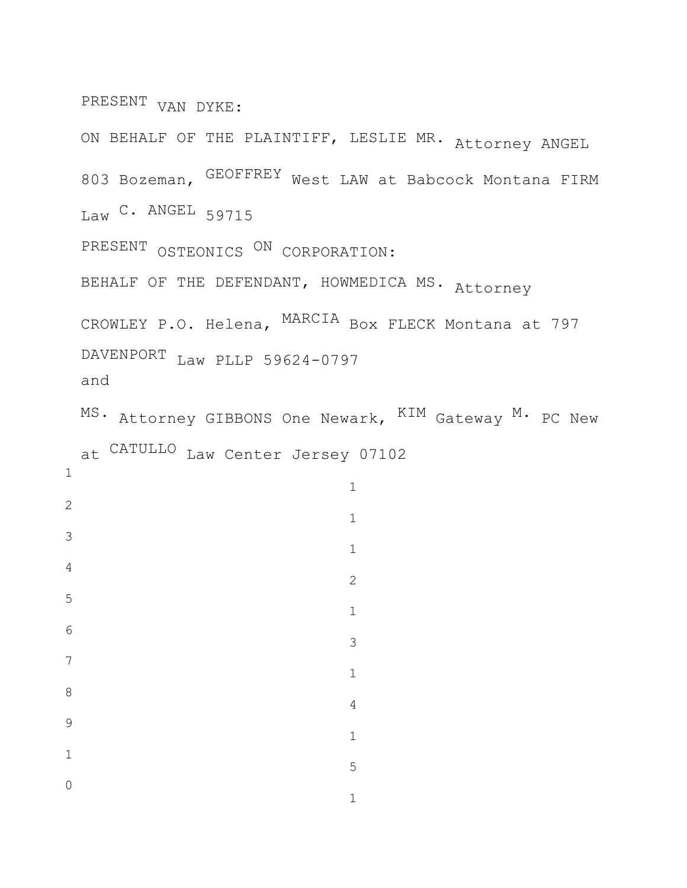PRESENT VAN DYKE:

ON BEHALF OF THE PLAINTIFF, LESLIE MR. Attorney ANGEL Bozeman, GEOFFREY West LAW at Babcock Montana FIRM Law C. ANGEL 59715 PRESENT OSTEONICS <sup>ON</sup> CORPORATION: BEHALF OF THE DEFENDANT, HOWMEDICA MS. Attorney CROWLEY P.O. Helena, MARCIA Box FLECK Montana at 797 DAVENPORT Law PLLP 59624-0797 and MS. Attorney GIBBONS One Newark,  $^{\text{KIM}}$  Gateway  $^{\text{M}}\cdot$  PC New

at CATULLO Law Center Jersey 07102

|                | $\mathbf 1$    |
|----------------|----------------|
| $\sqrt{2}$     | $\mathbbm{1}$  |
| $\mathfrak{Z}$ | $\mathbbm{1}$  |
| $\overline{4}$ | $\mathbf{2}$   |
| 5              | $\mathbbm{1}$  |
| $\sqrt{6}$     | 3              |
| $\overline{7}$ | $\mathbbm{1}$  |
| 8              | $\overline{4}$ |
| 9              | $\mathbbm{1}$  |
| $\mathbbm{1}$  |                |
| $\mathbf 0$    | 5              |
|                | $\mathbbm{1}$  |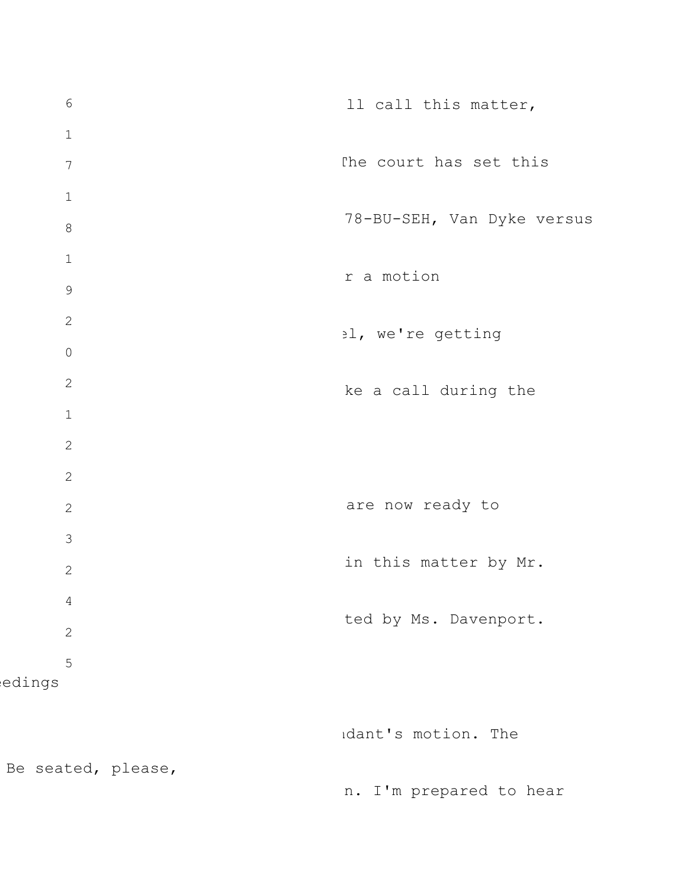6 1 7 1 8 1 9 2 0 2 1 2 2 2 3 2 4 2 5 edings Be seated, please, ll call this matter, The court has set this 78-BU-SEH, Van Dyke versus r a motion el, we're getting ke a call during the are now ready to in this matter by Mr. ted by Ms. Davenport. ndant's motion. The n. I'm prepared to hear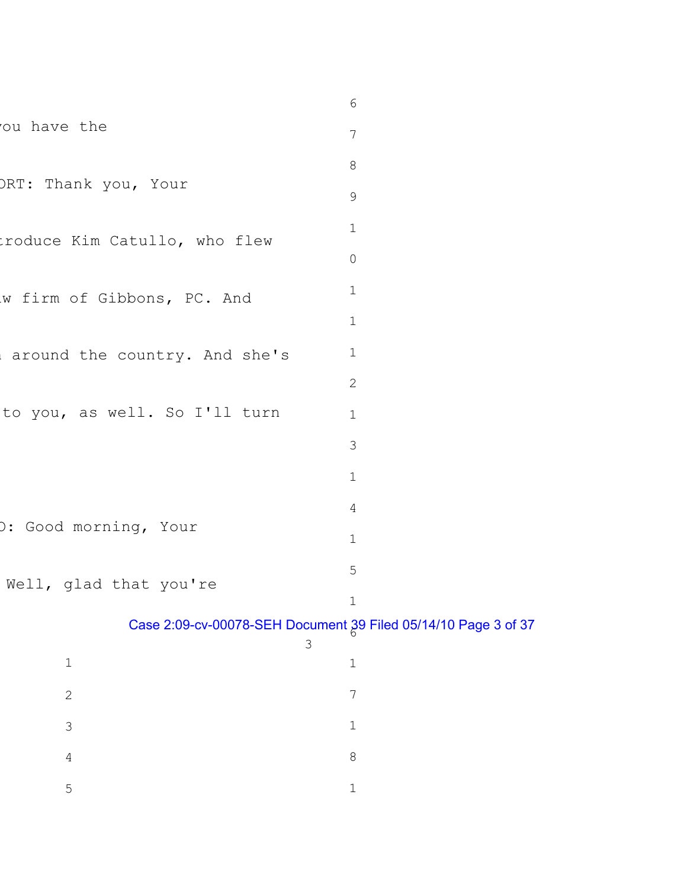|                               | 6                                                              |
|-------------------------------|----------------------------------------------------------------|
| ou have the                   | $7\phantom{.0}$                                                |
|                               | 8                                                              |
| ORT: Thank you, Your          | $\mathsf 9$                                                    |
| troduce Kim Catullo, who flew | $\mathbf 1$                                                    |
|                               | $\mathsf{O}$                                                   |
| w firm of Gibbons, PC. And    | $\mathbf 1$                                                    |
|                               | $\mathbf 1$                                                    |
| around the country. And she's | $\mathbf 1$                                                    |
|                               | $\mathbf{2}$                                                   |
| to you, as well. So I'll turn | $\mathbf 1$                                                    |
|                               | 3                                                              |
|                               | $\mathbf 1$                                                    |
|                               | $\overline{4}$                                                 |
| ): Good morning, Your         | $\mathbf 1$                                                    |
| Well, glad that you're        | 5                                                              |
|                               | $1\,$                                                          |
| 3                             | Case 2:09-cv-00078-SEH Document 29 Filed 05/14/10 Page 3 of 37 |
| $\mathbf 1$                   | $1\,$                                                          |
| $\sqrt{2}$                    | 7                                                              |
| $\mathcal{S}$                 | 1                                                              |
| $\sqrt{4}$                    | $\,8\,$                                                        |
| 5                             | $\mathbf 1$                                                    |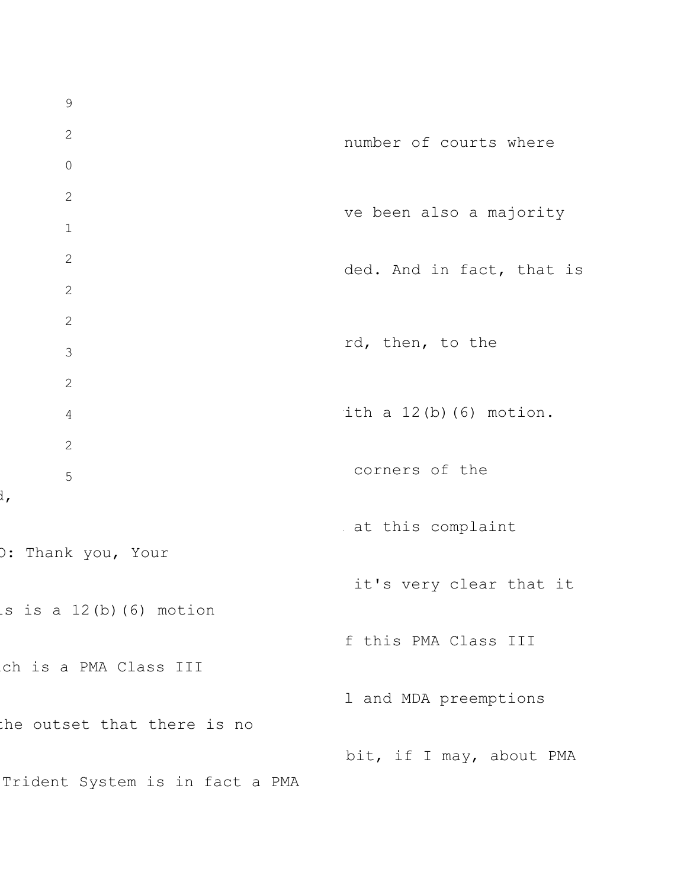9 2 0 2 1 2 2 2 3 2 4 2 5 O: Thank you, Your is is a  $12(b)$  (6) motion ich is a PMA Class III the outset that there is no Trident System is in fact a PMA number of courts where ve been also a majority ded. And in fact, that is rd, then, to the ith a  $12(b)$  (6) motion. corners of the at this complaint it's very clear that it f this PMA Class III l and MDA preemptions bit, if I may, about PMA

d,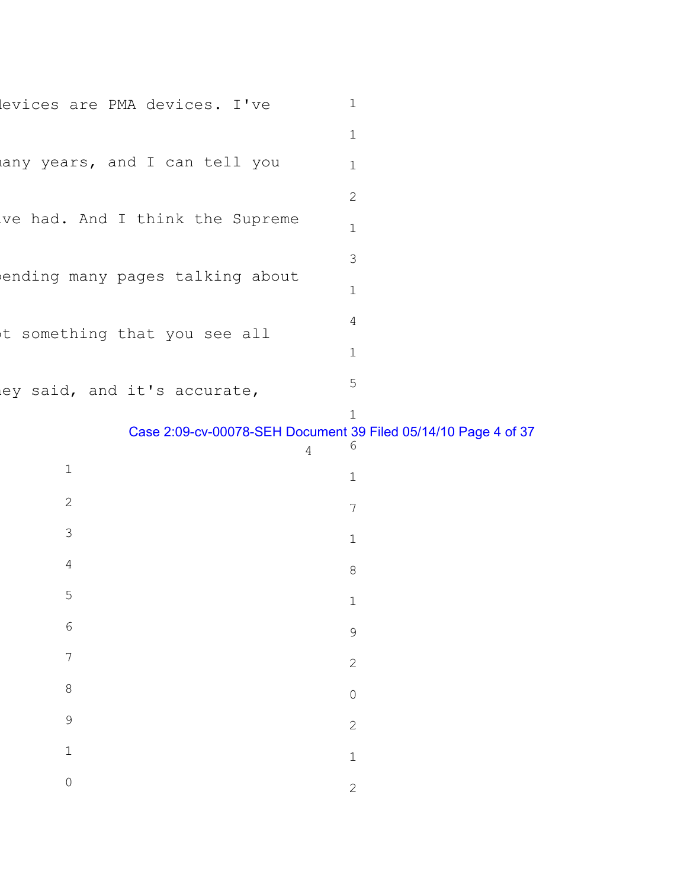| levices are PMA devices. I've   | 1            |
|---------------------------------|--------------|
|                                 | $\mathbf 1$  |
| any years, and I can tell you   | $\mathbf{1}$ |
|                                 | 2            |
| ve had. And I think the Supreme | $\mathbf{1}$ |
|                                 | 3            |
| ending many pages talking about | $\mathbf 1$  |
| t something that you see all    | 4            |
|                                 | $\mathbf{1}$ |
| ley said, and it's accurate,    | 5            |

## Case 2:09-cv-00078-SEH Document 39 Filed 05/14/10 Page 4 of 37

|                | $\sqrt{4}$ | $\sqrt{6}$     |
|----------------|------------|----------------|
| $\mathbbm{1}$  |            | $\mathbf 1$    |
| $\sqrt{2}$     |            | $\overline{7}$ |
| $\mathfrak{S}$ |            | $\mathbf 1$    |
| $\overline{4}$ |            | 8              |
| $\overline{5}$ |            | $\mathbf{1}$   |
| $\sqrt{6}$     |            | 9              |
| $\overline{7}$ |            | $\mathbf{2}$   |
| 8              |            | $\overline{O}$ |
| $\mathsf 9$    |            | $\mathbf{2}$   |
| $\mathbbm{1}$  |            | $\mathbf 1$    |
| $\mathbf 0$    |            | $\mathbf{2}$   |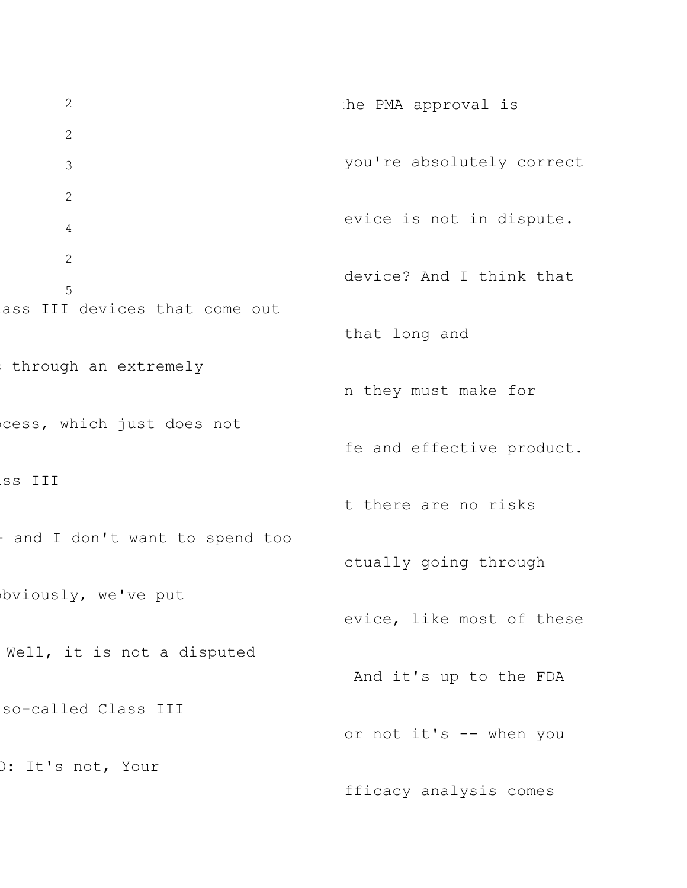2 2 3 2 4 2 5 lass III devices that come out through an extremely cess, which just does not ass III - and I don't want to spend too bviously, we've put Well, it is not a disputed so-called Class III O: It's not, Your the PMA approval is you're absolutely correct evice is not in dispute. device? And I think that that long and n they must make for fe and effective product. t there are no risks ctually going through evice, like most of these And it's up to the FDA or not it's -- when you fficacy analysis comes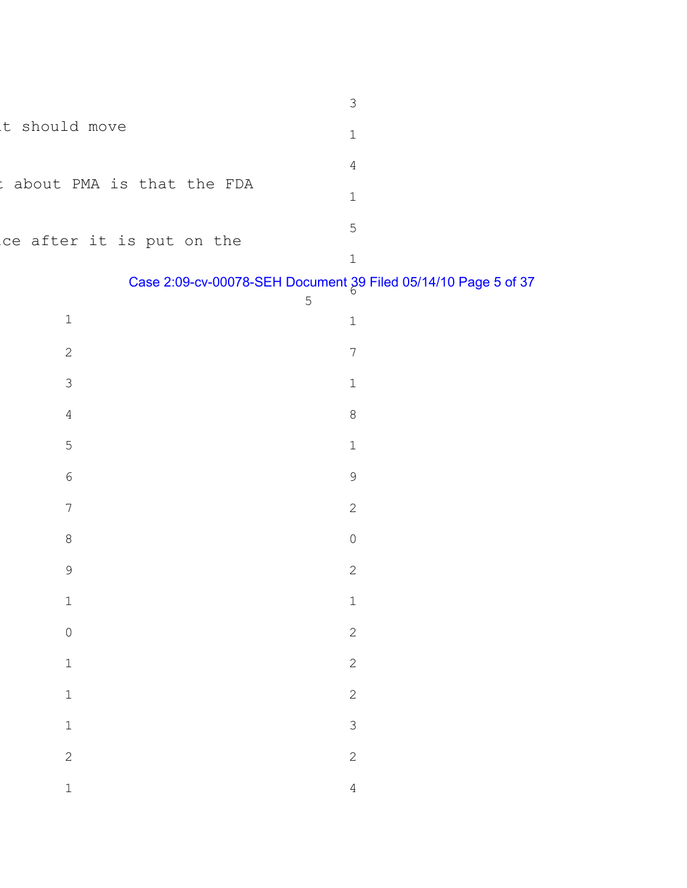|                                 | $\mathfrak{Z}$                                                                   |  |
|---------------------------------|----------------------------------------------------------------------------------|--|
| t should move                   | $1\,$                                                                            |  |
|                                 | $\overline{4}$                                                                   |  |
| about PMA is that the FDA<br>t. | $1\,$                                                                            |  |
|                                 | $\mathsf S$                                                                      |  |
| ce after it is put on the       | $1\,$                                                                            |  |
|                                 | Case 2:09-cv-00078-SEH Document 39 Filed 05/14/10 Page 5 of 37<br>$\overline{5}$ |  |
| $\mathbbm{1}$                   | $1\,$                                                                            |  |
| $\sqrt{2}$                      | $\sqrt{ }$                                                                       |  |
| $\mathfrak{Z}$                  | $1\,$                                                                            |  |
| $\overline{4}$                  | $\,8\,$                                                                          |  |
| $\mathsf S$                     | $1\,$                                                                            |  |
| $\sqrt{6}$                      | $\mathsf 9$                                                                      |  |
| $\boldsymbol{7}$                | $\sqrt{2}$                                                                       |  |
| $\,8\,$                         | $\mathsf{O}$                                                                     |  |
| $\mathsf 9$                     | $\sqrt{2}$                                                                       |  |
| $\mathbf{1}$                    | $\mathbf 1$                                                                      |  |
| $\circ$                         | $\overline{c}$                                                                   |  |
| $\mathbf{1}$                    | $\overline{c}$                                                                   |  |
| $\mathbf{1}$                    | $\overline{c}$                                                                   |  |
| $\mathbbm{1}$                   | $\mathfrak{Z}$                                                                   |  |
| $\overline{c}$                  | $\overline{c}$                                                                   |  |
| $\mathbbm{1}$                   | $\overline{4}$                                                                   |  |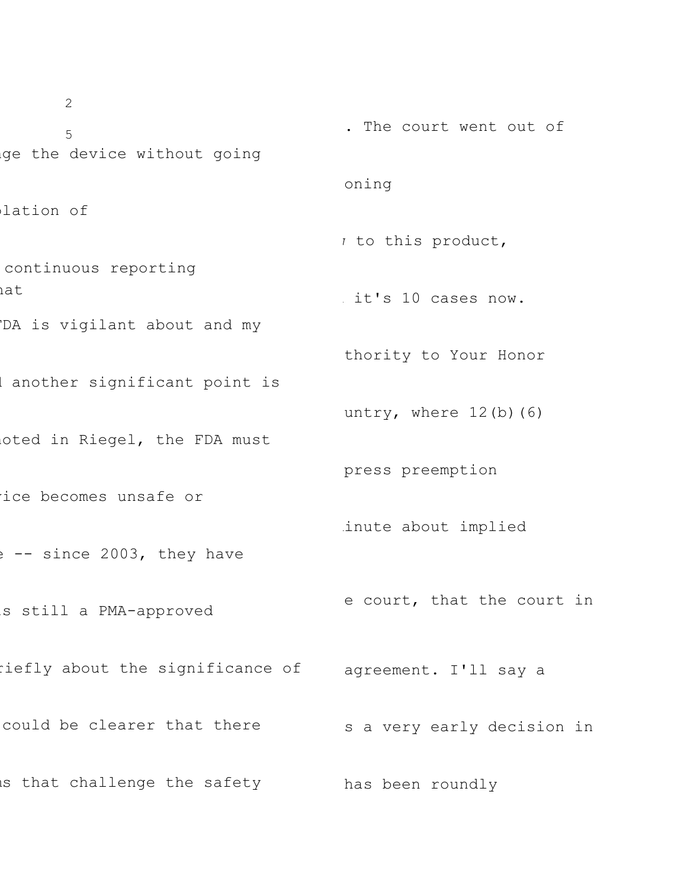2 5 ge the device without going lation of continuous reporting hat DA is vigilant about and my I another significant point is oted in Riegel, the FDA must vice becomes unsafe or e -- since 2003, they have is still a PMA-approved riefly about the significance of agreement. I'll say a could be clearer that there is that challenge the safety . The court went out of oning  $\iota$  to this product, it's 10 cases now. thority to Your Honor untry, where  $12(b)(6)$ press preemption inute about implied e court, that the court in s a very early decision in has been roundly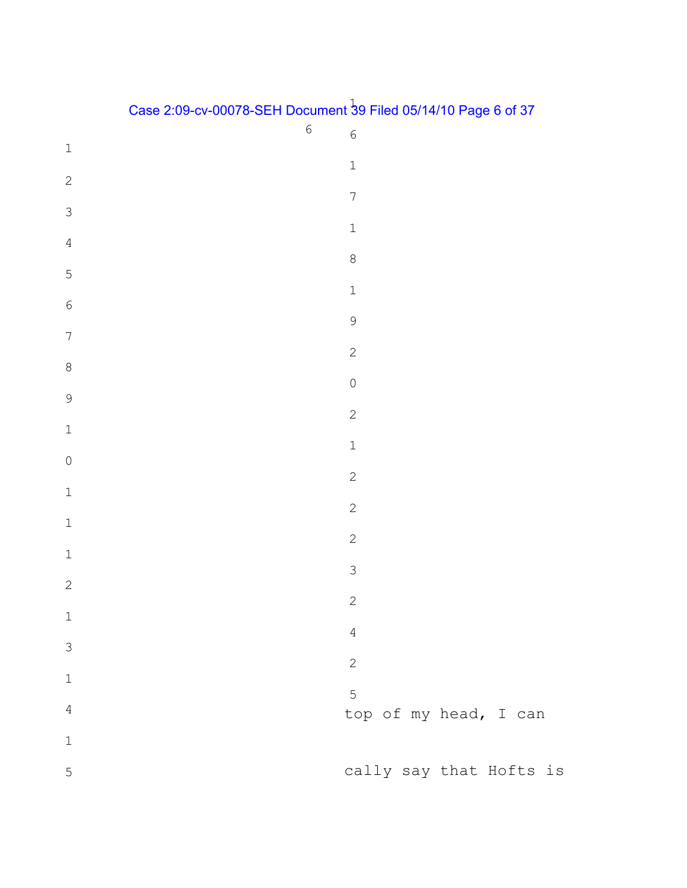| Case 2:09-cv-00078-SEH Document 39 Filed 05/14/10 Page 6 of 37 |
|----------------------------------------------------------------|
|                                                                |

|                  | $\sqrt{6}$ | $\sqrt{6}$                 |
|------------------|------------|----------------------------|
| $\mathbf 1$      |            | $\mathbf 1$                |
| $\sqrt{2}$       |            |                            |
| $\mathfrak{Z}$   |            | $\boldsymbol{7}$           |
| $\sqrt{4}$       |            | $\ensuremath{\mathbbm{1}}$ |
| $\overline{5}$   |            | $\,8\,$                    |
| $\sqrt{6}$       |            | $\ensuremath{\mathbbm{1}}$ |
| $\boldsymbol{7}$ |            | $\mathsf 9$                |
| $\,8\,$          |            | $\overline{c}$             |
| 9                |            | $\mathsf{O}$               |
| $\mathbbm{1}$    |            | $\sqrt{2}$                 |
|                  |            | $\mathbbm{1}$              |
| $\mathbf 0$      |            | $\sqrt{2}$                 |
| $\mathbbm{1}$    |            | $\sqrt{2}$                 |
| $\mathbbm{1}$    |            | $\sqrt{2}$                 |
| $\mathbbm{1}$    |            | $\mathfrak{Z}$             |
| $\sqrt{2}$       |            | $\sqrt{2}$                 |
| $\mathbbm{1}$    |            | $\overline{4}$             |
| $\mathsf 3$      |            | $\mathbf{2}$               |
| $\mathbf 1$      |            | 5                          |
| $\sqrt{4}$       |            | top of my head, I can      |
| $\mathbf 1$      |            |                            |
| 5                |            | cally say that Hofts is    |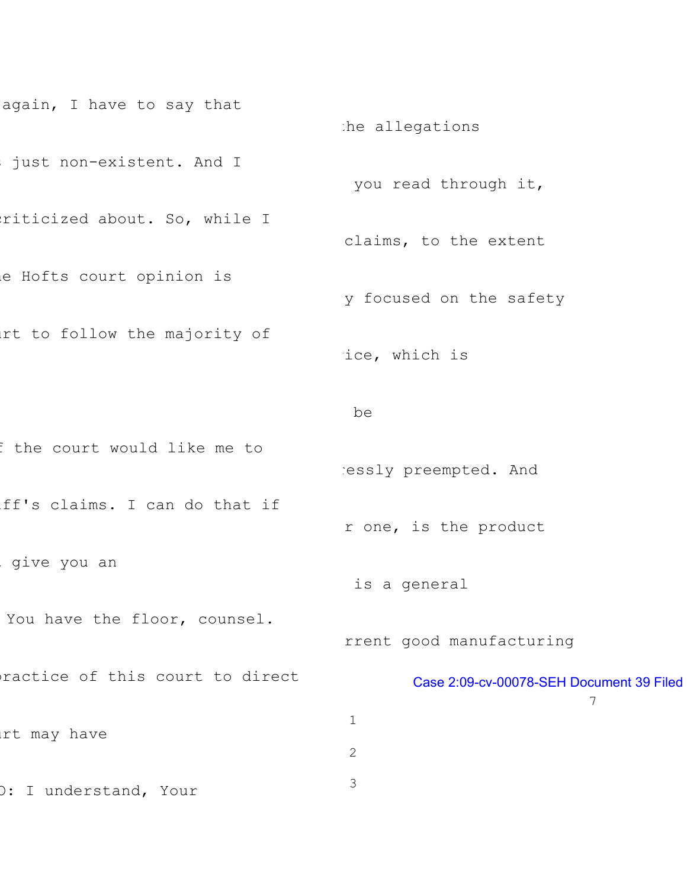```
again, I have to say that
just non-existent. And I
riticized about. So, while I
e Hofts court opinion is
urt to follow the majority of
f the court would like me to
iff's claims. I can do that if
give you an
You have the floor, counsel.
practice of this court to direct
urt may have
O: I understand, Your
                                     the allegations
                                      you read through it,
                                      claims, to the extent
                                      y focused on the safety
                                      ice, which is
                                      be
                                     ressly preempted. And
                                      r one, is the product
                                       is a general
                                      rrent good manufacturing
                                             Case 2:09-cv-00078-SEH Document 39 Filed 
                                                                 7
                                      1
                                      2
                                      3
```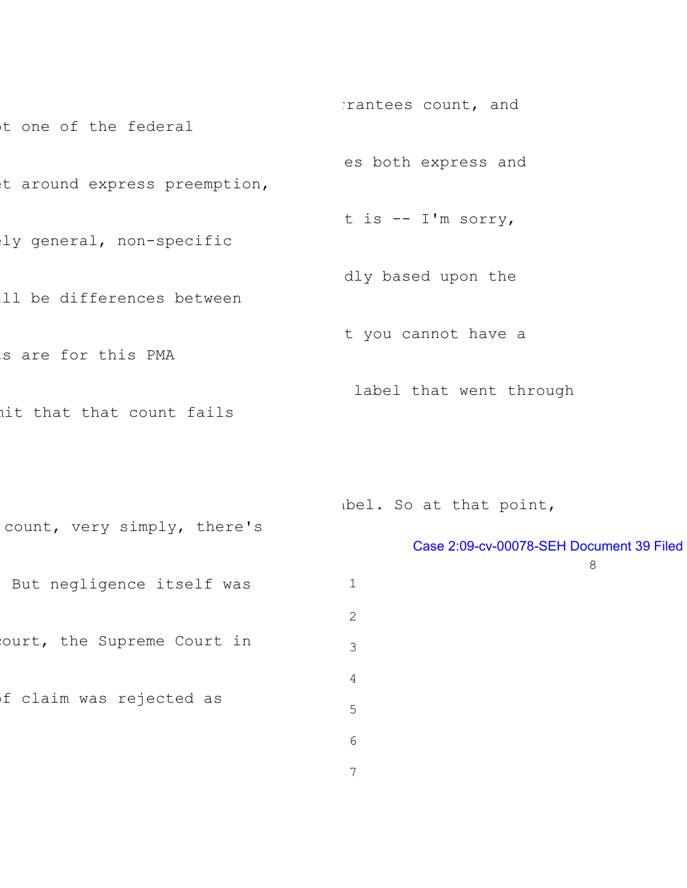t one of the federal t around express preemption, ly general, non-specific ill be differences between s are for this PMA mit that that count fails rrantees count, and es both express and t is -- I'm sorry, dly based upon the t you cannot have a label that went through

abel. So at that point,

| count, very simply, there's |              |                                          |
|-----------------------------|--------------|------------------------------------------|
|                             |              | Case 2:09-cv-00078-SEH Document 39 Filed |
|                             |              | 8                                        |
| But negligence itself was   | $\mathbf 1$  |                                          |
|                             | $\mathbf{2}$ |                                          |
| ourt, the Supreme Court in  | 3            |                                          |
|                             | 4            |                                          |
| f claim was rejected as     | 5            |                                          |
|                             | 6            |                                          |
|                             | 7            |                                          |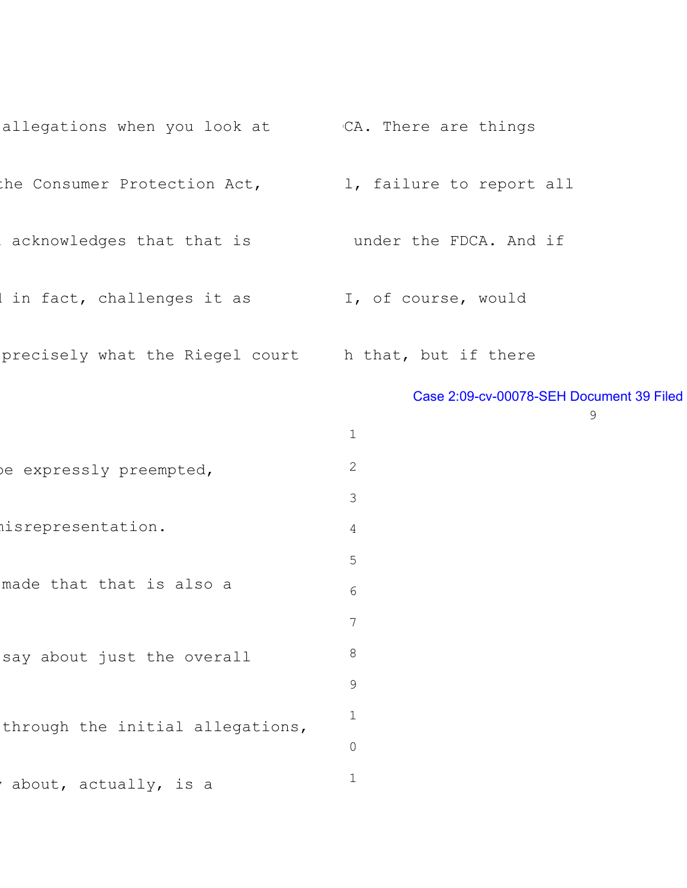| allegations when you look at There are things        |                                          |
|------------------------------------------------------|------------------------------------------|
| the Consumer Protection Act,                         | 1, failure to report all                 |
| acknowledges that that is bunder the FDCA. And if    |                                          |
| in fact, challenges it as I, of course, would        |                                          |
| precisely what the Riegel court h that, but if there |                                          |
|                                                      | Case 2:09-cv-00078-SEH Document 39 Filed |
|                                                      | 9<br>$\mathbf 1$                         |
| be expressly preempted,                              | 2                                        |
|                                                      | 3                                        |
| nisrepresentation.                                   | 4                                        |
|                                                      | 5                                        |
| made that that is also a                             | 6                                        |
|                                                      |                                          |
| say about just the overall                           | 8                                        |
|                                                      | 9                                        |
| through the initial allegations,                     | 1                                        |
|                                                      | $\mathsf{O}$                             |
| about, actually, is a                                | 1                                        |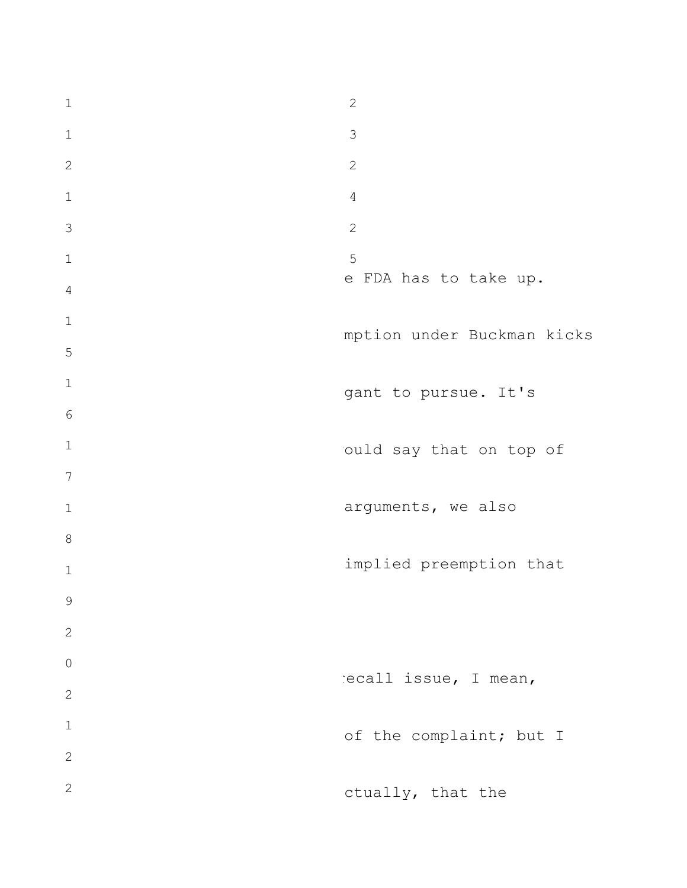e FDA has to take up. mption under Buckman kicks gant to pursue. It's ould say that on top of arguments, we also implied preemption that recall issue, I mean, of the complaint; but I ctually, that the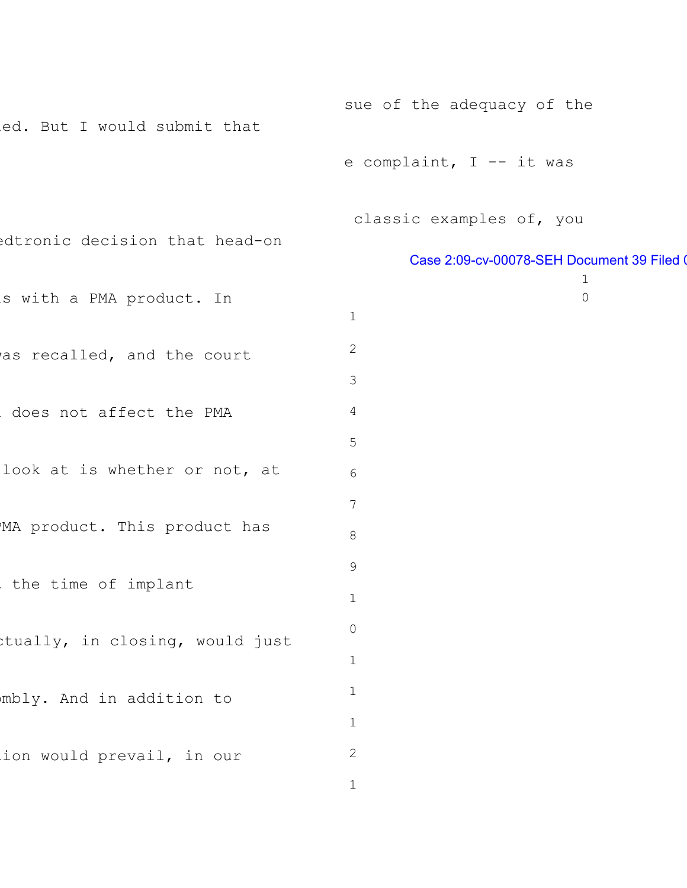```
led. But I would submit that
edtronic decision that head-on
s with a PMA product. In
as recalled, and the court
does not affect the PMA
look at is whether or not, at
MA product. This product has
the time of implant
ctually, in closing, would just
mbly. And in addition to
ion would prevail, in our
                                      sue of the adequacy of the
                                      e complaint, I -- it was
                                       classic examples of, you
                                              Case 2:09-cv-00078-SEH Document 39 Filed 0
                                                                 1
                                                                 0
                                       1
                                       2
                                       3
                                       4
                                       5
                                       6
                                       7
                                       8
                                       9
                                       1
                                       0
                                       1
                                       1
                                       1
                                       2
```

```
1
```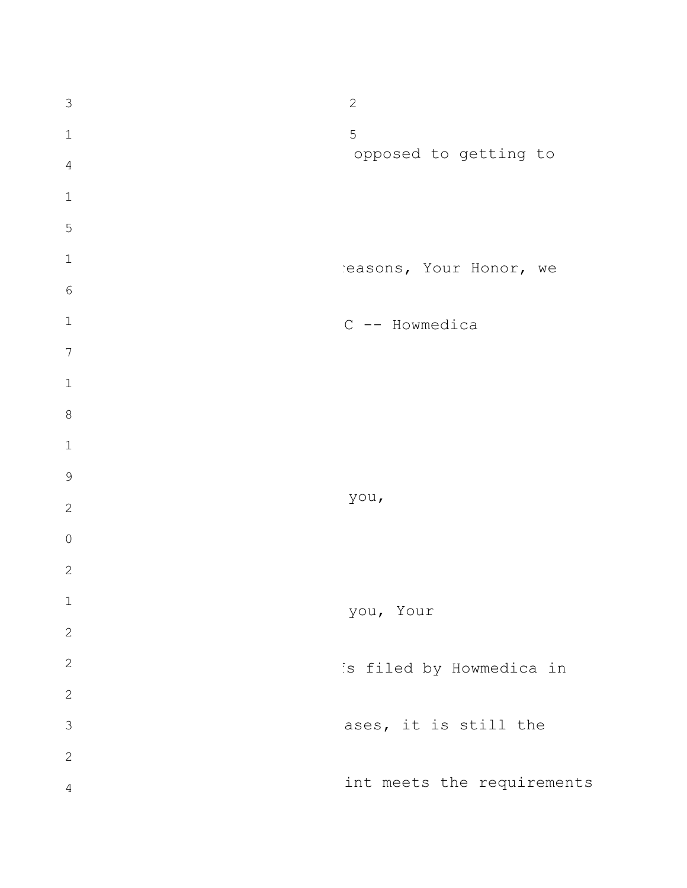| $\mathfrak{Z}$ | $\mathbf{2}$               |
|----------------|----------------------------|
| $\mathbf 1$    | 5                          |
| $\overline{4}$ | opposed to getting to      |
| $\mathbf 1$    |                            |
| 5              |                            |
| $\mathbf 1$    | easons, Your Honor, we     |
| $\epsilon$     |                            |
| $\mathbf 1$    | C -- Howmedica             |
| $\overline{7}$ |                            |
| $\mathbf 1$    |                            |
| $\,8\,$        |                            |
| $\mathbf 1$    |                            |
| $\mathsf 9$    |                            |
| $\mathbf 2$    | you,                       |
| $\mathsf{O}$   |                            |
| $\mathbf 2$    |                            |
| $\mathbf 1$    | you, Your                  |
| $\sqrt{2}$     |                            |
| $\sqrt{2}$     | is filed by Howmedica in   |
| $\sqrt{2}$     |                            |
| $\mathfrak{Z}$ | ases, it is still the      |
| $\sqrt{2}$     |                            |
| $\overline{4}$ | int meets the requirements |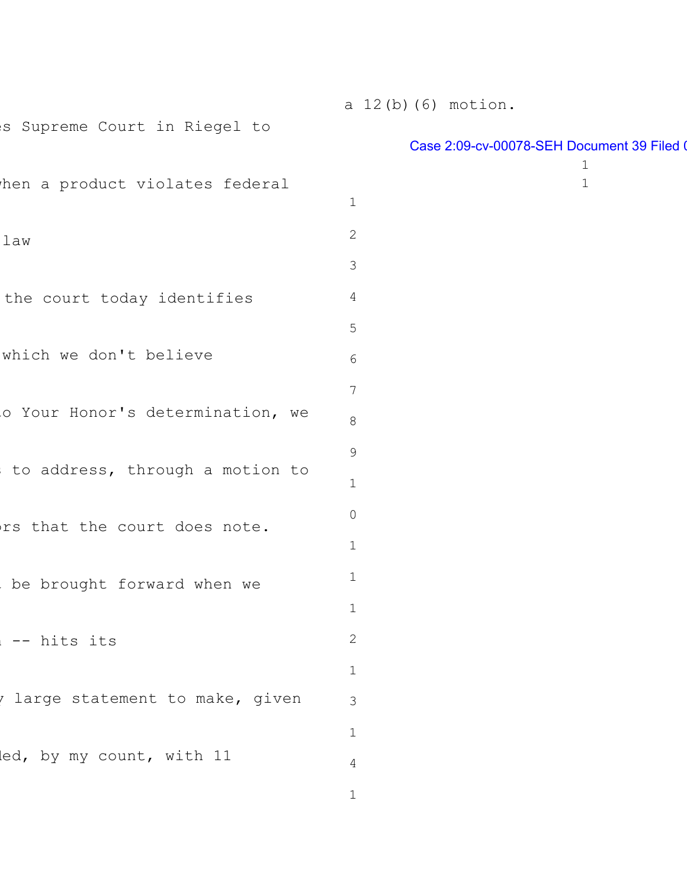es Supreme Court in Riegel to hen a product violates federal law the court today identifies which we don't believe o Your Honor's determination, we to address, through a motion to ors that the court does note. be brought forward when we n -- hits its there are intement to make, given led, by my count, with 11 

a 12(b)(6) motion.

## Case 2:09-cv-00078-SEH Document 39 Filed 0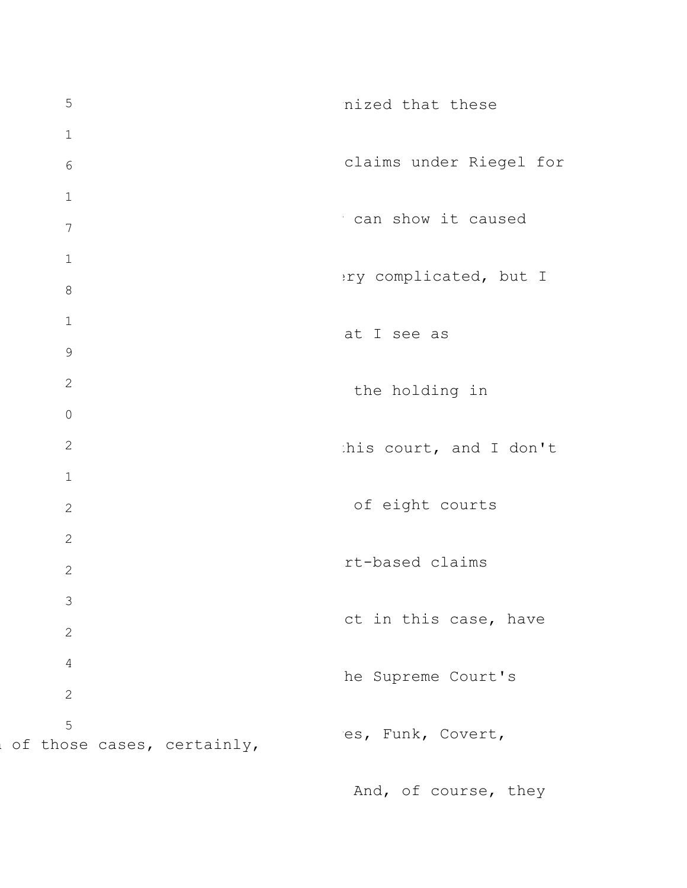5 1 6 1 7 1 8 1 9 2 0 2 1 2 2 2 3 2 4 2 5 of those cases, certainly, nized that these claims under Riegel for can show it caused ery complicated, but I at I see as the holding in his court, and I don't of eight courts rt-based claims ct in this case, have he Supreme Court's es, Funk, Covert,

And, of course, they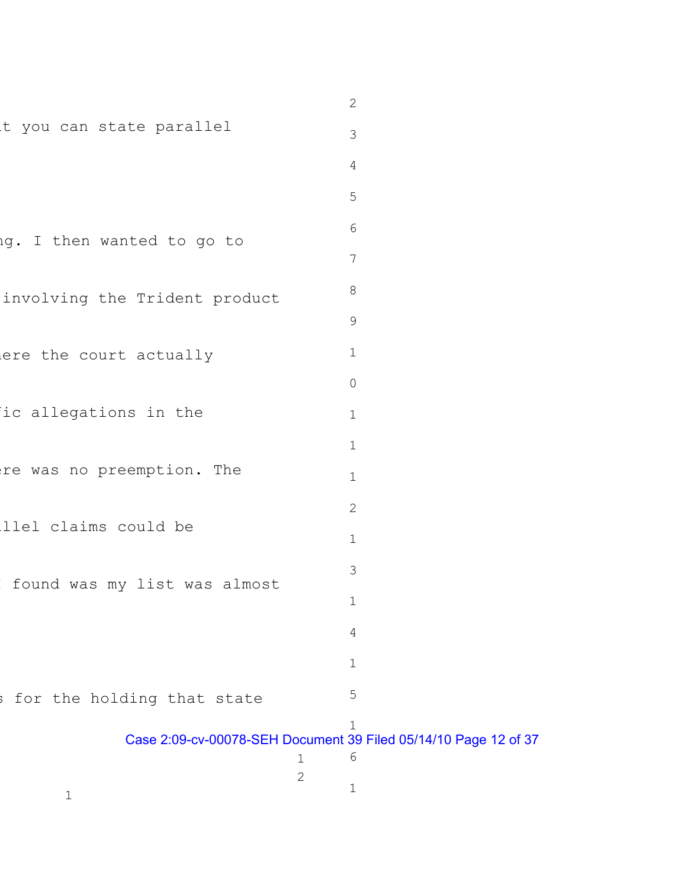|                               | $\mathbf{2}$                                                                   |
|-------------------------------|--------------------------------------------------------------------------------|
| t you can state parallel      | 3                                                                              |
|                               | 4                                                                              |
|                               | 5                                                                              |
| ig. I then wanted to go to    | 6                                                                              |
|                               | 7                                                                              |
| involving the Trident product | 8                                                                              |
|                               | $\mathcal{G}$                                                                  |
| ere the court actually        | $\mathbf 1$                                                                    |
|                               | $\circ$                                                                        |
| ic allegations in the         | $\mathbf 1$                                                                    |
|                               | $\mathbf 1$                                                                    |
| re was no preemption. The     | $\mathbf 1$                                                                    |
|                               | $\mathbf{2}$                                                                   |
| llel claims could be          | $\mathbf 1$                                                                    |
| found was my list was almost  | 3                                                                              |
|                               | $\mathbf 1$                                                                    |
|                               | 4                                                                              |
|                               | $\mathbf 1$                                                                    |
| for the holding that state    | 5                                                                              |
|                               | $\mathbf 1$<br>Case 2:09-cv-00078-SEH Document 39 Filed 05/14/10 Page 12 of 37 |
|                               | $\sqrt{6}$<br>$\mathbf 1$<br>$\mathbf{2}$                                      |
| 1                             | 1                                                                              |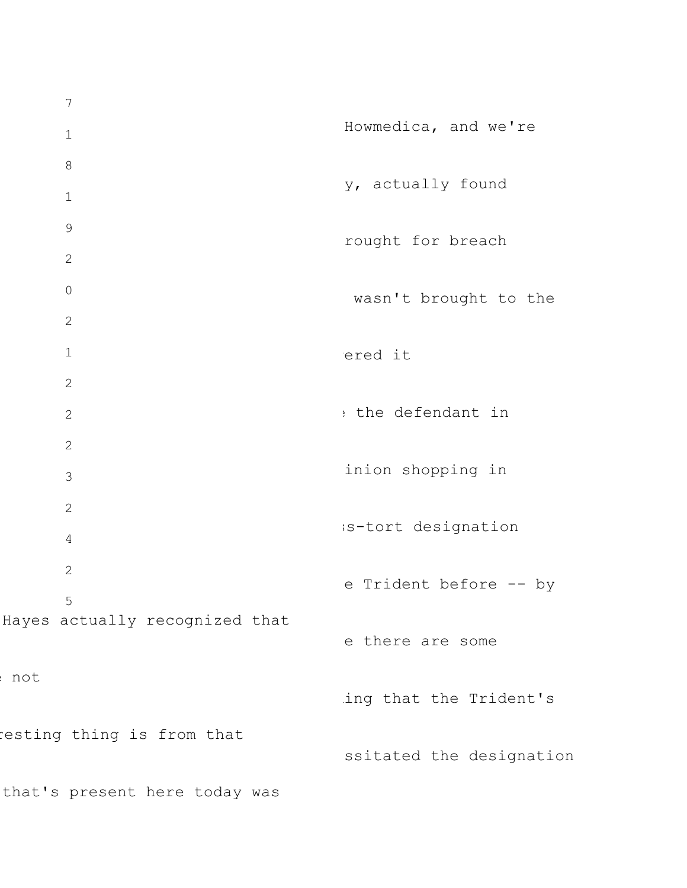7 1 8 1 9 2 0 2 1 2 2 2 3 2 4 2 5 Hayes actually recognized that e not resting thing is from that that's present here today was Howmedica, and we're y, actually found rought for breach wasn't brought to the ered it : the defendant in inion shopping in ss-tort designation e Trident before -- by e there are some ing that the Trident's ssitated the designation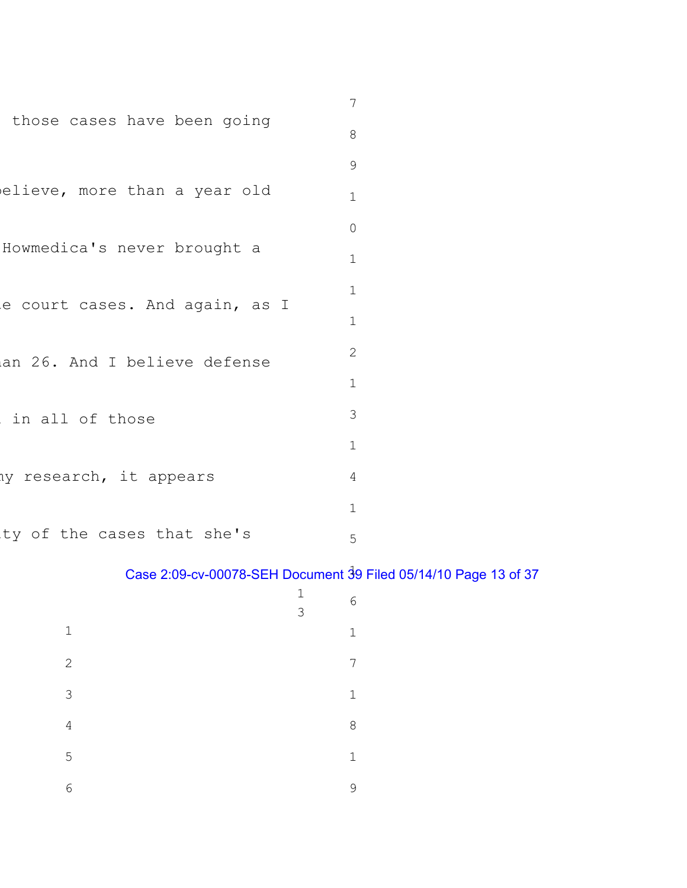|                                | 7            |
|--------------------------------|--------------|
| those cases have been going    | 8            |
|                                | 9            |
| elieve, more than a year old   | $\mathbf 1$  |
|                                | $\mathbf 0$  |
| Howmedica's never brought a    | $\mathbf 1$  |
| e court cases. And again, as I | $\mathbf 1$  |
|                                | $\mathbf 1$  |
| an 26. And I believe defense   | $\mathbf{2}$ |
|                                | $\mathbf 1$  |
| in all of those                | 3            |
|                                | $\mathbf 1$  |
| hy research, it appears        | 4            |
|                                | 1            |
| ty of the cases that she's     | 5            |

## Case 2:09-cv-00078-SEH Document 39 Filed 05/14/10 Page 13 of 37

|                | $\mathbf 1$<br>3 | 6           |
|----------------|------------------|-------------|
| $\mathbf 1$    |                  | $\mathbf 1$ |
| $\mathbf{2}$   |                  | 7           |
| $\mathfrak{Z}$ |                  | $\mathbf 1$ |
| $\sqrt{4}$     |                  | 8           |
| 5              |                  | $\mathbf 1$ |
| 6              |                  | 9           |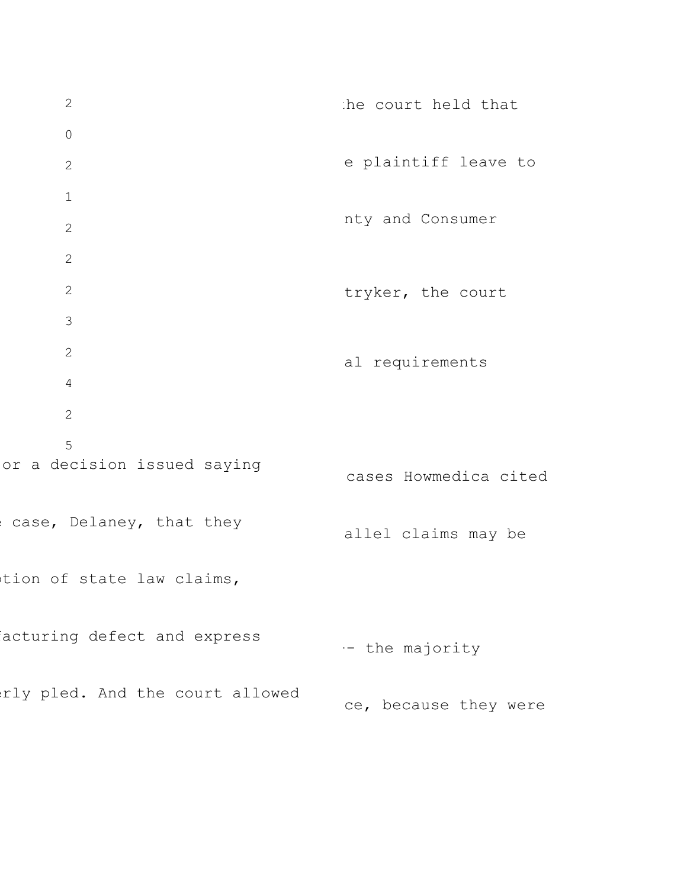2 0 2 1 2 2 2 3 2 4 2 5 or a decision issued saying case, Delaney, that they tion of state law claims, acturing defect and express rly pled. And the court allowed the court held that e plaintiff leave to nty and Consumer tryker, the court al requirements cases Howmedica cited allel claims may be -- the majority ce, because they were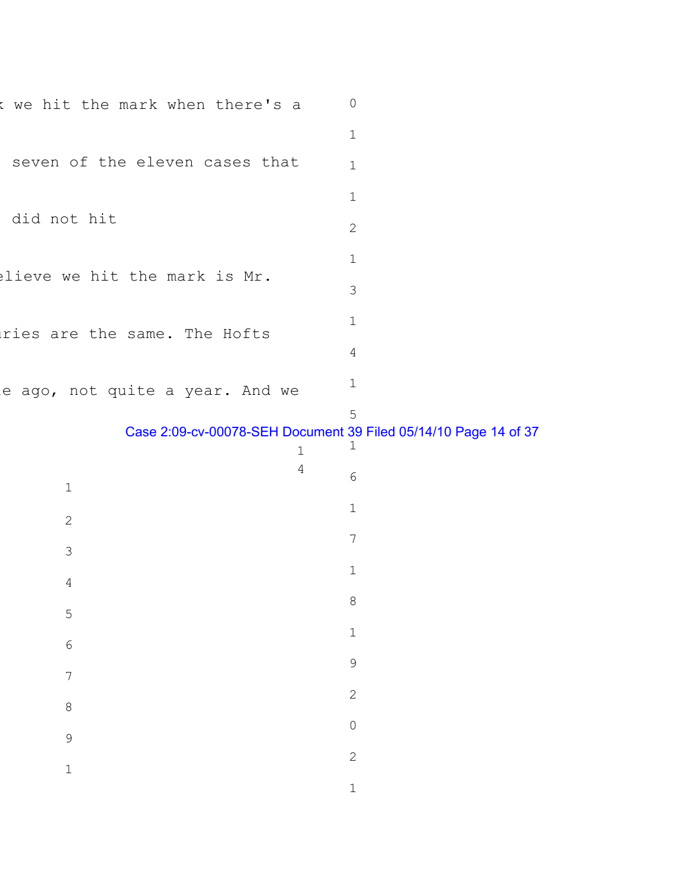| $\mathsf{k}$      | we hit the mark when there's a  | $\mathbb O$                                                               |
|-------------------|---------------------------------|---------------------------------------------------------------------------|
|                   | $\mathbf 1$                     |                                                                           |
|                   | seven of the eleven cases that  | $\mathbf 1$                                                               |
|                   |                                 | $\mathbf 1$                                                               |
| did not hit       | $\mathbf{2}$                    |                                                                           |
|                   |                                 | $\mathbf 1$                                                               |
|                   | elieve we hit the mark is Mr.   | 3                                                                         |
|                   | ries are the same. The Hofts    | $\mathbf 1$                                                               |
|                   |                                 | 4                                                                         |
|                   | e ago, not quite a year. And we | $\mathbf 1$                                                               |
|                   | $\mathbf 1$                     | 5<br>Case 2:09-cv-00078-SEH Document 39 Filed 05/14/10 Page 14 of 37<br>1 |
| 1                 | 4                               | 6                                                                         |
| $\overline{2}$    |                                 | $\mathbf 1$                                                               |
| 3                 |                                 | $7\phantom{.}$                                                            |
| 4                 |                                 |                                                                           |
|                   |                                 | $\mathbf 1$                                                               |
|                   |                                 | $\,8\,$                                                                   |
| 5                 |                                 | $\mathbbm{1}$                                                             |
| $\sqrt{6}$        |                                 | 9                                                                         |
| $\overline{7}$    |                                 | $\overline{c}$                                                            |
| 8                 |                                 | $\mathbf 0$                                                               |
| 9<br>$\mathbf{1}$ |                                 | $\mathbf{2}$                                                              |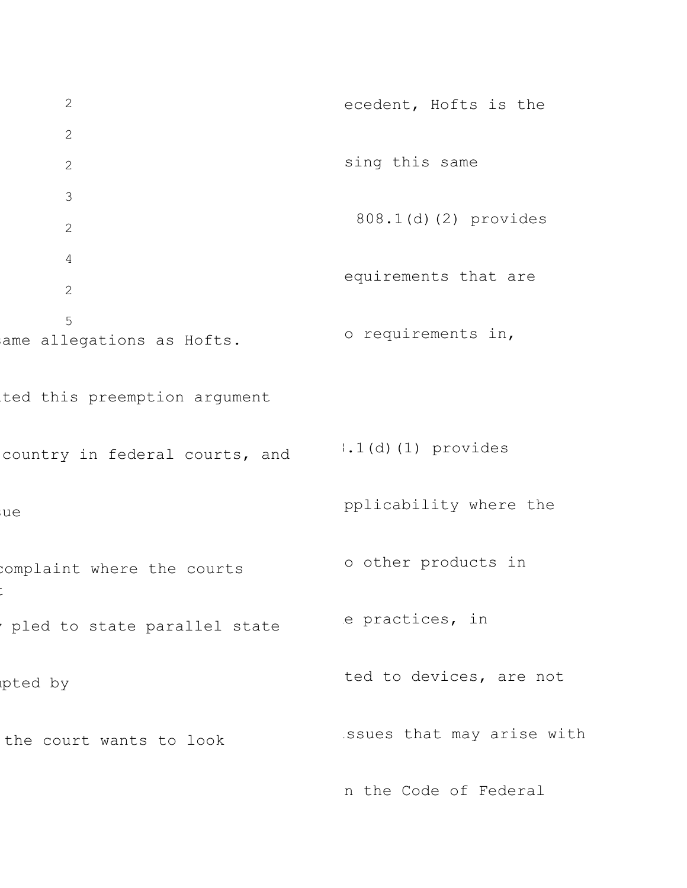2 2 2 3 2 4 2 5 ame allegations as Hofts. ted this preemption argument country in federal courts, and sue complaint where the courts t pled to state parallel state mpted by the court wants to look ecedent, Hofts is the sing this same 808.1(d)(2) provides equirements that are o requirements in, 8.1(d)(1) provides pplicability where the o other products in e practices, in ted to devices, are not issues that may arise with n the Code of Federal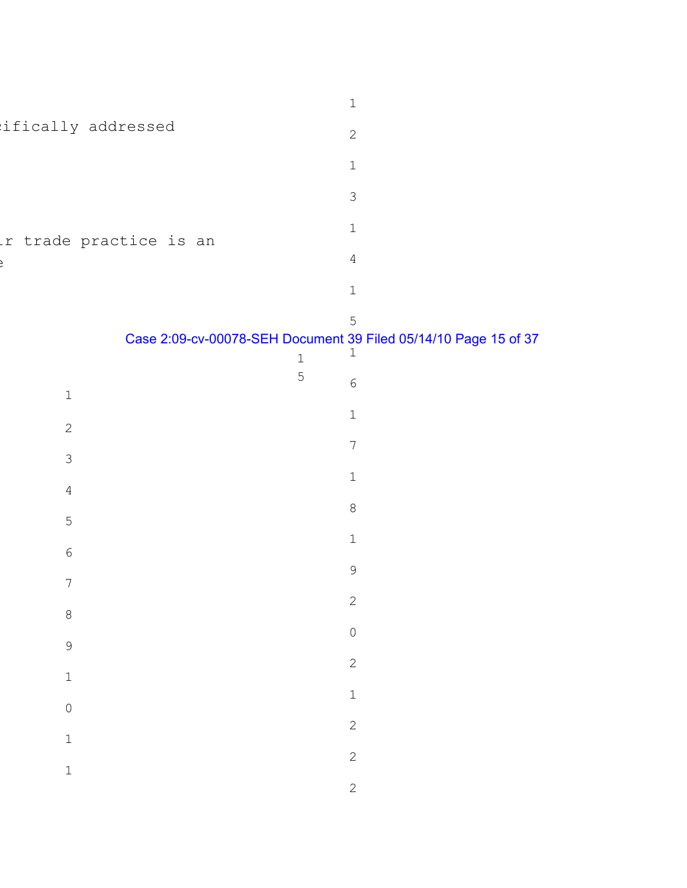|                            | $\ensuremath{\mathbbm{1}}$                                                                           |
|----------------------------|------------------------------------------------------------------------------------------------------|
| ifically addressed         | $\mathbf{2}$                                                                                         |
|                            | $\mathbf 1$                                                                                          |
|                            | $\mathsf 3$                                                                                          |
| r trade practice is an     | $\mathbbm{1}$                                                                                        |
|                            | $\overline{4}$                                                                                       |
|                            | $\mathbf 1$                                                                                          |
|                            | 5<br>Case 2:09-cv-00078-SEH Document 39 Filed 05/14/10 Page 15 of 37<br>$\frac{1}{1}$<br>$\mathbf 1$ |
| $\ensuremath{\mathbbm{1}}$ | 5<br>$\epsilon$                                                                                      |
| $\sqrt{2}$                 | $\mathbbm{1}$                                                                                        |
| $\mathfrak{Z}$             | $\sqrt{}$                                                                                            |
| $\overline{4}$             | $\mathbf 1$                                                                                          |
| $\mathsf S$                | $\,8\,$                                                                                              |
| $\epsilon$                 | $\mathbbm{1}$                                                                                        |
| $\boldsymbol{7}$           | $\mathsf 9$                                                                                          |
| $\,8\,$                    | $\mathbf{2}$                                                                                         |
| 9                          | $\circ$                                                                                              |
| $\mathbbm{1}$              | $\overline{c}$                                                                                       |
| $\overline{0}$             | $\mathbf{1}$                                                                                         |
| $\mathbbm{1}$              | $\overline{c}$                                                                                       |
| $\mathbbm{1}$              | $\overline{c}$                                                                                       |
|                            | $\overline{c}$                                                                                       |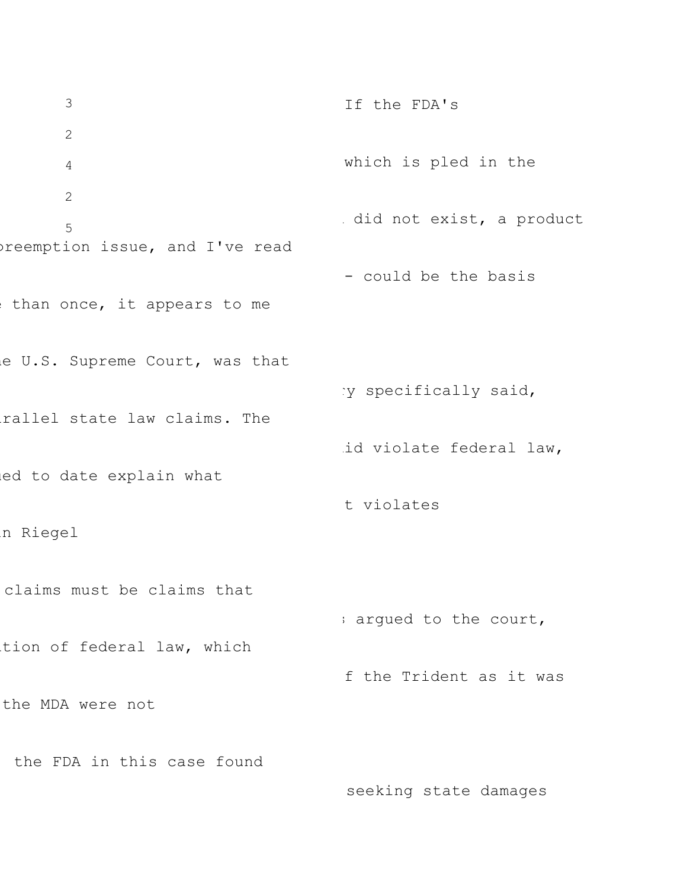3 2 4 2 5 preemption issue, and I've read than once, it appears to me e U.S. Supreme Court, was that rallel state law claims. The ed to date explain what in Riegel claims must be claims that tion of federal law, which the MDA were not the FDA in this case found If the FDA's which is pled in the did not exist, a product - could be the basis ry specifically said, id violate federal law, t violates s argued to the court, f the Trident as it was

seeking state damages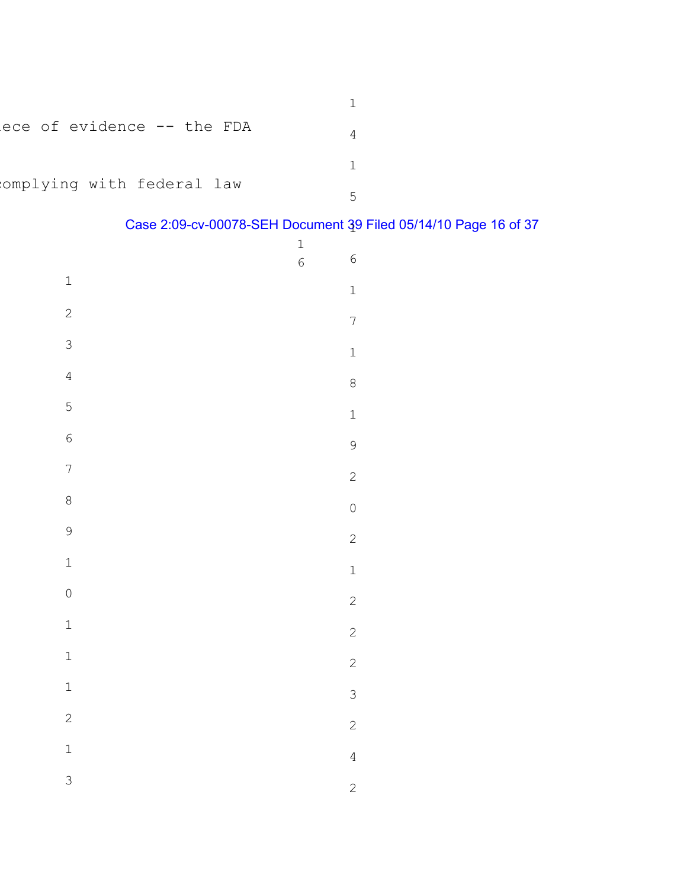| ece of evidence -- the FDA |  |
|----------------------------|--|
|                            |  |
| omplying with federal law  |  |

## Case 2:09-cv-00078-SEH Document 39 Filed 05/14/10 Page 16 of 37 1

|                  | $\mathbf{1}$   |                                  |
|------------------|----------------|----------------------------------|
|                  | $\overline{6}$ | $\epsilon$                       |
| $\mathbbm{1}$    |                | $\mathbf{1}$                     |
| $\overline{c}$   |                | $\overline{7}$                   |
| $\overline{3}$   |                | $\mathbf{1}$                     |
| $\overline{4}$   |                | $\begin{array}{c} 8 \end{array}$ |
| $\overline{5}$   |                | $\mathbf{1}$                     |
| $\overline{6}$   |                | 9                                |
| $\overline{7}$   |                | $\overline{c}$                   |
| $\boldsymbol{8}$ |                | $\overline{0}$                   |
| 9                |                | $\overline{c}$                   |
| $\mathbf{1}$     |                | $\mathbf{1}$                     |
| $\overline{0}$   |                | $\overline{c}$                   |
| $\mathbf{1}$     |                | $\overline{c}$                   |
| $\mathbf{1}$     |                | $\overline{c}$                   |
| $\mathbf 1$      |                | $\mathfrak{S}$                   |
| $\overline{c}$   |                | $\overline{c}$                   |
| $\mathbf{1}$     |                |                                  |
| 3                |                | $\overline{4}$                   |
|                  |                | $\overline{2}$                   |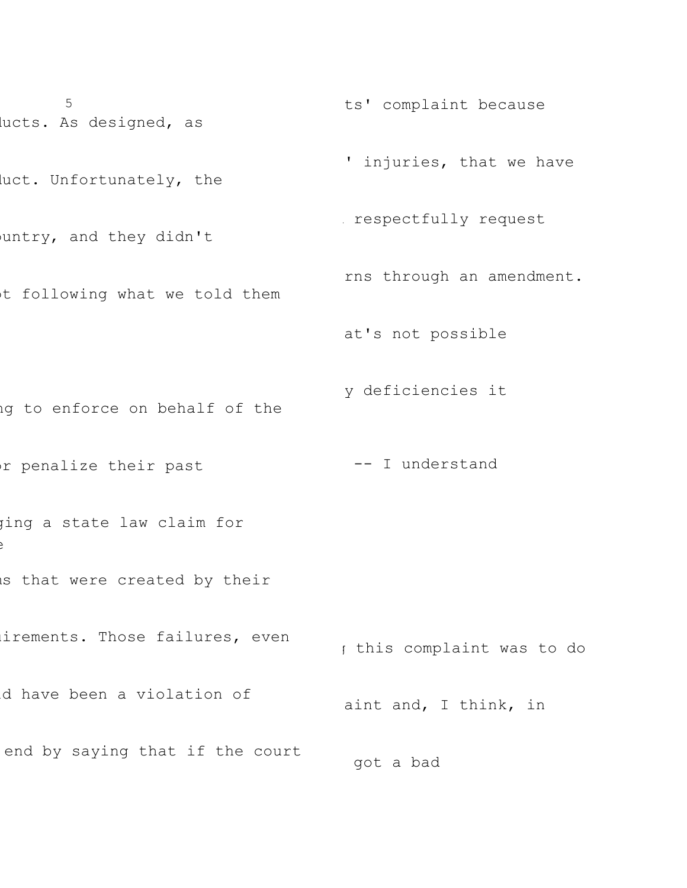5 lucts. As designed, as luct. Unfortunately, the untry, and they didn't ot following what we told them ng to enforce on behalf of the or penalize their past ging a state law claim for e is that were created by their irements. Those failures, even ld have been a violation of end by saying that if the court ts' complaint because ' injuries, that we have respectfully request rns through an amendment. at's not possible y deficiencies it -- I understand g this complaint was to do aint and, I think, in got a bad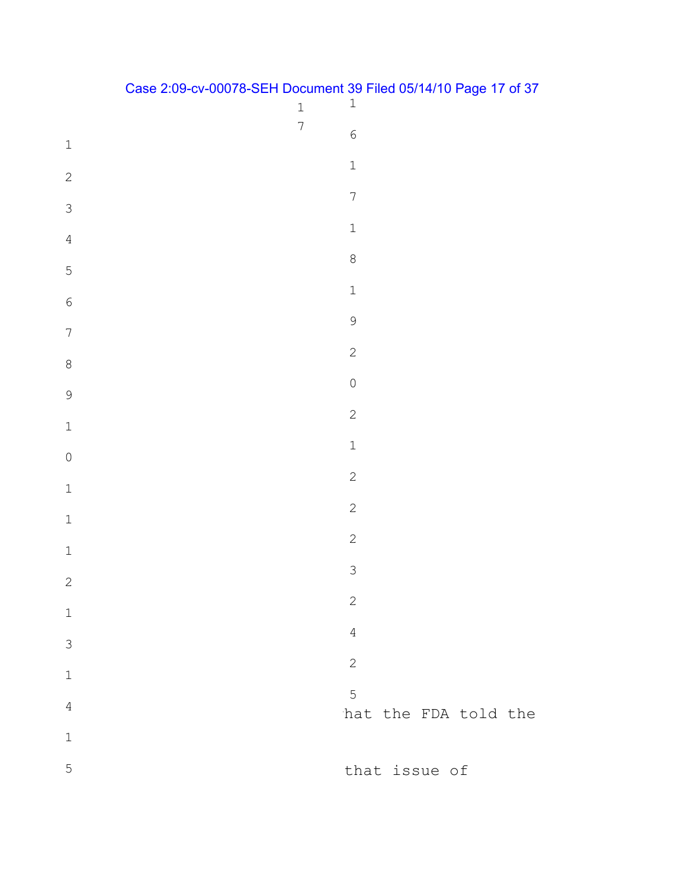|                                      | $\mathbf 1$    | ∽<br>$\mathbf 1$     |
|--------------------------------------|----------------|----------------------|
| $\ensuremath{\mathbbm{1}}$           | $\overline{7}$ | $\overline{6}$       |
|                                      |                | $\mathbbm{1}$        |
| $\overline{c}$                       |                | $\overline{7}$       |
| $\mathfrak{Z}$                       |                | $\mathbbm{1}$        |
| $\sqrt{4}$                           |                |                      |
| 5                                    |                | $\,8\,$              |
| $\sqrt{6}$                           |                | $\mathbbm{1}$        |
| $\boldsymbol{7}$                     |                | 9                    |
| $\,8\,$                              |                | $\overline{c}$       |
| $\mathcal{G}$                        |                | $\mathsf{O}$         |
|                                      |                | $\overline{c}$       |
| $\mathbf{1}$                         |                | $\mathbbm{1}$        |
| $\begin{matrix} 0 \\ 0 \end{matrix}$ |                | $\overline{c}$       |
| $\mathbf 1$                          |                | $\overline{c}$       |
| $\mathbf 1$                          |                |                      |
| $\mathbf{1}$                         |                | $\overline{c}$       |
| $\sqrt{2}$                           |                | $\mathfrak{Z}$       |
| $\mathbbm{1}$                        |                | 2                    |
| $\mathfrak{Z}$                       |                | $\sqrt{4}$           |
| $\mathbf 1$                          |                | $\overline{c}$       |
|                                      |                | $5\phantom{.0}$      |
| $\sqrt{4}$                           |                | hat the FDA told the |
| $\mathbbm{1}$                        |                |                      |
| 5                                    |                | that issue of        |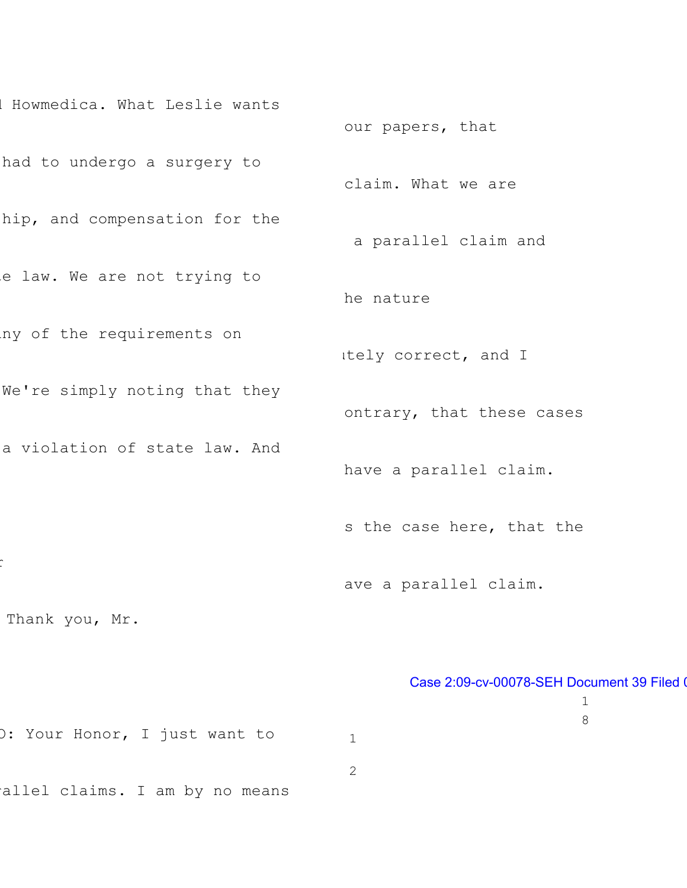l Howmedica. What Leslie wants had to undergo a surgery to hip, and compensation for the e law. We are not trying to ny of the requirements on We're simply noting that they a violation of state law. And r Thank you, Mr. O: Your Honor, I just want to rallel claims. I am by no means our papers, that claim. What we are a parallel claim and he nature utely correct, and I ontrary, that these cases have a parallel claim. s the case here, that the ave a parallel claim. Case 2:09-cv-00078-SEH Document 39 Filed 0 1 8 1 2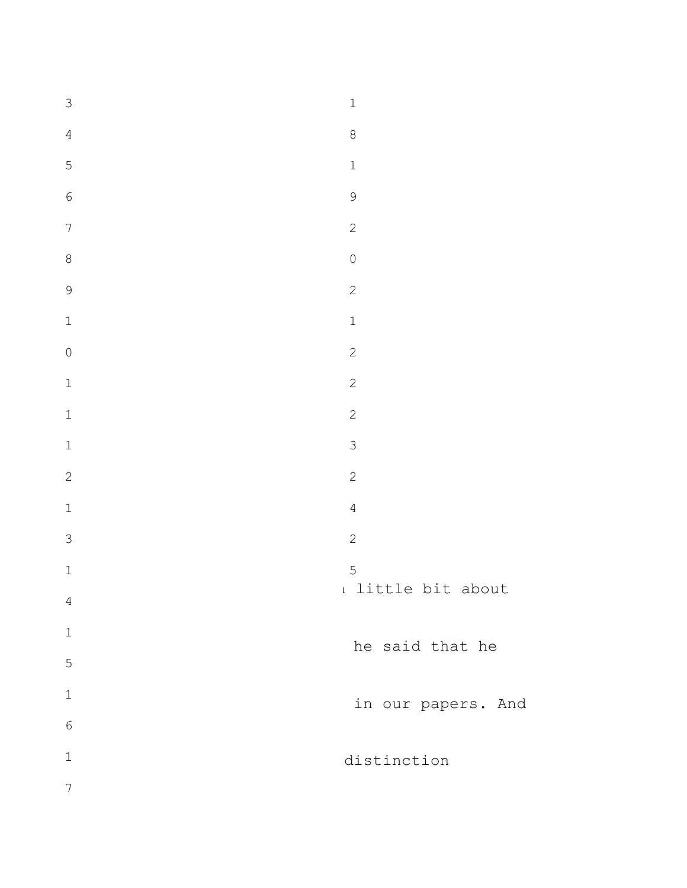| $\mathfrak{Z}$                   | $\mathbf 1$        |
|----------------------------------|--------------------|
| $\sqrt{4}$                       | $\,8\,$            |
| 5                                | $\mathbf 1$        |
| $\sqrt{6}$                       | $\mathcal{G}$      |
| $\boldsymbol{7}$                 | $\overline{c}$     |
| $\,8\,$                          | $\overline{0}$     |
| 9                                | $\mathbf{2}$       |
| $\mathbbm{1}$                    | $\mathbf 1$        |
| $\begin{array}{c} \n\end{array}$ | $\overline{c}$     |
| $\mathbf 1$                      | $\mathbf{2}$       |
| $\mathbf 1$                      | $\overline{c}$     |
| $\mathbbm{1}$                    | $\mathsf{3}$       |
| $\overline{c}$                   | $\sqrt{2}$         |
| $\mathbbm{1}$                    | $\overline{4}$     |
| $\mathfrak{S}$                   | $\overline{c}$     |
| $\mathbbm{1}$                    | 5                  |
| $\sqrt{4}$                       | I little bit about |
| $\mathbf 1$                      | he said that he    |
| 5                                |                    |
| $\mathbf 1$                      | in our papers. And |
| $\epsilon$                       |                    |
| $\mathbf 1$                      | distinction        |
| $\boldsymbol{7}$                 |                    |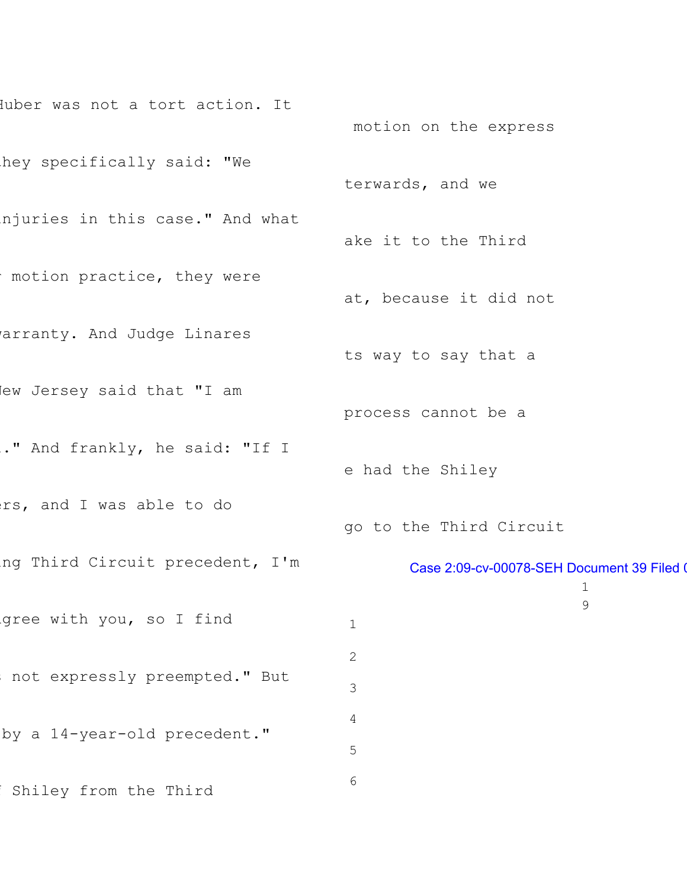```
Iuber was not a tort action. It
hey specifically said: "We
njuries in this case." And what
motion practice, they were
arranty. And Judge Linares
lew Jersey said that "I am
." And frankly, he said: "If I
ers, and I was able to do
ing Third Circuit precedent, I'm
gree with you, so I find
not expressly preempted." But
by a 14-year-old precedent."
Shiley from the Third
                                      motion on the express
                                     terwards, and we
                                     ake it to the Third
                                     at, because it did not
                                     ts way to say that a
                                     process cannot be a
                                     e had the Shiley
                                     go to the Third Circuit
                                            Case 2:09-cv-00078-SEH Document 39 Filed 0
                                                                1
                                                                9
                                      1
                                      2
                                      3
                                      4
                                      5
                                      6
```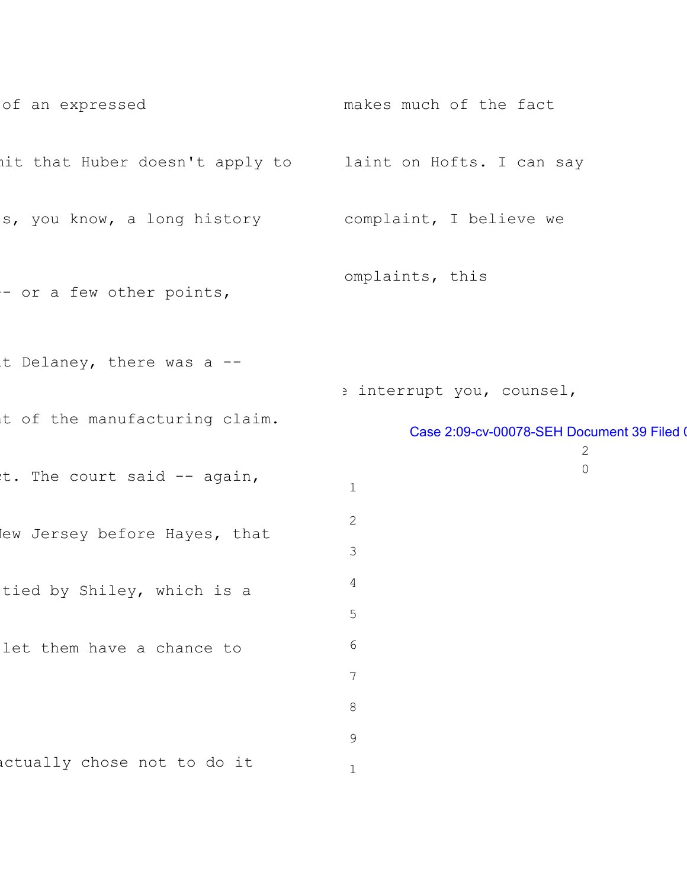```
of an expressed
mit that Huber doesn't apply to
laint on Hofts. I can say
s, you know, a long history
complaint, I believe we
- or a few other points,
t Delaney, there was a --
It of the manufacturing claim.
t. The court said -- again,
lew Jersey before Hayes, that
tied by Shiley, which is a
let them have a chance to
actually chose not to do it
                                    makes much of the fact
                                    omplaints, this
                                     e interrupt you, counsel,
                                            Case 2:09-cv-00078-SEH Document 39 Filed 0
                                                               2
                                                               0
                                      1
                                      2
                                      3
                                      4
                                      5
                                      6
                                      7
                                      8
                                      9
                                      1
```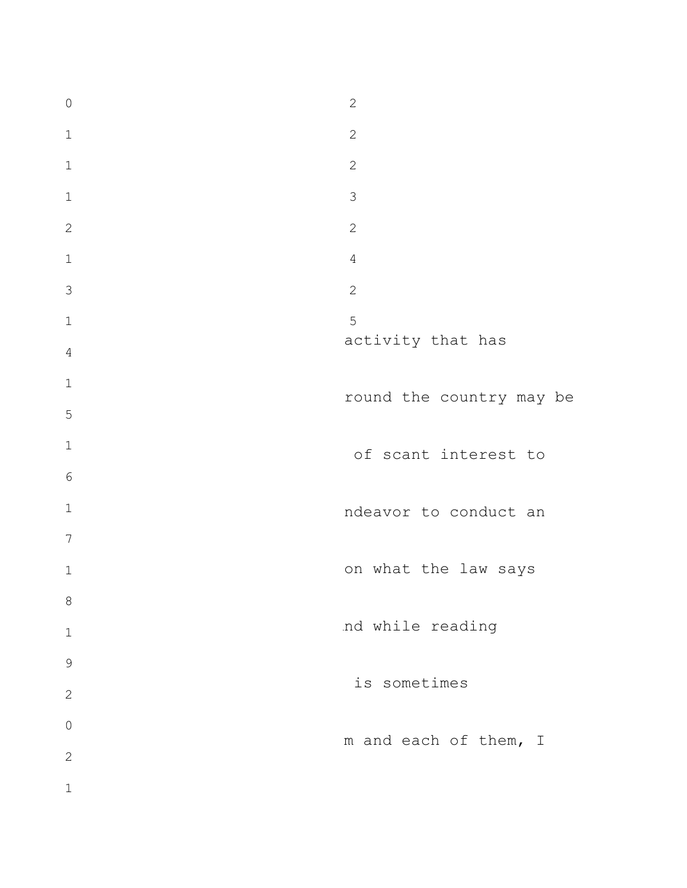activity that has round the country may be of scant interest to ndeavor to conduct an on what the law says nd while reading is sometimes m and each of them, I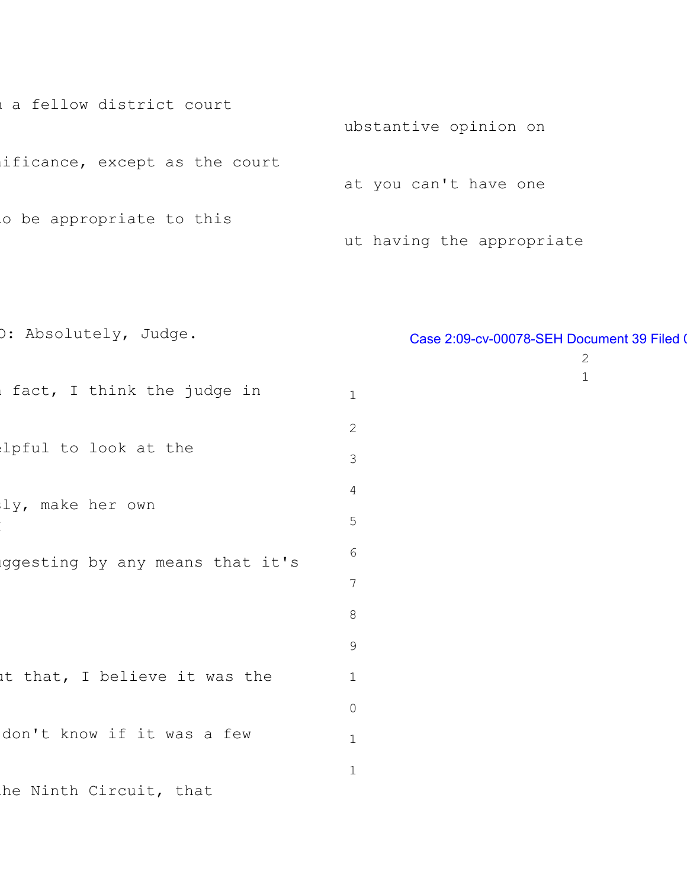a fellow district court ificance, except as the court o be appropriate to this ubstantive opinion on at you can't have one ut having the appropriate

O: Absolutely, Judge. fact, I think the judge in lpful to look at the ly, make her own I uggesting by any means that it's ut that, I believe it was the don't know if it was a few he Ninth Circuit, that 1 2 3 4 5 6 7 8 9 1 0 1 1

## Case 2:09-cv-00078-SEH Document 39 Filed 0

2 1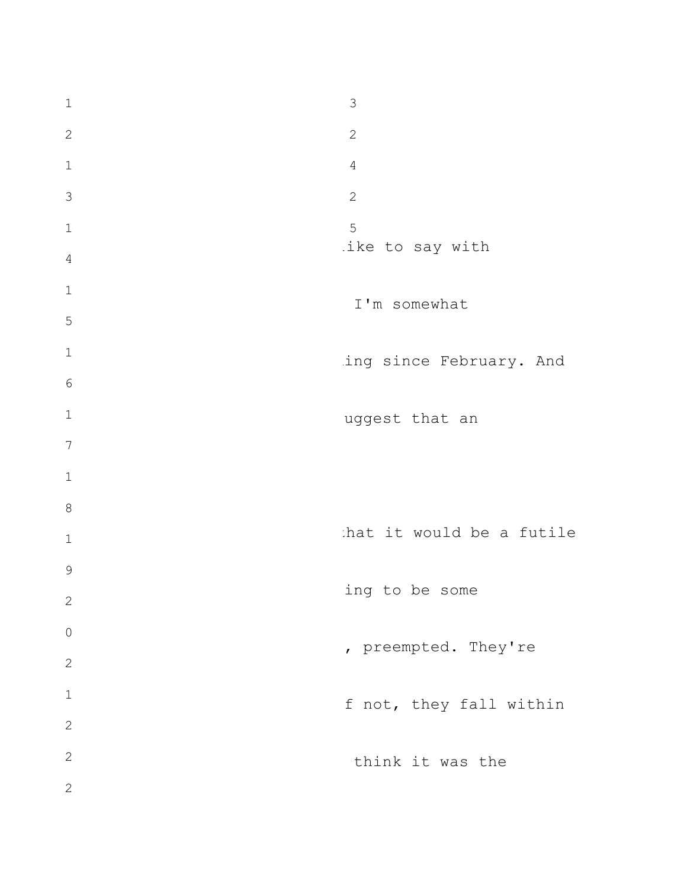like to say with I'm somewhat ing since February. And uggest that an that it would be a futile ing to be some , preempted. They're f not, they fall within think it was the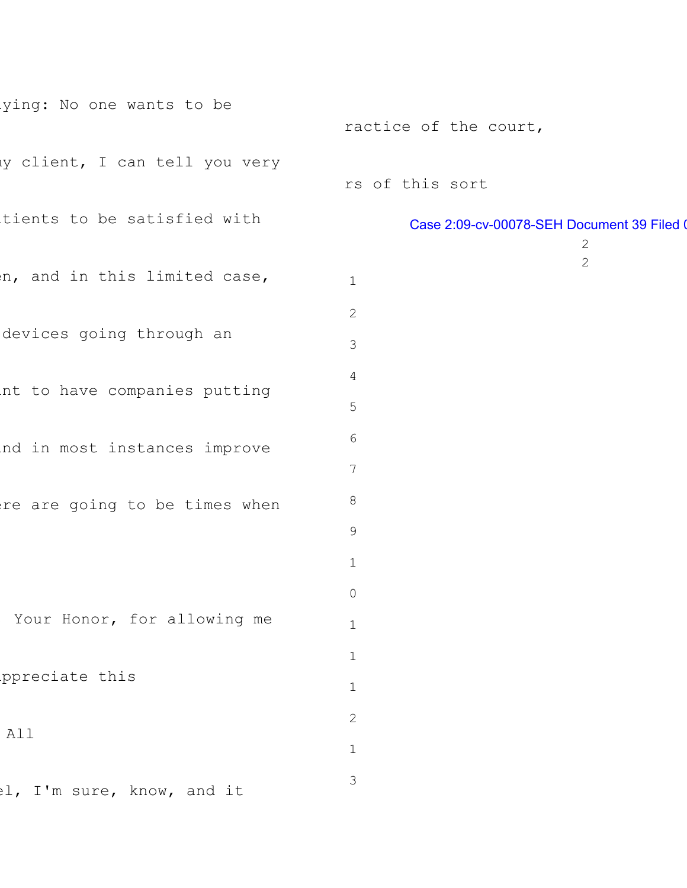| ying: No one wants to be       |                                                            |
|--------------------------------|------------------------------------------------------------|
|                                | ractice of the court,                                      |
| ly client, I can tell you very | rs of this sort                                            |
| tients to be satisfied with    | Case 2:09-cv-00078-SEH Document 39 Filed (<br>$\mathbf{2}$ |
| n, and in this limited case,   | 2<br>$\mathbf 1$                                           |
| devices going through an       | $\mathbf{2}$<br>3                                          |
| nt to have companies putting   | 4<br>5                                                     |
| nd in most instances improve   | 6<br>$\overline{7}$                                        |
| re are going to be times when  | 8<br>9                                                     |
|                                | $1\,$                                                      |
| Your Honor, for allowing me    | $\circ$<br>$\mathbf 1$                                     |
| ppreciate this                 | $\mathbbm{1}$<br>$\mathbf 1$                               |
| All                            | $\sqrt{2}$                                                 |
| el, I'm sure, know, and it     | $\mathbf 1$<br>$\mathfrak{Z}$                              |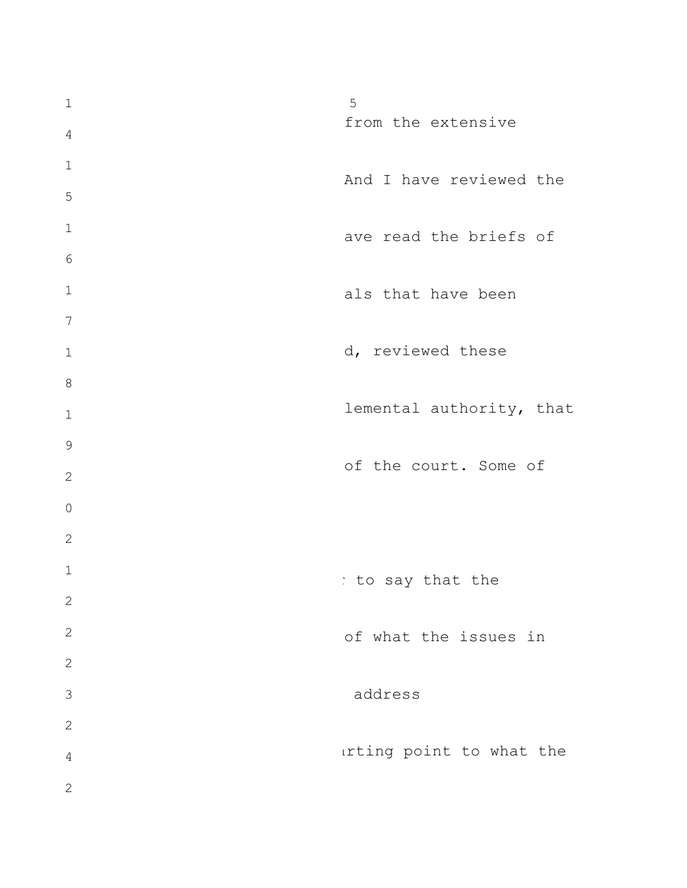from the extensive And I have reviewed the ave read the briefs of als that have been d, reviewed these lemental authority, that of the court. Some of to say that the of what the issues in address arting point to what the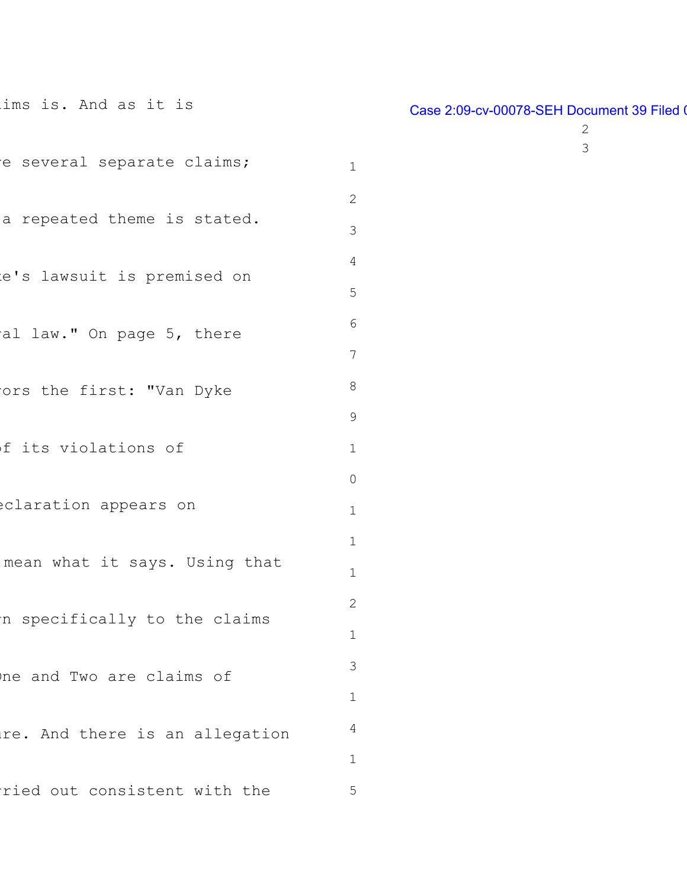| ims is. And as it is           |
|--------------------------------|
| e several separate claims;     |
| a repeated theme is stated.    |
| e's lawsuit is premised on     |
| al law." On page 5, there      |
| ors the first: "Van Dyke       |
| f its violations of            |
| eclaration appears on          |
| mean what it says. Using that  |
| n specifically to the claims   |
| ne and Two are claims of       |
| re. And there is an allegation |
| ried out consistent with the   |

# Case 2:09-cv-00078-SEH Document 39 Filed 0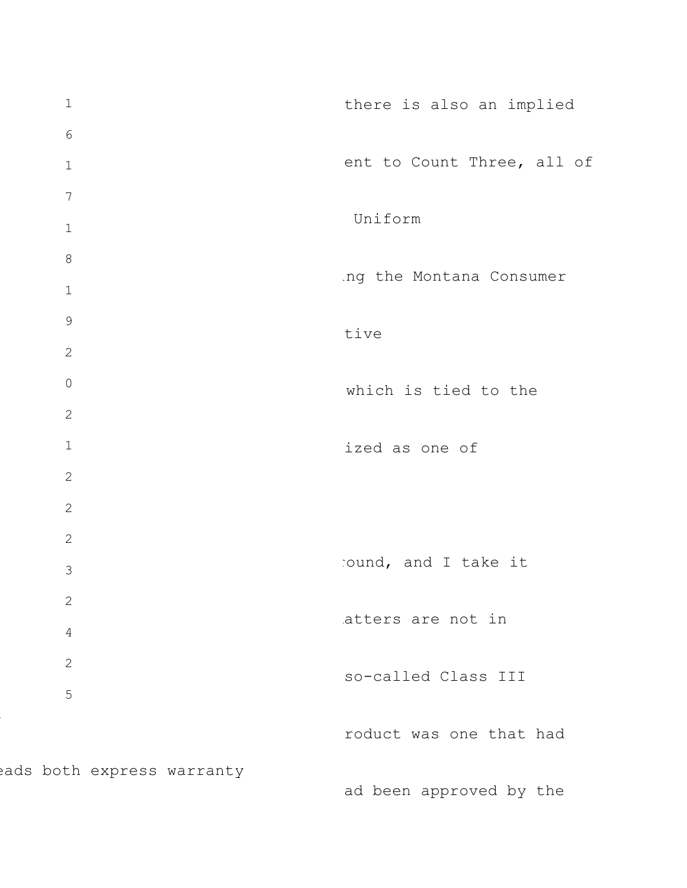1 6 1 7 1 8 1 9 2 0 2 1 2 2 2 3 2 4 2 5 eads both express warranty there is also an implied ent to Count Three, all of Uniform ing the Montana Consumer tive which is tied to the ized as one of round, and I take it atters are not in so-called Class III roduct was one that had ad been approved by the

l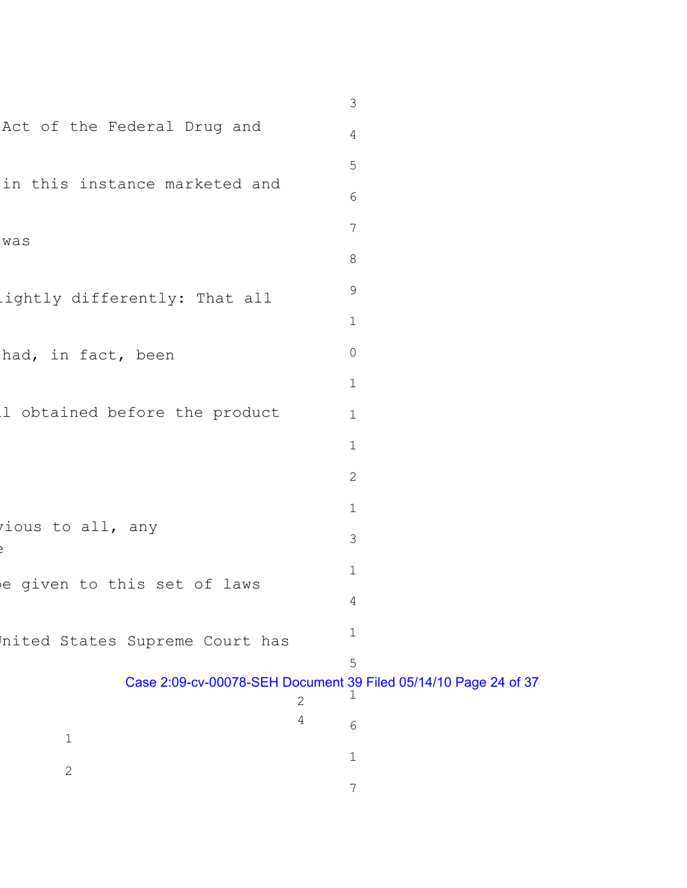|                                | $\mathfrak{Z}$                                                       |
|--------------------------------|----------------------------------------------------------------------|
| Act of the Federal Drug and    | 4                                                                    |
|                                | 5                                                                    |
| in this instance marketed and  | 6                                                                    |
| was                            | $7\phantom{.0}$                                                      |
|                                | 8                                                                    |
| ightly differently: That all   | 9                                                                    |
|                                | $\mathbf 1$                                                          |
| had, in fact, been             | $\mathsf{O}$                                                         |
|                                | $\mathbf 1$                                                          |
| 1 obtained before the product  | $\mathbf 1$                                                          |
|                                | $\mathbf 1$                                                          |
|                                | $\mathbf{2}$                                                         |
|                                | $\mathbf 1$                                                          |
| ious to all, any               | 3                                                                    |
| e given to this set of laws    | $\mathbf 1$                                                          |
|                                | 4                                                                    |
| nited States Supreme Court has | $\mathbf 1$                                                          |
|                                | 5                                                                    |
|                                | Case 2:09-cv-00078-SEH Document 39 Filed 05/14/10 Page 24 of 37<br>2 |
| $\mathbf 1$                    | 4<br>6                                                               |
| $\mathbf{2}$                   | $\mathbf 1$                                                          |
|                                | 7                                                                    |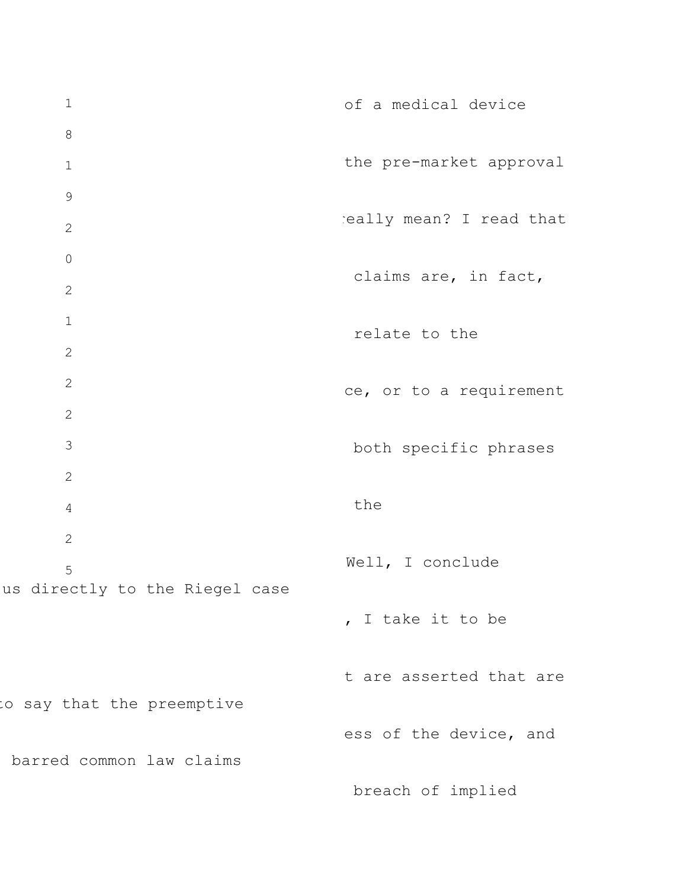1 8 1 9 2 0 2 1 2 2 2 3 2 4 2 5 us directly to the Riegel case to say that the preemptive barred common law claims of a medical device the pre-market approval really mean? I read that claims are, in fact, relate to the ce, or to a requirement both specific phrases the Well, I conclude , I take it to be t are asserted that are ess of the device, and breach of implied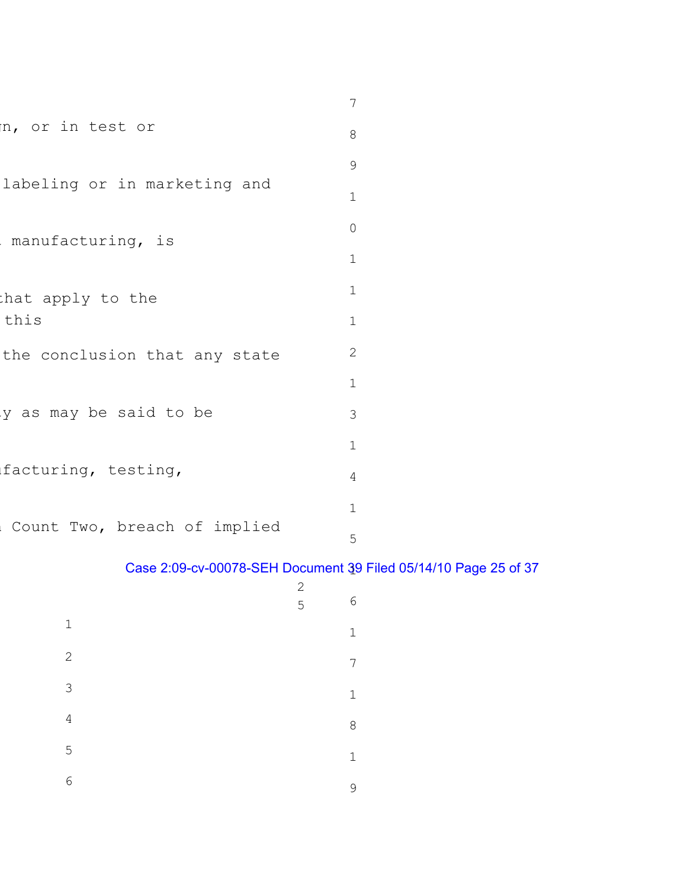|                               | 7           |  |  |
|-------------------------------|-------------|--|--|
| n, or in test or              | 8           |  |  |
|                               | 9           |  |  |
| labeling or in marketing and  |             |  |  |
| manufacturing, is             |             |  |  |
|                               | $\mathbf 1$ |  |  |
| that apply to the             |             |  |  |
| this                          | $\mathbf 1$ |  |  |
| the conclusion that any state | 2           |  |  |
|                               | $\mathbf 1$ |  |  |
| ly as may be said to be       | 3           |  |  |
|                               | $\mathbf 1$ |  |  |
| facturing, testing,           | 4           |  |  |
|                               | 1           |  |  |
| Count Two, breach of implied  | 5           |  |  |

# Case 2:09-cv-00078-SEH Document 39 Filed 05/14/10 Page 25 of 37 1

|               | $\mathbf{2}$<br>5 <sup>5</sup> | $\sqrt{6}$  |
|---------------|--------------------------------|-------------|
| $\mathbf 1$   |                                | $\mathbf 1$ |
| $\sqrt{2}$    |                                | 7           |
| $\mathcal{S}$ |                                | $\mathbf 1$ |
| $\sqrt{4}$    |                                | $\,8\,$     |
| 5             |                                | $\mathbf 1$ |
| $\sqrt{6}$    |                                | $\mathsf 9$ |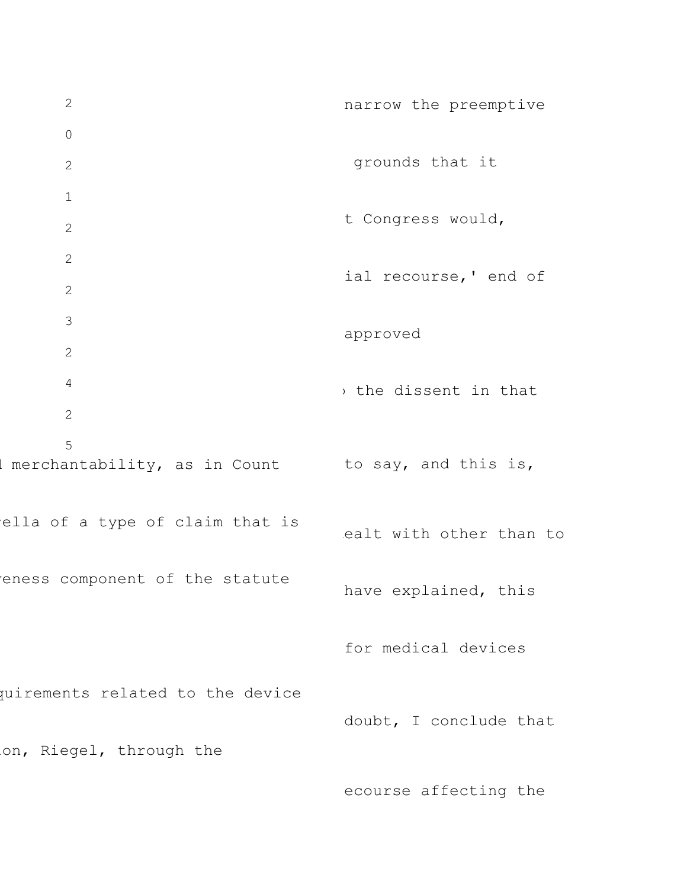2 0 2 1 2 2 2 3 2 4 2 5 I merchantability, as in Count to say, and this is, ella of a type of claim that is eness component of the statute quirements related to the device on, Riegel, through the narrow the preemptive grounds that it t Congress would, ial recourse,' end of approved , the dissent in that ealt with other than to have explained, this for medical devices doubt, I conclude that

ecourse affecting the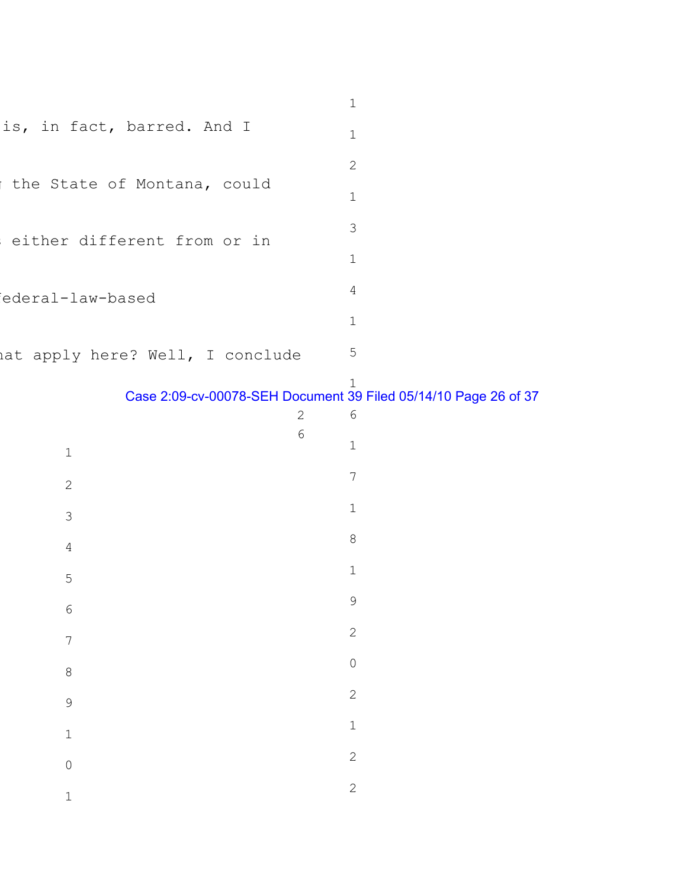|                                  | 1 |
|----------------------------------|---|
| is, in fact, barred. And I       | 1 |
|                                  | 2 |
| the State of Montana, could      | 1 |
| either different from or in      | 3 |
|                                  | 1 |
| iederal-law-based                | 4 |
|                                  | 1 |
| hat apply here? Well, I conclude | 5 |

## Case 2:09-cv-00078-SEH Document 39 Filed 05/14/10 Page 26 of 37

|                | $\sqrt{2}$     | $\sqrt{6}$                       |
|----------------|----------------|----------------------------------|
| $\mathbbm{1}$  | $\overline{6}$ | $\mathbf 1$                      |
| $\overline{c}$ |                | $\overline{7}$                   |
| $\overline{3}$ |                | $\mathbbm{1}$                    |
| $\overline{4}$ |                | $\begin{array}{c} 8 \end{array}$ |
| $\overline{5}$ |                | $\mathbf{1}$                     |
| $\overline{6}$ |                | $\mathcal{G}$                    |
| $\overline{7}$ |                | $\overline{c}$                   |
| $\theta$       |                | $\overline{O}$                   |
| 9              |                | $\mathbf{2}$                     |
| $\mathbf 1$    |                | $\mathbf 1$                      |
| $\overline{0}$ |                | $\overline{c}$                   |
| $\mathbf 1$    |                | $\overline{c}$                   |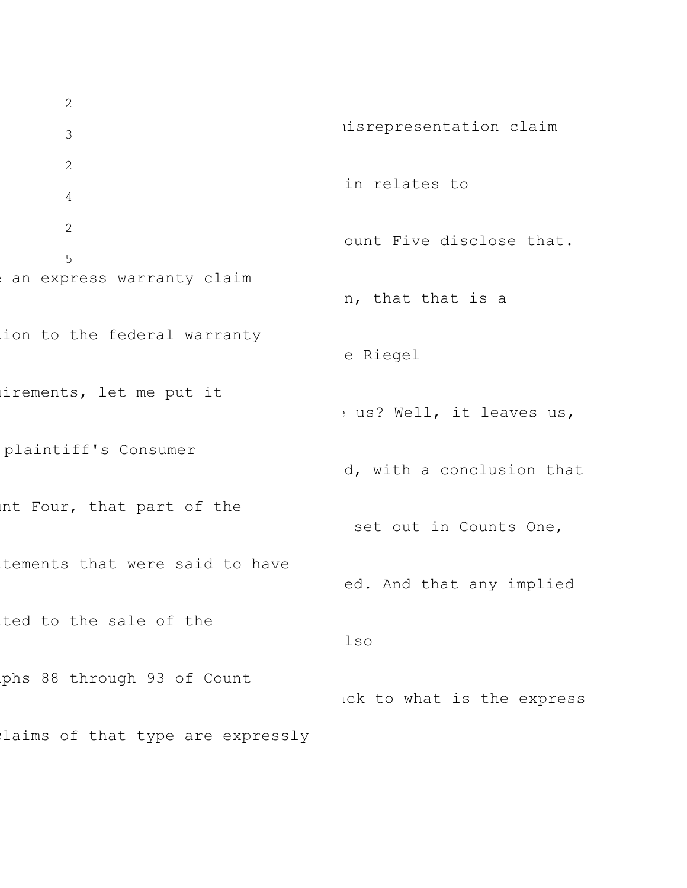2 3 2 4 2 5 an express warranty claim ion to the federal warranty irements, let me put it plaintiff's Consumer unt Four, that part of the tements that were said to have ted to the sale of the phs 88 through 93 of Count laims of that type are expressly misrepresentation claim in relates to ount Five disclose that. n, that that is a e Riegel e us? Well, it leaves us, d, with a conclusion that set out in Counts One, ed. And that any implied lso ack to what is the express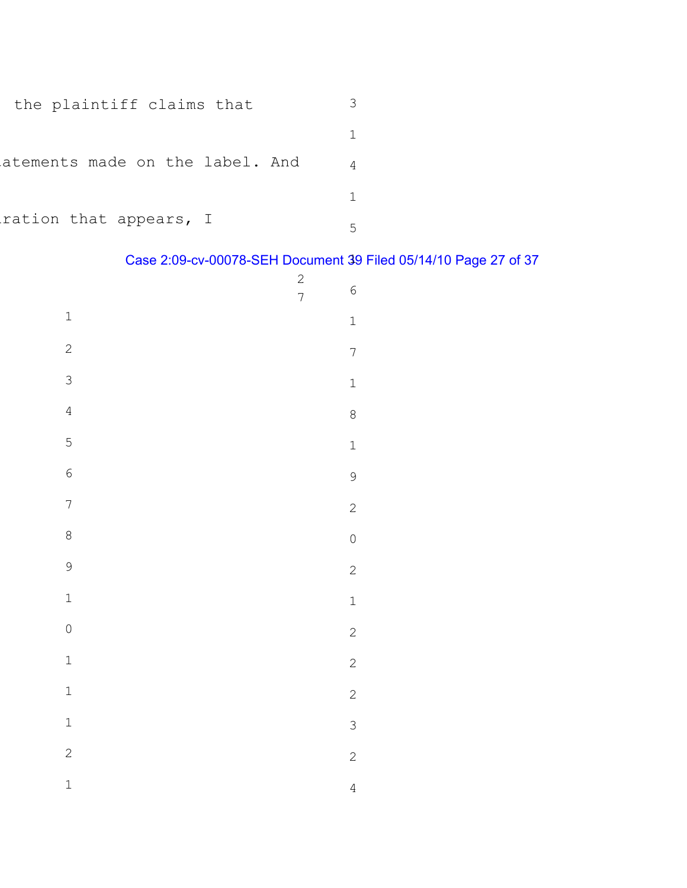| the plaintiff claims that       |  |
|---------------------------------|--|
|                                 |  |
| atements made on the label. And |  |
|                                 |  |
| ration that appears, I          |  |

# Case 2:09-cv-00078-SEH Document 39 Filed 05/14/10 Page 27 of 37 1

|                | $\overline{c}$<br>$\overline{7}$ | $\overline{6}$ |
|----------------|----------------------------------|----------------|
| $\mathbf{1}$   |                                  | $\mathbf{1}$   |
| $\overline{c}$ |                                  | $\overline{7}$ |
| $\overline{3}$ |                                  | $\mathbf{1}$   |
| $\overline{4}$ |                                  | 8              |
| $\overline{5}$ |                                  | $\mathbf{1}$   |
| $\overline{6}$ |                                  | 9              |
| $\overline{7}$ |                                  | $\overline{c}$ |
| 8              |                                  | $\overline{O}$ |
| 9              |                                  | $\overline{c}$ |
| $\mathbf{1}$   |                                  | $\mathbf{1}$   |
| $\circ$        |                                  | $\overline{c}$ |
| $\mathbf{1}$   |                                  | $\overline{c}$ |
| $\overline{1}$ |                                  | $\overline{c}$ |
| $\mathbf{1}$   |                                  | 3              |
| $\overline{c}$ |                                  | $\overline{c}$ |
| $\mathbf{1}$   |                                  | $\overline{4}$ |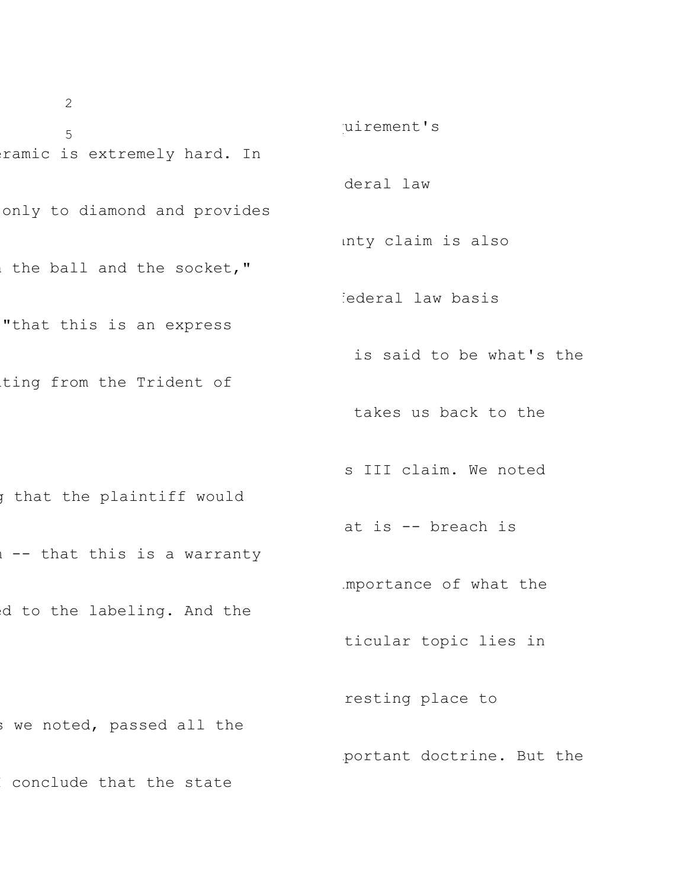2 5 ramic is extremely hard. In only to diamond and provides the ball and the socket," "that this is an express ting from the Trident of g that the plaintiff would 1 -- that this is a warranty d to the labeling. And the s we noted, passed all the conclude that the state uirement's deral law anty claim is also iederal law basis is said to be what's the takes us back to the s III claim. We noted at is -- breach is importance of what the ticular topic lies in resting place to mportant doctrine. But the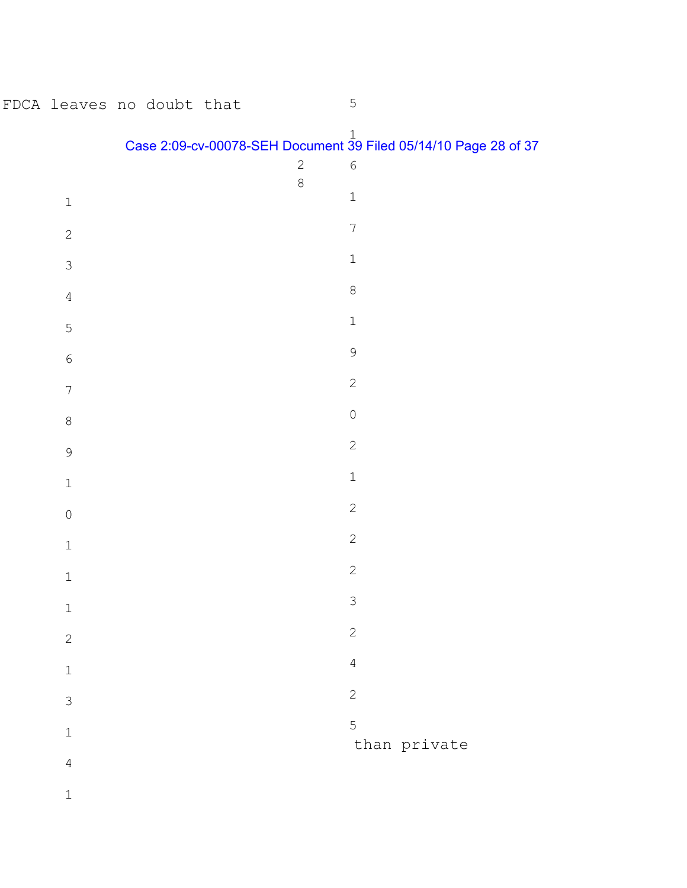| FDCA leaves no doubt that |  |  |              | $\mathsf S$                                                                               |  |
|---------------------------|--|--|--------------|-------------------------------------------------------------------------------------------|--|
|                           |  |  | $\mathbf{2}$ | Case 2:09-cv-00078-SEH Document $\frac{1}{39}$ Filed 05/14/10 Page 28 of 37<br>$\epsilon$ |  |
| $\mathbf 1$               |  |  | 8            | $\mathbf 1$                                                                               |  |
| $\sqrt{2}$                |  |  |              | $\overline{7}$                                                                            |  |
| $\mathsf 3$               |  |  |              | $\mathbf 1$                                                                               |  |
| $\overline{4}$            |  |  |              | $\,8\,$                                                                                   |  |
| $\mathsf S$               |  |  |              | $\mathbbm{1}$                                                                             |  |
| $\epsilon$                |  |  |              | $\mathsf 9$                                                                               |  |
| $\sqrt{}$                 |  |  |              | $\sqrt{2}$                                                                                |  |
| $\,8\,$                   |  |  |              | $\mathsf O$                                                                               |  |
| $\mathsf 9$               |  |  |              | $\sqrt{2}$                                                                                |  |
| $1\,$                     |  |  |              | $\mathbbm{1}$                                                                             |  |
| $\mathsf{O}$              |  |  |              | $\mathbf{2}$                                                                              |  |
| $\mathbbm{1}$             |  |  |              | $\sqrt{2}$                                                                                |  |
| $\mathbf 1$               |  |  |              | $\sqrt{2}$                                                                                |  |
| $\mathbf 1$               |  |  |              | 3                                                                                         |  |
| $\mathbf{2}$              |  |  |              | $\sqrt{2}$                                                                                |  |
| $\mathbf 1$               |  |  |              | $\sqrt{4}$                                                                                |  |
| $\mathsf 3$               |  |  |              | $\sqrt{2}$                                                                                |  |
| $\mathbf 1$               |  |  |              | 5<br>than private                                                                         |  |
| $\overline{4}$            |  |  |              |                                                                                           |  |
| $\mathbf 1$               |  |  |              |                                                                                           |  |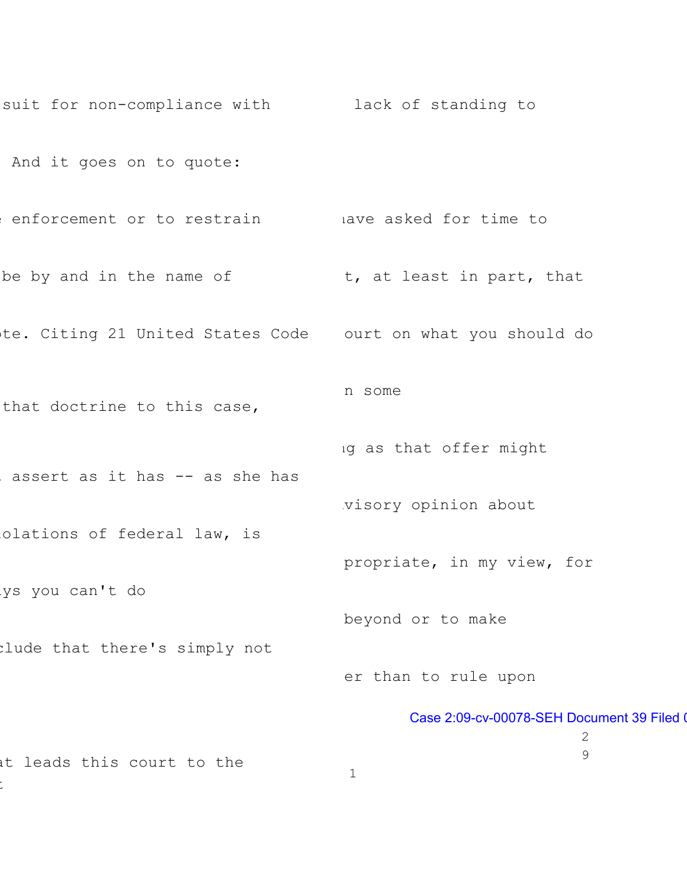```
suit for non-compliance with
lack of standing to
And it goes on to quote:
enforcement or to restrain and lave asked for time to
 be by and in the name of the sector to the sector in part, that
te. Citing 21 United States Code ourt on what you should do
that doctrine to this case,
assert as it has -- as she has
olations of federal law, is
ys you can't do
clude that there's simply not
at leads this court to the
t
                                    n some
                                    ng as that offer might
                                     visory opinion about
                                     propriate, in my view, for
                                     beyond or to make
                                     er than to rule upon
                                            Case 2:09-cv-00078-SEH Document 39 Filed 0
                                                              2
                                                              9
                                     1
```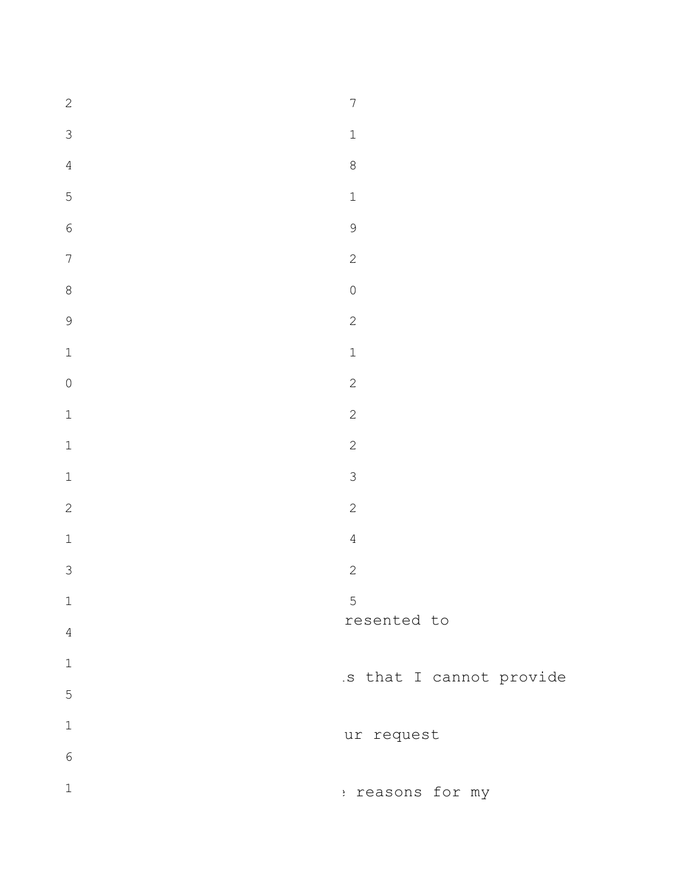| $\overline{c}$ | $\overline{7}$                   |
|----------------|----------------------------------|
| 3              | $\mathbbm{1}$                    |
| $\overline{4}$ | $\,8\,$                          |
| 5              | $\mathbf 1$                      |
| $\sqrt{6}$     | 9                                |
| $\overline{7}$ | $\overline{c}$                   |
| 8              | $\begin{array}{c} \n\end{array}$ |
| 9              | $\overline{c}$                   |
| $\mathbf{1}$   | $\mathbf 1$                      |
| $\mathbf 0$    | $\mathbf{2}$                     |
| $\mathbbm{1}$  | $\overline{c}$                   |
| $\mathbbm{1}$  | $\overline{c}$                   |
| $\mathbf 1$    | $\mathcal{S}$                    |
| $\overline{c}$ | $\overline{c}$                   |
| $\mathbf 1$    | $\overline{4}$                   |
| 3              | $\sqrt{2}$                       |
| $\mathbf 1$    | 5                                |
| $\overline{4}$ | resented to                      |
| $\mathbf 1$    | .s that I cannot provide         |
| 5              |                                  |
| $\mathbf 1$    | ur request                       |
| $\sqrt{6}$     |                                  |
| $\mathbf 1$    | : reasons for my                 |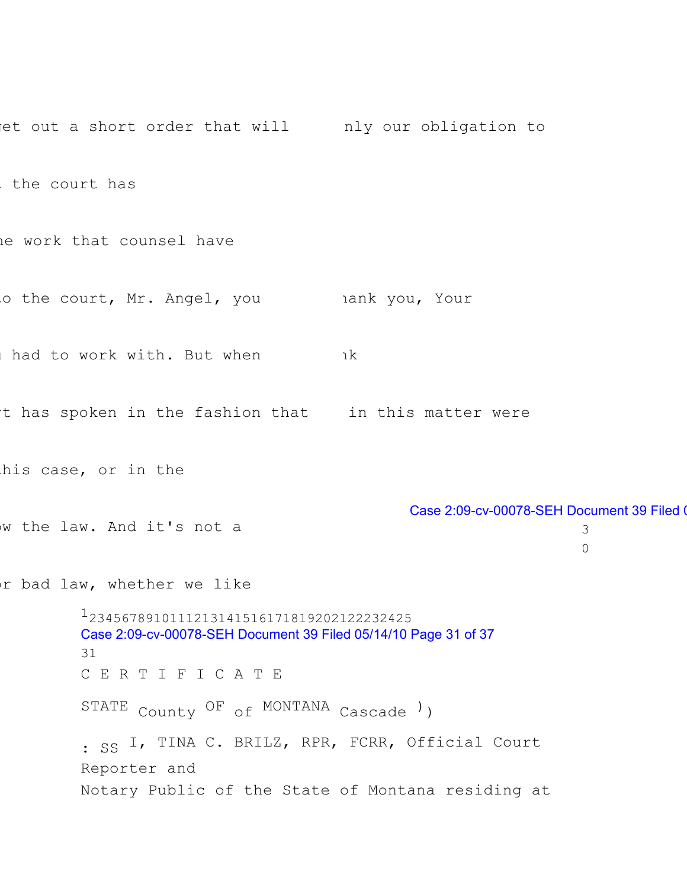et out a short order that will only our obligation to the court has he work that counsel have o the court, Mr. Angel, you hank you, Your u had to work with. But when t has spoken in the fashion that in this matter were his case, or in the w the law. And it's not a or bad law, whether we like nk basebaran ka Case 2:09-cv-00078-SEH Document 39 Filed 0 3  $\Omega$ 12345678910111213141516171819202122232425 Case 2:09-cv-00078-SEH Document 39 Filed 05/14/10 Page 31 of 37 31 C E R T I F I C A T E STATE County OF of MONTANA Cascade ) ) : SS I, TINA C. BRILZ, RPR, FCRR, Official Court Reporter and Notary Public of the State of Montana residing at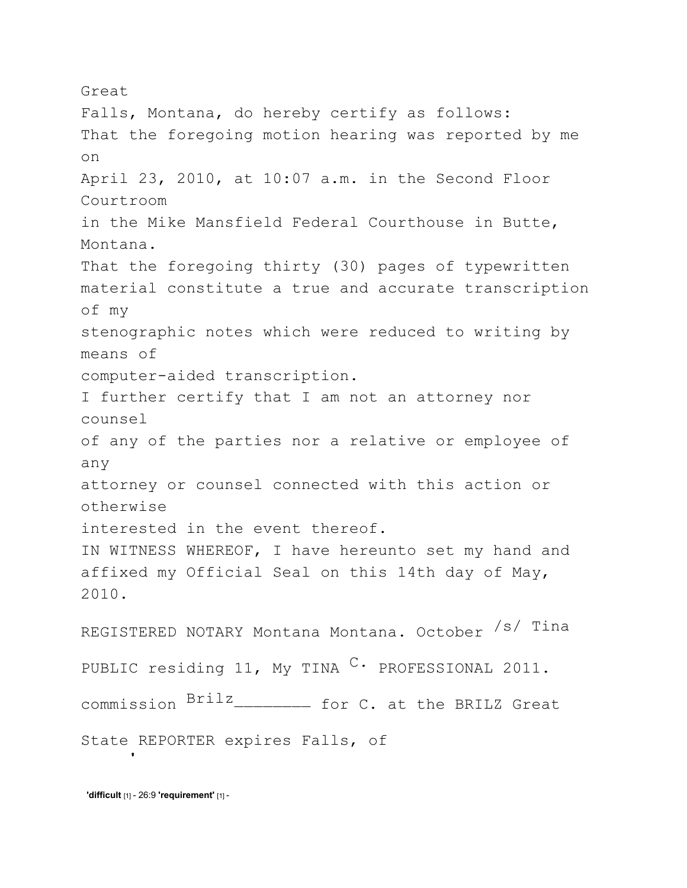Great Falls, Montana, do hereby certify as follows: That the foregoing motion hearing was reported by me on April 23, 2010, at 10:07 a.m. in the Second Floor Courtroom in the Mike Mansfield Federal Courthouse in Butte, Montana. That the foregoing thirty (30) pages of typewritten material constitute a true and accurate transcription of my stenographic notes which were reduced to writing by means of computer-aided transcription. I further certify that I am not an attorney nor counsel of any of the parties nor a relative or employee of any attorney or counsel connected with this action or otherwise interested in the event thereof. IN WITNESS WHEREOF, I have hereunto set my hand and affixed my Official Seal on this 14th day of May, 2010. REGISTERED NOTARY Montana Montana. October /s/ Tina PUBLIC residing 11, My TINA  $\text{C}$ . PROFESSIONAL 2011. commission  $B^{\text{rilz}}$ <sub>---------</sub> for C. at the BRILZ Great State REPORTER expires Falls, of

**'difficult** [1] - 26:9 **'requirement'** [1] -

**'**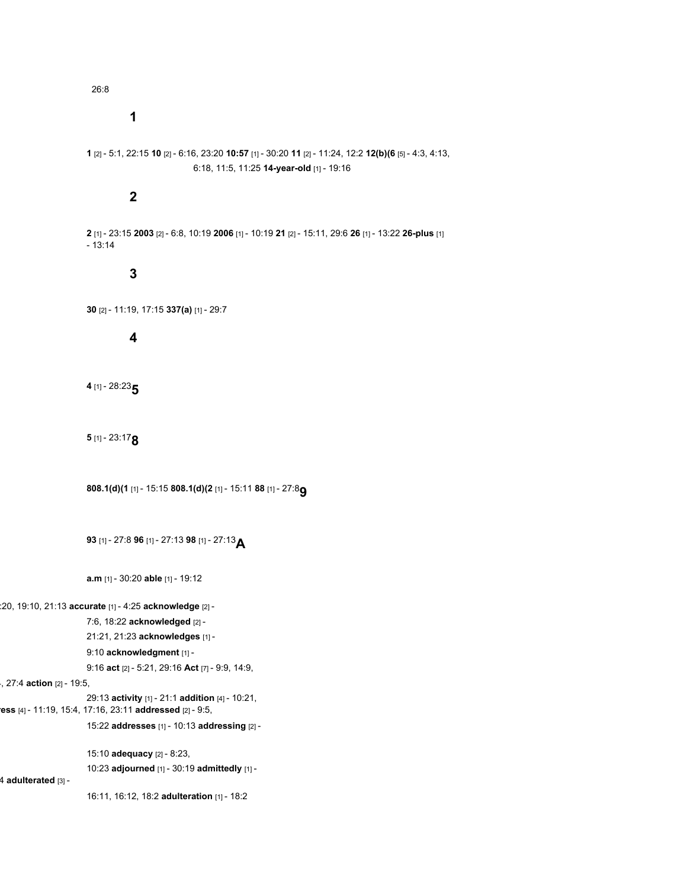26:8

**1**

```
1 [2] - 5:1, 22:15 10 [2] - 6:16, 23:20 10:57 [1] - 30:20 11 [2] - 11:24, 12:2 12(b)(6 [5] - 4:3, 4:13,
                             6:18, 11:5, 11:25 14-year-old [1] - 19:16
```
# **2**

**2** [1] - 23:15 **2003** [2] - 6:8, 10:19 **2006** [1] - 10:19 **21** [2] - 15:11, 29:6 **26** [1] - 13:22 **26-plus** [1] - 13:14

# **3**

**30** [2] - 11:19, 17:15 **337(a)** [1] - 29:7

#### **4**

**<sup>4</sup>** [1] - 28:23**5**

## **<sup>5</sup>** [1] - 23:17**8**

**808.1(d)(1** [1] - 15:15 **808.1(d)(2** [1] - 15:11 **<sup>88</sup>** [1] - 27:8**9**

**<sup>93</sup>** [1] - 27:8 **<sup>96</sup>** [1] - 27:13 **<sup>98</sup>** [1] - 27:13**A**

**a.m** [1] - 30:20 **able** [1] - 19:12

#### :20, 19:10, 21:13 **accurate** [1] - 4:25 **acknowledge** [2] -

7:6, 18:22 **acknowledged** [2] -

21:21, 21:23 **acknowledges** [1] -

# 9:10 **acknowledgment** [1] -

9:16 **act** [2] - 5:21, 29:16 **Act** [7] - 9:9, 14:9,

### 4, 27:4 **action** [2] - 19:5,

29:13 **activity** [1] - 21:1 **addition** [4] - 10:21, **ress** [4] - 11:19, 15:4, 17:16, 23:11 **addressed** [2] - 9:5,

15:22 **addresses** [1] - 10:13 **addressing** [2] -

15:10 **adequacy** [2] - 8:23, 10:23 **adjourned** [1] - 30:19 **admittedly** [1] -

4 **adulterated** [3] -

16:11, 16:12, 18:2 **adulteration** [1] - 18:2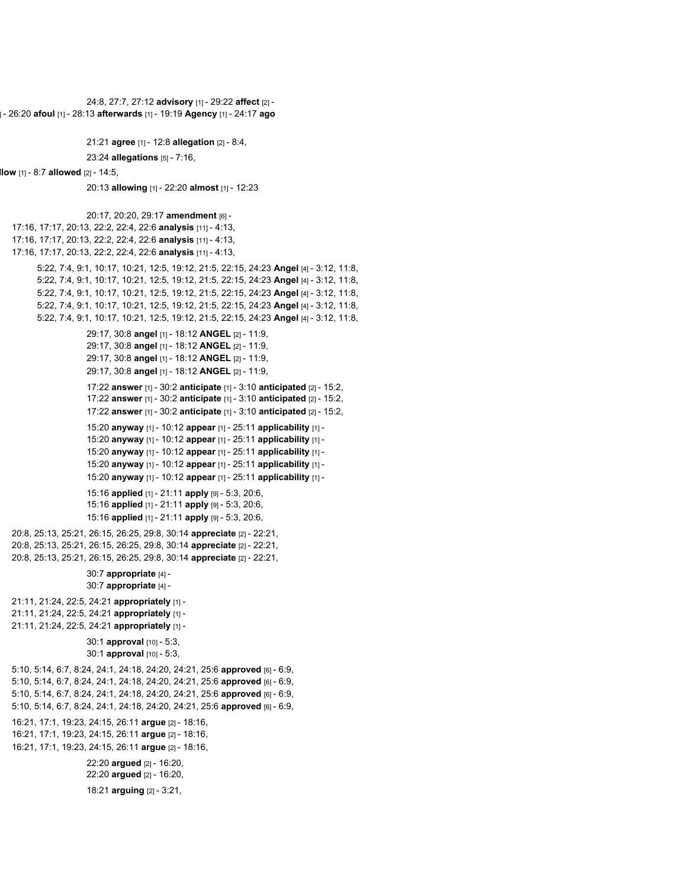```
24:8, 27:7, 27:12 advisory [1] - 29:22 affect [2] -
] - 26:20 afoul [1] - 28:13 afterwards [1] - 19:19 Agency [1] - 24:17 ago
                      21:21 agree [1] - 12:8 allegation [2] - 8:4,
                      23:24 allegations [5] - 7:16,
llow [1] - 8:7 allowed [2] - 14:5,
                      20:13 allowing [1] - 22:20 almost [1] - 12:23
                      20:17, 20:20, 29:17 amendment [6] -
  17:16, 17:17, 20:13, 22:2, 22:4, 22:6 analysis [11] - 4:13,
  17:16, 17:17, 20:13, 22:2, 22:4, 22:6 analysis [11] - 4:13,
  17:16, 17:17, 20:13, 22:2, 22:4, 22:6 analysis [11] - 4:13,
         5:22, 7:4, 9:1, 10:17, 10:21, 12:5, 19:12, 21:5, 22:15, 24:23 Angel [4] - 3:12, 11:8,
         5:22, 7:4, 9:1, 10:17, 10:21, 12:5, 19:12, 21:5, 22:15, 24:23 Angel [4] - 3:12, 11:8,
         5:22, 7:4, 9:1, 10:17, 10:21, 12:5, 19:12, 21:5, 22:15, 24:23 Angel [4] - 3:12, 11:8,
         5:22, 7:4, 9:1, 10:17, 10:21, 12:5, 19:12, 21:5, 22:15, 24:23 Angel [4] - 3:12, 11:8,
         5:22, 7:4, 9:1, 10:17, 10:21, 12:5, 19:12, 21:5, 22:15, 24:23 Angel [4] - 3:12, 11:8,
                      29:17, 30:8 angel [1] - 18:12 ANGEL [2] - 11:9,
                      29:17, 30:8 angel [1] - 18:12 ANGEL [2] - 11:9,
                      29:17, 30:8 angel [1] - 18:12 ANGEL [2] - 11:9,
                      29:17, 30:8 angel [1] - 18:12 ANGEL [2] - 11:9,
                      17:22 answer [1] - 30:2 anticipate [1] - 3:10 anticipated [2] - 15:2,
                      17:22 answer [1] - 30:2 anticipate [1] - 3:10 anticipated [2] - 15:2,
                      17:22 answer [1] - 30:2 anticipate [1] - 3:10 anticipated [2] - 15:2,
                      15:20 anyway [1] - 10:12 appear [1] - 25:11 applicability [1] -
                      15:20 anyway [1] - 10:12 appear [1] - 25:11 applicability [1] -
                      15:20 anyway [1] - 10:12 appear [1] - 25:11 applicability [1] -
                      15:20 anyway [1] - 10:12 appear [1] - 25:11 applicability [1] -
                      15:20 anyway [1] - 10:12 appear [1] - 25:11 applicability [1] -
                      15:16 applied [1] - 21:11 apply [9] - 5:3, 20:6,
                      15:16 applied [1] - 21:11 apply [9] - 5:3, 20:6,
                      15:16 applied [1] - 21:11 apply [9] - 5:3, 20:6,
  20:8, 25:13, 25:21, 26:15, 26:25, 29:8, 30:14 appreciate [2] - 22:21,
  20:8, 25:13, 25:21, 26:15, 26:25, 29:8, 30:14 appreciate [2] - 22:21,
  20:8, 25:13, 25:21, 26:15, 26:25, 29:8, 30:14 appreciate [2] - 22:21,
                      30:7 appropriate [4] -
                      30:7 appropriate [4] -
  21:11, 21:24, 22:5, 24:21 appropriately [1] -
  21:11, 21:24, 22:5, 24:21 appropriately [1] -
  21:11, 21:24, 22:5, 24:21 appropriately [1] -
                      30:1 approval [10] - 5:3,
                      30:1 approval [10] - 5:3,
  5:10, 5:14, 6:7, 8:24, 24:1, 24:18, 24:20, 24:21, 25:6 approved [6] - 6:9,
  5:10, 5:14, 6:7, 8:24, 24:1, 24:18, 24:20, 24:21, 25:6 approved [6] - 6:9,
  5:10, 5:14, 6:7, 8:24, 24:1, 24:18, 24:20, 24:21, 25:6 approved [6] - 6:9,
  5:10, 5:14, 6:7, 8:24, 24:1, 24:18, 24:20, 24:21, 25:6 approved [6] - 6:9,
  16:21, 17:1, 19:23, 24:15, 26:11 argue [2] - 18:16,
  16:21, 17:1, 19:23, 24:15, 26:11 argue [2] - 18:16,
  16:21, 17:1, 19:23, 24:15, 26:11 argue [2] - 18:16,
                      22:20 argued [2] - 16:20,
                      22:20 argued [2] - 16:20,
                      18:21 arguing [2] - 3:21,
```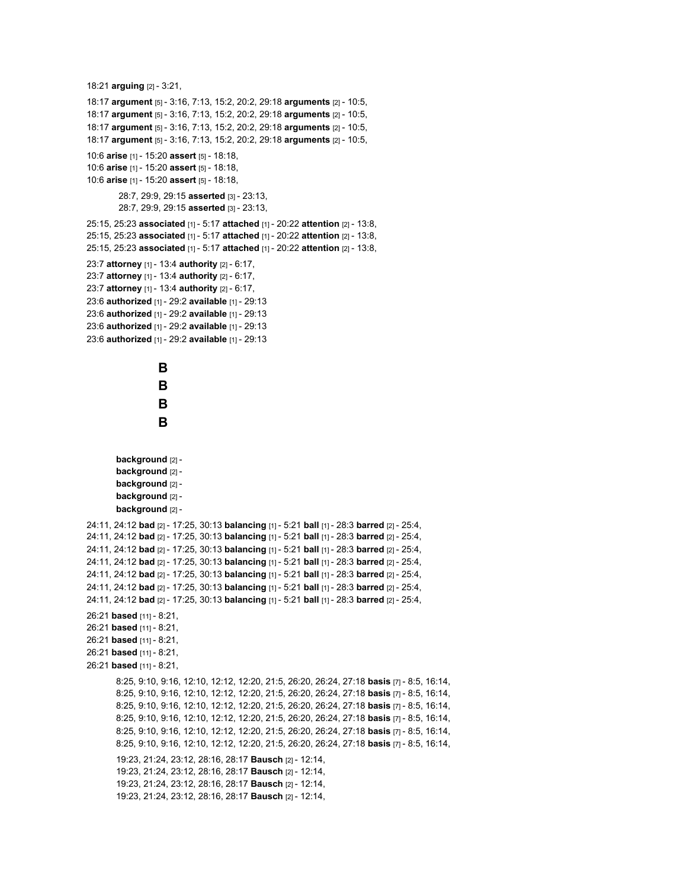```
18:21 arguing [2] - 3:21,
18:17 argument [5] - 3:16, 7:13, 15:2, 20:2, 29:18 arguments [2] - 10:5,
18:17 argument [5] - 3:16, 7:13, 15:2, 20:2, 29:18 arguments [2] - 10:5,
18:17 argument [5] - 3:16, 7:13, 15:2, 20:2, 29:18 arguments [2] - 10:5,
18:17 argument [5] - 3:16, 7:13, 15:2, 20:2, 29:18 arguments [2] - 10:5,
10:6 arise [1] - 15:20 assert [5] - 18:18,
10:6 arise [1] - 15:20 assert [5] - 18:18,
10:6 arise [1] - 15:20 assert [5] - 18:18,
        28:7, 29:9, 29:15 asserted [3] - 23:13,
        28:7, 29:9, 29:15 asserted [3] - 23:13,
25:15, 25:23 associated [1] - 5:17 attached [1] - 20:22 attention [2] - 13:8,
25:15, 25:23 associated [1] - 5:17 attached [1] - 20:22 attention [2] - 13:8,
25:15, 25:23 associated [1] - 5:17 attached [1] - 20:22 attention [2] - 13:8,
23:7 attorney [1] - 13:4 authority [2] - 6:17,
23:7 attorney [1] - 13:4 authority [2] - 6:17,
23:7 attorney [1] - 13:4 authority [2] - 6:17,
23:6 authorized [1] - 29:2 available [1] - 29:13
23:6 authorized [1] - 29:2 available [1] - 29:13
23:6 authorized [1] - 29:2 available [1] - 29:13
23:6 authorized [1] - 29:2 available [1] - 29:13
                   B
                   B
                   B
                   B
        background [2] -
       background [2] -
       background [2] -
       background [2] -
        background [2] -
24:11, 24:12 bad [2] - 17:25, 30:13 balancing [1] - 5:21 ball [1] - 28:3 barred [2] - 25:4,
24:11, 24:12 bad [2] - 17:25, 30:13 balancing [1] - 5:21 ball [1] - 28:3 barred [2] - 25:4,
24:11, 24:12 bad [2] - 17:25, 30:13 balancing [1] - 5:21 ball [1] - 28:3 barred [2] - 25:4,
24:11, 24:12 bad [2] - 17:25, 30:13 balancing [1] - 5:21 ball [1] - 28:3 barred [2] - 25:4,
24:11, 24:12 bad [2] - 17:25, 30:13 balancing [1] - 5:21 ball [1] - 28:3 barred [2] - 25:4,
24:11, 24:12 bad [2] - 17:25, 30:13 balancing [1] - 5:21 ball [1] - 28:3 barred [2] - 25:4,
24:11, 24:12 bad [2] - 17:25, 30:13 balancing [1] - 5:21 ball [1] - 28:3 barred [2] - 25:4,
26:21 based [11] - 8:21,
26:21 based [11] - 8:21,
26:21 based [11] - 8:21,
26:21 based [11] - 8:21,
26:21 based [11] - 8:21,
       8:25, 9:10, 9:16, 12:10, 12:12, 12:20, 21:5, 26:20, 26:24, 27:18 basis [7] - 8:5, 16:14,
       8:25, 9:10, 9:16, 12:10, 12:12, 12:20, 21:5, 26:20, 26:24, 27:18 basis [7] - 8:5, 16:14,
       8:25, 9:10, 9:16, 12:10, 12:12, 12:20, 21:5, 26:20, 26:24, 27:18 basis [7] - 8:5, 16:14,
       8:25, 9:10, 9:16, 12:10, 12:12, 12:20, 21:5, 26:20, 26:24, 27:18 basis [7] - 8:5, 16:14,
       8:25, 9:10, 9:16, 12:10, 12:12, 12:20, 21:5, 26:20, 26:24, 27:18 basis [7] - 8:5, 16:14,
       8:25, 9:10, 9:16, 12:10, 12:12, 12:20, 21:5, 26:20, 26:24, 27:18 basis [7] - 8:5, 16:14,
        19:23, 21:24, 23:12, 28:16, 28:17 Bausch [2] - 12:14,
        19:23, 21:24, 23:12, 28:16, 28:17 Bausch [2] - 12:14,
        19:23, 21:24, 23:12, 28:16, 28:17 Bausch [2] - 12:14,
        19:23, 21:24, 23:12, 28:16, 28:17 Bausch [2] - 12:14,
```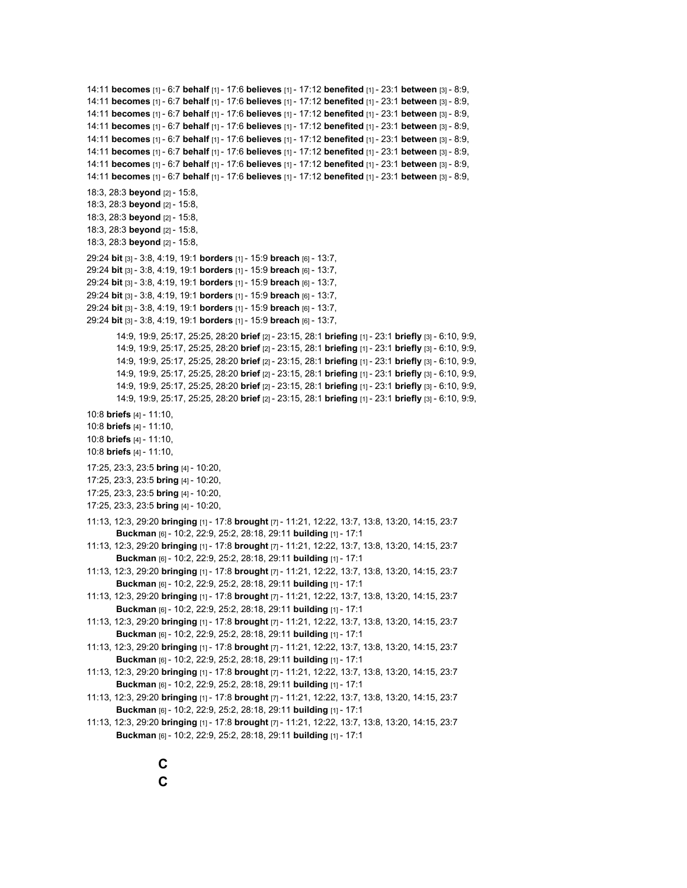```
14:11 becomes [1] - 6:7 behalf [1] - 17:6 believes [1] - 17:12 benefited [1] - 23:1 between [3] - 8:9,
14:11 becomes [1] - 6:7 behalf [1] - 17:6 believes [1] - 17:12 benefited [1] - 23:1 between [3] - 8:9,
14:11 becomes [1] - 6:7 behalf [1] - 17:6 believes [1] - 17:12 benefited [1] - 23:1 between [3] - 8:9,
14:11 becomes [1] - 6:7 behalf [1] - 17:6 believes [1] - 17:12 benefited [1] - 23:1 between [3] - 8:9,
14:11 becomes [1] - 6:7 behalf [1] - 17:6 believes [1] - 17:12 benefited [1] - 23:1 between [3] - 8:9,
14:11 becomes [1] - 6:7 behalf [1] - 17:6 believes [1] - 17:12 benefited [1] - 23:1 between [3] - 8:9,
14:11 becomes [1] - 6:7 behalf [1] - 17:6 believes [1] - 17:12 benefited [1] - 23:1 between [3] - 8:9,
14:11 becomes [1] - 6:7 behalf [1] - 17:6 believes [1] - 17:12 benefited [1] - 23:1 between [3] - 8:9,
18:3, 28:3 beyond [2] - 15:8,
18:3, 28:3 beyond [2] - 15:8,
18:3, 28:3 beyond [2] - 15:8,
18:3, 28:3 beyond [2] - 15:8,
18:3, 28:3 beyond [2] - 15:8,
29:24 bit [3] - 3:8, 4:19, 19:1 borders [1] - 15:9 breach [6] - 13:7,
29:24 bit [3] - 3:8, 4:19, 19:1 borders [1] - 15:9 breach [6] - 13:7,
29:24 bit [3] - 3:8, 4:19, 19:1 borders [1] - 15:9 breach [6] - 13:7,
29:24 bit [3] - 3:8, 4:19, 19:1 borders [1] - 15:9 breach [6] - 13:7,
29:24 bit [3] - 3:8, 4:19, 19:1 borders [1] - 15:9 breach [6] - 13:7,
29:24 bit [3] - 3:8, 4:19, 19:1 borders [1] - 15:9 breach [6] - 13:7,
        14:9, 19:9, 25:17, 25:25, 28:20 brief [2] - 23:15, 28:1 briefing [1] - 23:1 briefly [3] - 6:10, 9:9,
        14:9, 19:9, 25:17, 25:25, 28:20 brief [2] - 23:15, 28:1 briefing [1] - 23:1 briefly [3] - 6:10, 9:9,
        14:9, 19:9, 25:17, 25:25, 28:20 brief [2] - 23:15, 28:1 briefing [1] - 23:1 briefly [3] - 6:10, 9:9,
        14:9, 19:9, 25:17, 25:25, 28:20 brief [2] - 23:15, 28:1 briefing [1] - 23:1 briefly [3] - 6:10, 9:9,
        14:9, 19:9, 25:17, 25:25, 28:20 brief [2] - 23:15, 28:1 briefing [1] - 23:1 briefly [3] - 6:10, 9:9,
        14:9, 19:9, 25:17, 25:25, 28:20 brief [2] - 23:15, 28:1 briefing [1] - 23:1 briefly [3] - 6:10, 9:9,
10:8 briefs [4] - 11:10,
10:8 briefs [4] - 11:10,
10:8 briefs [4] - 11:10,
10:8 briefs [4] - 11:10,
17:25, 23:3, 23:5 bring [4] - 10:20,
17:25, 23:3, 23:5 bring [4] - 10:20,
17:25, 23:3, 23:5 bring [4] - 10:20,
17:25, 23:3, 23:5 bring [4] - 10:20,
11:13, 12:3, 29:20 bringing [1] - 17:8 brought [7] - 11:21, 12:22, 13:7, 13:8, 13:20, 14:15, 23:7
        Buckman [6] - 10:2, 22:9, 25:2, 28:18, 29:11 building [1] - 17:1
11:13, 12:3, 29:20 bringing [1] - 17:8 brought [7] - 11:21, 12:22, 13:7, 13:8, 13:20, 14:15, 23:7
        Buckman [6] - 10:2, 22:9, 25:2, 28:18, 29:11 building [1] - 17:1
11:13, 12:3, 29:20 bringing [1] - 17:8 brought [7] - 11:21, 12:22, 13:7, 13:8, 13:20, 14:15, 23:7
        Buckman [6] - 10:2, 22:9, 25:2, 28:18, 29:11 building [1] - 17:1
11:13, 12:3, 29:20 bringing [1] - 17:8 brought [7] - 11:21, 12:22, 13:7, 13:8, 13:20, 14:15, 23:7
        Buckman [6] - 10:2, 22:9, 25:2, 28:18, 29:11 building [1] - 17:1
11:13, 12:3, 29:20 bringing [1] - 17:8 brought [7] - 11:21, 12:22, 13:7, 13:8, 13:20, 14:15, 23:7
        Buckman [6] - 10:2, 22:9, 25:2, 28:18, 29:11 building [1] - 17:1
11:13, 12:3, 29:20 bringing [1] - 17:8 brought [7] - 11:21, 12:22, 13:7, 13:8, 13:20, 14:15, 23:7
        Buckman [6] - 10:2, 22:9, 25:2, 28:18, 29:11 building [1] - 17:1
11:13, 12:3, 29:20 bringing [1] - 17:8 brought [7] - 11:21, 12:22, 13:7, 13:8, 13:20, 14:15, 23:7
        Buckman [6] - 10:2, 22:9, 25:2, 28:18, 29:11 building [1] - 17:1
11:13, 12:3, 29:20 bringing [1] - 17:8 brought [7] - 11:21, 12:22, 13:7, 13:8, 13:20, 14:15, 23:7
        Buckman [6] - 10:2, 22:9, 25:2, 28:18, 29:11 building [1] - 17:1
11:13, 12:3, 29:20 bringing [1] - 17:8 brought [7] - 11:21, 12:22, 13:7, 13:8, 13:20, 14:15, 23:7
       Buckman [6] - 10:2, 22:9, 25:2, 28:18, 29:11 building [1] - 17:1
```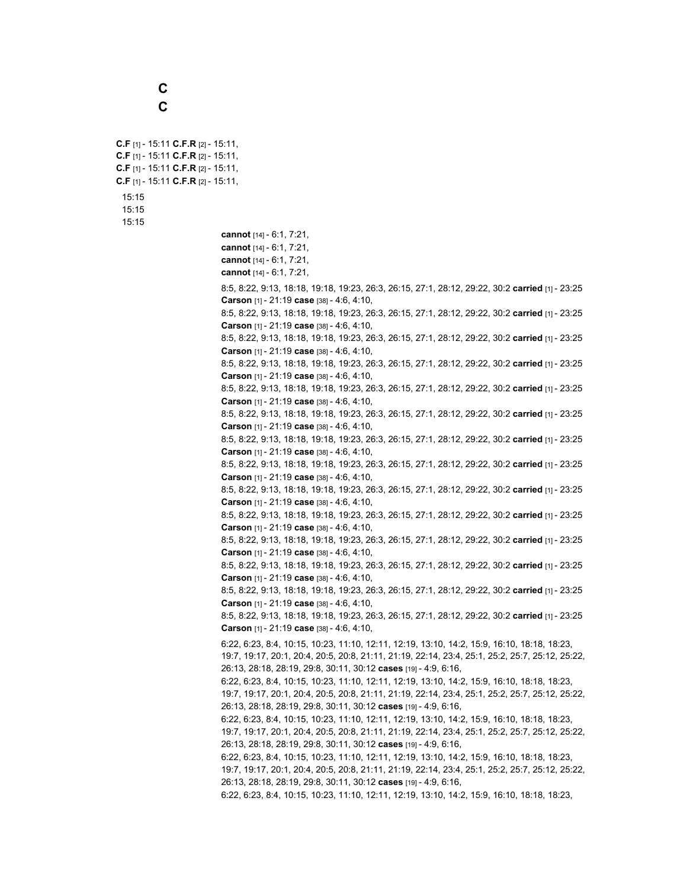**C C**

**C.F** [1] - 15:11 **C.F.R** [2] - 15:11, **C.F** [1] - 15:11 **C.F.R** [2] - 15:11, **C.F** [1] - 15:11 **C.F.R** [2] - 15:11, **C.F** [1] - 15:11 **C.F.R** [2] - 15:11, 15:15 15:15 15:15 **cannot** [14] - 6:1, 7:21, **cannot** [14] - 6:1, 7:21, **cannot** [14] - 6:1, 7:21, **cannot** [14] - 6:1, 7:21, 8:5, 8:22, 9:13, 18:18, 19:18, 19:23, 26:3, 26:15, 27:1, 28:12, 29:22, 30:2 **carried** [1] - 23:25 **Carson** [1] - 21:19 **case** [38] - 4:6, 4:10, 8:5, 8:22, 9:13, 18:18, 19:18, 19:23, 26:3, 26:15, 27:1, 28:12, 29:22, 30:2 **carried** [1] - 23:25 **Carson** [1] - 21:19 **case** [38] - 4:6, 4:10, 8:5, 8:22, 9:13, 18:18, 19:18, 19:23, 26:3, 26:15, 27:1, 28:12, 29:22, 30:2 **carried** [1] - 23:25 **Carson** [1] - 21:19 **case** [38] - 4:6, 4:10, 8:5, 8:22, 9:13, 18:18, 19:18, 19:23, 26:3, 26:15, 27:1, 28:12, 29:22, 30:2 **carried** [1] - 23:25 **Carson** [1] - 21:19 **case** [38] - 4:6, 4:10, 8:5, 8:22, 9:13, 18:18, 19:18, 19:23, 26:3, 26:15, 27:1, 28:12, 29:22, 30:2 **carried** [1] - 23:25 **Carson** [1] - 21:19 **case** [38] - 4:6, 4:10, 8:5, 8:22, 9:13, 18:18, 19:18, 19:23, 26:3, 26:15, 27:1, 28:12, 29:22, 30:2 **carried** [1] - 23:25 **Carson** [1] - 21:19 **case** [38] - 4:6, 4:10, 8:5, 8:22, 9:13, 18:18, 19:18, 19:23, 26:3, 26:15, 27:1, 28:12, 29:22, 30:2 **carried** [1] - 23:25 **Carson** [1] - 21:19 **case** [38] - 4:6, 4:10, 8:5, 8:22, 9:13, 18:18, 19:18, 19:23, 26:3, 26:15, 27:1, 28:12, 29:22, 30:2 **carried** [1] - 23:25 **Carson** [1] - 21:19 **case** [38] - 4:6, 4:10, 8:5, 8:22, 9:13, 18:18, 19:18, 19:23, 26:3, 26:15, 27:1, 28:12, 29:22, 30:2 **carried** [1] - 23:25 **Carson** [1] - 21:19 **case** [38] - 4:6, 4:10, 8:5, 8:22, 9:13, 18:18, 19:18, 19:23, 26:3, 26:15, 27:1, 28:12, 29:22, 30:2 **carried** [1] - 23:25 **Carson** [1] - 21:19 **case** [38] - 4:6, 4:10, 8:5, 8:22, 9:13, 18:18, 19:18, 19:23, 26:3, 26:15, 27:1, 28:12, 29:22, 30:2 **carried** [1] - 23:25 **Carson** [1] - 21:19 **case** [38] - 4:6, 4:10, 8:5, 8:22, 9:13, 18:18, 19:18, 19:23, 26:3, 26:15, 27:1, 28:12, 29:22, 30:2 **carried** [1] - 23:25 **Carson** [1] - 21:19 **case** [38] - 4:6, 4:10, 8:5, 8:22, 9:13, 18:18, 19:18, 19:23, 26:3, 26:15, 27:1, 28:12, 29:22, 30:2 **carried** [1] - 23:25 **Carson** [1] - 21:19 **case** [38] - 4:6, 4:10, 8:5, 8:22, 9:13, 18:18, 19:18, 19:23, 26:3, 26:15, 27:1, 28:12, 29:22, 30:2 **carried** [1] - 23:25 **Carson** [1] - 21:19 **case** [38] - 4:6, 4:10, 6:22, 6:23, 8:4, 10:15, 10:23, 11:10, 12:11, 12:19, 13:10, 14:2, 15:9, 16:10, 18:18, 18:23, 19:7, 19:17, 20:1, 20:4, 20:5, 20:8, 21:11, 21:19, 22:14, 23:4, 25:1, 25:2, 25:7, 25:12, 25:22, 26:13, 28:18, 28:19, 29:8, 30:11, 30:12 **cases** [19] - 4:9, 6:16, 6:22, 6:23, 8:4, 10:15, 10:23, 11:10, 12:11, 12:19, 13:10, 14:2, 15:9, 16:10, 18:18, 18:23, 19:7, 19:17, 20:1, 20:4, 20:5, 20:8, 21:11, 21:19, 22:14, 23:4, 25:1, 25:2, 25:7, 25:12, 25:22, 26:13, 28:18, 28:19, 29:8, 30:11, 30:12 **cases** [19] - 4:9, 6:16, 6:22, 6:23, 8:4, 10:15, 10:23, 11:10, 12:11, 12:19, 13:10, 14:2, 15:9, 16:10, 18:18, 18:23, 19:7, 19:17, 20:1, 20:4, 20:5, 20:8, 21:11, 21:19, 22:14, 23:4, 25:1, 25:2, 25:7, 25:12, 25:22, 26:13, 28:18, 28:19, 29:8, 30:11, 30:12 **cases** [19] - 4:9, 6:16, 6:22, 6:23, 8:4, 10:15, 10:23, 11:10, 12:11, 12:19, 13:10, 14:2, 15:9, 16:10, 18:18, 18:23, 19:7, 19:17, 20:1, 20:4, 20:5, 20:8, 21:11, 21:19, 22:14, 23:4, 25:1, 25:2, 25:7, 25:12, 25:22, 26:13, 28:18, 28:19, 29:8, 30:11, 30:12 **cases** [19] - 4:9, 6:16, 6:22, 6:23, 8:4, 10:15, 10:23, 11:10, 12:11, 12:19, 13:10, 14:2, 15:9, 16:10, 18:18, 18:23,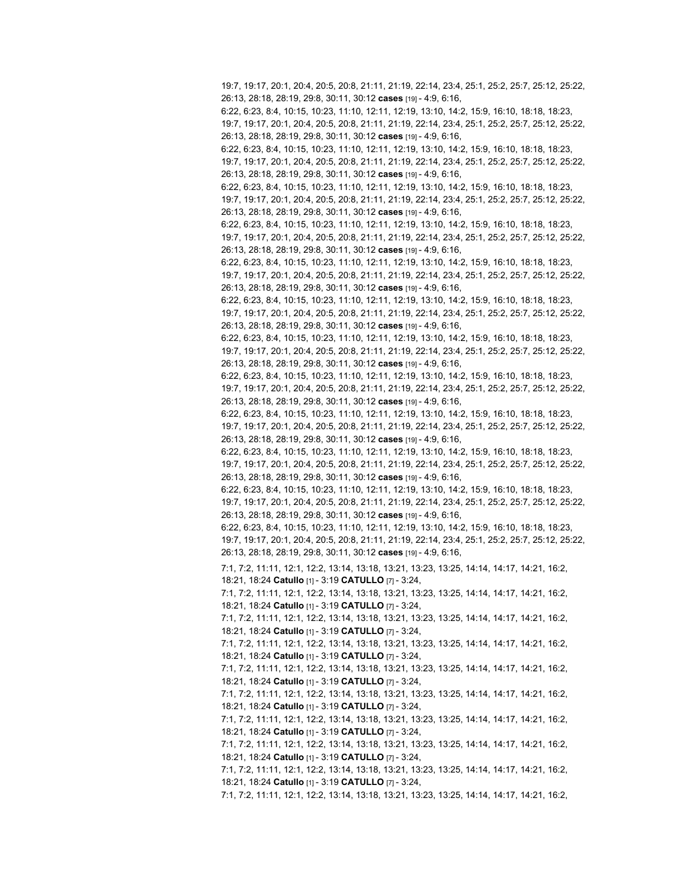19:7, 19:17, 20:1, 20:4, 20:5, 20:8, 21:11, 21:19, 22:14, 23:4, 25:1, 25:2, 25:7, 25:12, 25:22, 26:13, 28:18, 28:19, 29:8, 30:11, 30:12 **cases** [19] - 4:9, 6:16, 6:22, 6:23, 8:4, 10:15, 10:23, 11:10, 12:11, 12:19, 13:10, 14:2, 15:9, 16:10, 18:18, 18:23, 19:7, 19:17, 20:1, 20:4, 20:5, 20:8, 21:11, 21:19, 22:14, 23:4, 25:1, 25:2, 25:7, 25:12, 25:22, 26:13, 28:18, 28:19, 29:8, 30:11, 30:12 **cases** [19] - 4:9, 6:16, 6:22, 6:23, 8:4, 10:15, 10:23, 11:10, 12:11, 12:19, 13:10, 14:2, 15:9, 16:10, 18:18, 18:23, 19:7, 19:17, 20:1, 20:4, 20:5, 20:8, 21:11, 21:19, 22:14, 23:4, 25:1, 25:2, 25:7, 25:12, 25:22, 26:13, 28:18, 28:19, 29:8, 30:11, 30:12 **cases** [19] - 4:9, 6:16, 6:22, 6:23, 8:4, 10:15, 10:23, 11:10, 12:11, 12:19, 13:10, 14:2, 15:9, 16:10, 18:18, 18:23, 19:7, 19:17, 20:1, 20:4, 20:5, 20:8, 21:11, 21:19, 22:14, 23:4, 25:1, 25:2, 25:7, 25:12, 25:22, 26:13, 28:18, 28:19, 29:8, 30:11, 30:12 **cases** [19] - 4:9, 6:16, 6:22, 6:23, 8:4, 10:15, 10:23, 11:10, 12:11, 12:19, 13:10, 14:2, 15:9, 16:10, 18:18, 18:23, 19:7, 19:17, 20:1, 20:4, 20:5, 20:8, 21:11, 21:19, 22:14, 23:4, 25:1, 25:2, 25:7, 25:12, 25:22, 26:13, 28:18, 28:19, 29:8, 30:11, 30:12 **cases** [19] - 4:9, 6:16, 6:22, 6:23, 8:4, 10:15, 10:23, 11:10, 12:11, 12:19, 13:10, 14:2, 15:9, 16:10, 18:18, 18:23, 19:7, 19:17, 20:1, 20:4, 20:5, 20:8, 21:11, 21:19, 22:14, 23:4, 25:1, 25:2, 25:7, 25:12, 25:22, 26:13, 28:18, 28:19, 29:8, 30:11, 30:12 **cases** [19] - 4:9, 6:16, 6:22, 6:23, 8:4, 10:15, 10:23, 11:10, 12:11, 12:19, 13:10, 14:2, 15:9, 16:10, 18:18, 18:23, 19:7, 19:17, 20:1, 20:4, 20:5, 20:8, 21:11, 21:19, 22:14, 23:4, 25:1, 25:2, 25:7, 25:12, 25:22, 26:13, 28:18, 28:19, 29:8, 30:11, 30:12 **cases** [19] - 4:9, 6:16, 6:22, 6:23, 8:4, 10:15, 10:23, 11:10, 12:11, 12:19, 13:10, 14:2, 15:9, 16:10, 18:18, 18:23, 19:7, 19:17, 20:1, 20:4, 20:5, 20:8, 21:11, 21:19, 22:14, 23:4, 25:1, 25:2, 25:7, 25:12, 25:22, 26:13, 28:18, 28:19, 29:8, 30:11, 30:12 **cases** [19] - 4:9, 6:16, 6:22, 6:23, 8:4, 10:15, 10:23, 11:10, 12:11, 12:19, 13:10, 14:2, 15:9, 16:10, 18:18, 18:23, 19:7, 19:17, 20:1, 20:4, 20:5, 20:8, 21:11, 21:19, 22:14, 23:4, 25:1, 25:2, 25:7, 25:12, 25:22, 26:13, 28:18, 28:19, 29:8, 30:11, 30:12 **cases** [19] - 4:9, 6:16, 6:22, 6:23, 8:4, 10:15, 10:23, 11:10, 12:11, 12:19, 13:10, 14:2, 15:9, 16:10, 18:18, 18:23, 19:7, 19:17, 20:1, 20:4, 20:5, 20:8, 21:11, 21:19, 22:14, 23:4, 25:1, 25:2, 25:7, 25:12, 25:22, 26:13, 28:18, 28:19, 29:8, 30:11, 30:12 **cases** [19] - 4:9, 6:16, 6:22, 6:23, 8:4, 10:15, 10:23, 11:10, 12:11, 12:19, 13:10, 14:2, 15:9, 16:10, 18:18, 18:23, 19:7, 19:17, 20:1, 20:4, 20:5, 20:8, 21:11, 21:19, 22:14, 23:4, 25:1, 25:2, 25:7, 25:12, 25:22, 26:13, 28:18, 28:19, 29:8, 30:11, 30:12 **cases** [19] - 4:9, 6:16, 6:22, 6:23, 8:4, 10:15, 10:23, 11:10, 12:11, 12:19, 13:10, 14:2, 15:9, 16:10, 18:18, 18:23, 19:7, 19:17, 20:1, 20:4, 20:5, 20:8, 21:11, 21:19, 22:14, 23:4, 25:1, 25:2, 25:7, 25:12, 25:22, 26:13, 28:18, 28:19, 29:8, 30:11, 30:12 **cases** [19] - 4:9, 6:16, 6:22, 6:23, 8:4, 10:15, 10:23, 11:10, 12:11, 12:19, 13:10, 14:2, 15:9, 16:10, 18:18, 18:23, 19:7, 19:17, 20:1, 20:4, 20:5, 20:8, 21:11, 21:19, 22:14, 23:4, 25:1, 25:2, 25:7, 25:12, 25:22, 26:13, 28:18, 28:19, 29:8, 30:11, 30:12 **cases** [19] - 4:9, 6:16, 7:1, 7:2, 11:11, 12:1, 12:2, 13:14, 13:18, 13:21, 13:23, 13:25, 14:14, 14:17, 14:21, 16:2, 18:21, 18:24 **Catullo** [1] - 3:19 **CATULLO** [7] - 3:24, 7:1, 7:2, 11:11, 12:1, 12:2, 13:14, 13:18, 13:21, 13:23, 13:25, 14:14, 14:17, 14:21, 16:2, 18:21, 18:24 **Catullo** [1] - 3:19 **CATULLO** [7] - 3:24, 7:1, 7:2, 11:11, 12:1, 12:2, 13:14, 13:18, 13:21, 13:23, 13:25, 14:14, 14:17, 14:21, 16:2, 18:21, 18:24 **Catullo** [1] - 3:19 **CATULLO** [7] - 3:24, 7:1, 7:2, 11:11, 12:1, 12:2, 13:14, 13:18, 13:21, 13:23, 13:25, 14:14, 14:17, 14:21, 16:2, 18:21, 18:24 **Catullo** [1] - 3:19 **CATULLO** [7] - 3:24, 7:1, 7:2, 11:11, 12:1, 12:2, 13:14, 13:18, 13:21, 13:23, 13:25, 14:14, 14:17, 14:21, 16:2, 18:21, 18:24 **Catullo** [1] - 3:19 **CATULLO** [7] - 3:24, 7:1, 7:2, 11:11, 12:1, 12:2, 13:14, 13:18, 13:21, 13:23, 13:25, 14:14, 14:17, 14:21, 16:2, 18:21, 18:24 **Catullo** [1] - 3:19 **CATULLO** [7] - 3:24, 7:1, 7:2, 11:11, 12:1, 12:2, 13:14, 13:18, 13:21, 13:23, 13:25, 14:14, 14:17, 14:21, 16:2, 18:21, 18:24 **Catullo** [1] - 3:19 **CATULLO** [7] - 3:24, 7:1, 7:2, 11:11, 12:1, 12:2, 13:14, 13:18, 13:21, 13:23, 13:25, 14:14, 14:17, 14:21, 16:2, 18:21, 18:24 **Catullo** [1] - 3:19 **CATULLO** [7] - 3:24, 7:1, 7:2, 11:11, 12:1, 12:2, 13:14, 13:18, 13:21, 13:23, 13:25, 14:14, 14:17, 14:21, 16:2,

18:21, 18:24 **Catullo** [1] - 3:19 **CATULLO** [7] - 3:24,

7:1, 7:2, 11:11, 12:1, 12:2, 13:14, 13:18, 13:21, 13:23, 13:25, 14:14, 14:17, 14:21, 16:2,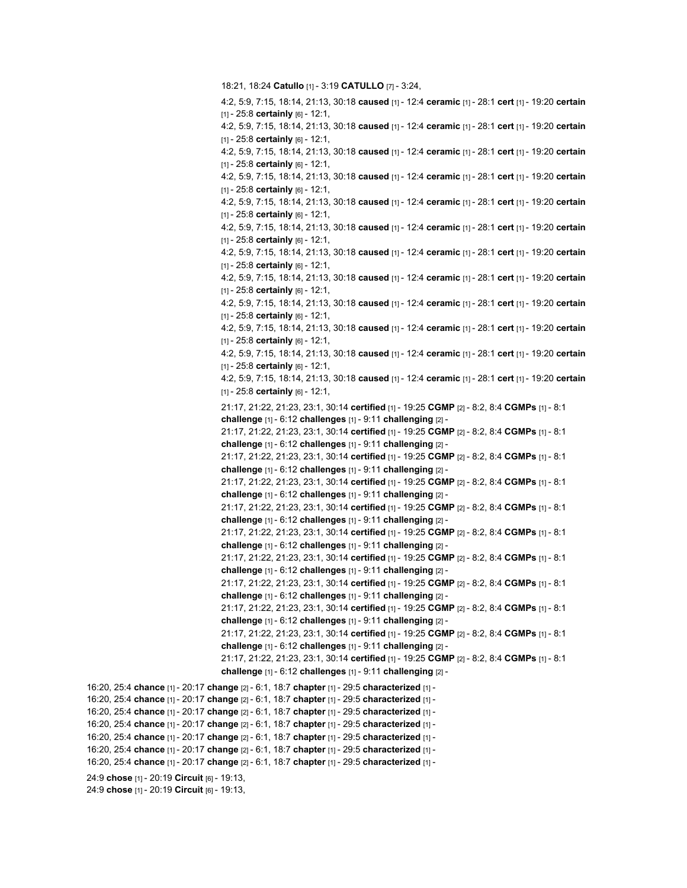```
18:21, 18:24 Catullo [1] - 3:19 CATULLO [7] - 3:24,
                                   4:2, 5:9, 7:15, 18:14, 21:13, 30:18 caused [1] - 12:4 ceramic [1] - 28:1 cert [1] - 19:20 certain
                                   [1] - 25:8 certainly [6] - 12:1,
                                   4:2, 5:9, 7:15, 18:14, 21:13, 30:18 caused [1] - 12:4 ceramic [1] - 28:1 cert [1] - 19:20 certain
                                   [1] - 25:8 certainly [6] - 12:1,
                                   4:2, 5:9, 7:15, 18:14, 21:13, 30:18 caused [1] - 12:4 ceramic [1] - 28:1 cert [1] - 19:20 certain
                                   [1] - 25:8 certainly [6] - 12:1,
                                   4:2, 5:9, 7:15, 18:14, 21:13, 30:18 caused [1] - 12:4 ceramic [1] - 28:1 cert [1] - 19:20 certain
                                   [1] - 25:8 certainly [6] - 12:1,
                                   4:2, 5:9, 7:15, 18:14, 21:13, 30:18 caused [1] - 12:4 ceramic [1] - 28:1 cert [1] - 19:20 certain
                                   [1] - 25:8 certainly [6] - 12:1,
                                   4:2, 5:9, 7:15, 18:14, 21:13, 30:18 caused [1] - 12:4 ceramic [1] - 28:1 cert [1] - 19:20 certain
                                   [1] - 25:8 certainly [6] - 12:1,
                                   4:2, 5:9, 7:15, 18:14, 21:13, 30:18 caused [1] - 12:4 ceramic [1] - 28:1 cert [1] - 19:20 certain
                                   [1] - 25:8 certainly [6] - 12:1,
                                   4:2, 5:9, 7:15, 18:14, 21:13, 30:18 caused [1] - 12:4 ceramic [1] - 28:1 cert [1] - 19:20 certain
                                   [1] - 25:8 certainly [6] - 12:1,
                                   4:2, 5:9, 7:15, 18:14, 21:13, 30:18 caused [1] - 12:4 ceramic [1] - 28:1 cert [1] - 19:20 certain
                                   [1] - 25:8 certainly [6] - 12:1,
                                   4:2, 5:9, 7:15, 18:14, 21:13, 30:18 caused [1] - 12:4 ceramic [1] - 28:1 cert [1] - 19:20 certain
                                   [1] - 25:8 certainly [6] - 12:1,
                                   4:2, 5:9, 7:15, 18:14, 21:13, 30:18 caused [1] - 12:4 ceramic [1] - 28:1 cert [1] - 19:20 certain
                                   [1] - 25:8 certainly [6] - 12:1,
                                   4:2, 5:9, 7:15, 18:14, 21:13, 30:18 caused [1] - 12:4 ceramic [1] - 28:1 cert [1] - 19:20 certain
                                   [1] - 25:8 certainly [6] - 12:1,
                                   21:17, 21:22, 21:23, 23:1, 30:14 certified [1] - 19:25 CGMP [2] - 8:2, 8:4 CGMPs [1] - 8:1
                                   challenge [1] - 6:12 challenges [1] - 9:11 challenging [2] -
                                   21:17, 21:22, 21:23, 23:1, 30:14 certified [1] - 19:25 CGMP [2] - 8:2, 8:4 CGMPs [1] - 8:1
                                   challenge [1] - 6:12 challenges [1] - 9:11 challenging [2] -
                                   21:17, 21:22, 21:23, 23:1, 30:14 certified [1] - 19:25 CGMP [2] - 8:2, 8:4 CGMPs [1] - 8:1
                                   challenge [1] - 6:12 challenges [1] - 9:11 challenging [2] -
                                   21:17, 21:22, 21:23, 23:1, 30:14 certified [1] - 19:25 CGMP [2] - 8:2, 8:4 CGMPs [1] - 8:1
                                   challenge [1] - 6:12 challenges [1] - 9:11 challenging [2] -
                                   21:17, 21:22, 21:23, 23:1, 30:14 certified [1] - 19:25 CGMP [2] - 8:2, 8:4 CGMPs [1] - 8:1
                                   challenge [1] - 6:12 challenges [1] - 9:11 challenging [2] -
                                   21:17, 21:22, 21:23, 23:1, 30:14 certified [1] - 19:25 CGMP [2] - 8:2, 8:4 CGMPs [1] - 8:1
                                   challenge [1] - 6:12 challenges [1] - 9:11 challenging [2] -
                                   21:17, 21:22, 21:23, 23:1, 30:14 certified [1] - 19:25 CGMP [2] - 8:2, 8:4 CGMPs [1] - 8:1
                                   challenge [1] - 6:12 challenges [1] - 9:11 challenging [2] -
                                   21:17, 21:22, 21:23, 23:1, 30:14 certified [1] - 19:25 CGMP [2] - 8:2, 8:4 CGMPs [1] - 8:1
                                   challenge [1] - 6:12 challenges [1] - 9:11 challenging [2] -
                                   21:17, 21:22, 21:23, 23:1, 30:14 certified [1] - 19:25 CGMP [2] - 8:2, 8:4 CGMPs [1] - 8:1
                                   challenge [1] - 6:12 challenges [1] - 9:11 challenging [2] -
                                   21:17, 21:22, 21:23, 23:1, 30:14 certified [1] - 19:25 CGMP [2] - 8:2, 8:4 CGMPs [1] - 8:1
                                   challenge [1] - 6:12 challenges [1] - 9:11 challenging [2] -
                                   21:17, 21:22, 21:23, 23:1, 30:14 certified [1] - 19:25 CGMP [2] - 8:2, 8:4 CGMPs [1] - 8:1
                                   challenge [1] - 6:12 challenges [1] - 9:11 challenging [2] -
16:20, 25:4 chance [1] - 20:17 change [2] - 6:1, 18:7 chapter [1] - 29:5 characterized [1] -
16:20, 25:4 chance [1] - 20:17 change [2] - 6:1, 18:7 chapter [1] - 29:5 characterized [1] -
16:20, 25:4 chance [1] - 20:17 change [2] - 6:1, 18:7 chapter [1] - 29:5 characterized [1] -
16:20, 25:4 chance [1] - 20:17 change [2] - 6:1, 18:7 chapter [1] - 29:5 characterized [1] -
16:20, 25:4 chance [1] - 20:17 change [2] - 6:1, 18:7 chapter [1] - 29:5 characterized [1] -
16:20, 25:4 chance [1] - 20:17 change [2] - 6:1, 18:7 chapter [1] - 29:5 characterized [1] -
16:20, 25:4 chance [1] - 20:17 change [2] - 6:1, 18:7 chapter [1] - 29:5 characterized [1] -
24:9 chose [1] - 20:19 Circuit [6] - 19:13,
24:9 chose [1] - 20:19 Circuit [6] - 19:13,
```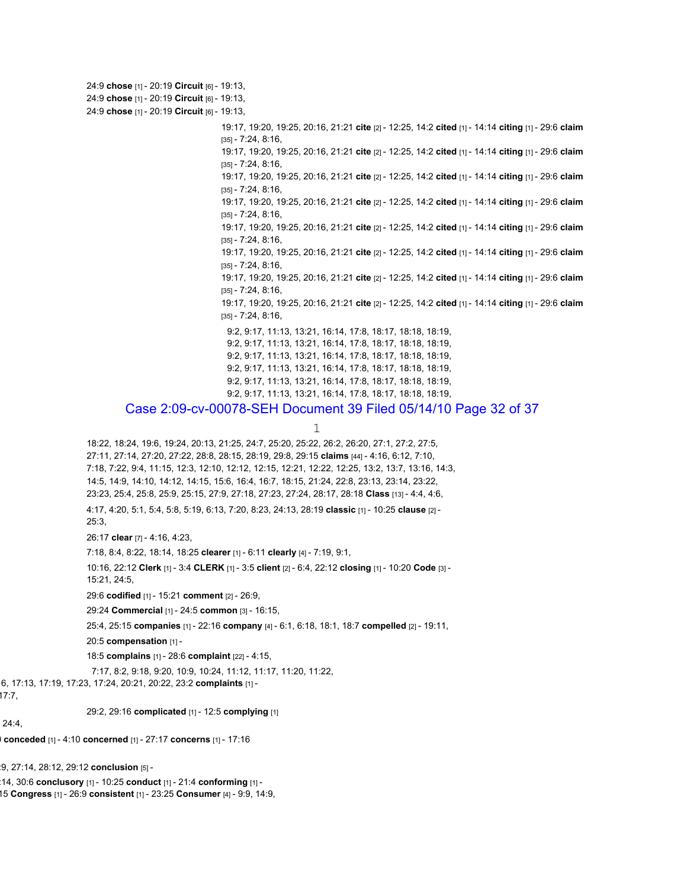24:9 **chose** [1] - 20:19 **Circuit** [6] - 19:13, 24:9 **chose** [1] - 20:19 **Circuit** [6] - 19:13, 24:9 **chose** [1] - 20:19 **Circuit** [6] - 19:13, 19:17, 19:20, 19:25, 20:16, 21:21 **cite** [2] - 12:25, 14:2 **cited** [1] - 14:14 **citing** [1] - 29:6 **claim** [35] - 7:24, 8:16, 19:17, 19:20, 19:25, 20:16, 21:21 **cite** [2] - 12:25, 14:2 **cited** [1] - 14:14 **citing** [1] - 29:6 **claim** [35] - 7:24, 8:16, 19:17, 19:20, 19:25, 20:16, 21:21 **cite** [2] - 12:25, 14:2 **cited** [1] - 14:14 **citing** [1] - 29:6 **claim** [35] - 7:24, 8:16, 19:17, 19:20, 19:25, 20:16, 21:21 **cite** [2] - 12:25, 14:2 **cited** [1] - 14:14 **citing** [1] - 29:6 **claim** [35] - 7:24, 8:16, 19:17, 19:20, 19:25, 20:16, 21:21 **cite** [2] - 12:25, 14:2 **cited** [1] - 14:14 **citing** [1] - 29:6 **claim** [35] - 7:24, 8:16, 19:17, 19:20, 19:25, 20:16, 21:21 **cite** [2] - 12:25, 14:2 **cited** [1] - 14:14 **citing** [1] - 29:6 **claim** [35] - 7:24, 8:16, 19:17, 19:20, 19:25, 20:16, 21:21 **cite** [2] - 12:25, 14:2 **cited** [1] - 14:14 **citing** [1] - 29:6 **claim** [35] - 7:24, 8:16, 19:17, 19:20, 19:25, 20:16, 21:21 **cite** [2] - 12:25, 14:2 **cited** [1] - 14:14 **citing** [1] - 29:6 **claim** [35] - 7:24, 8:16, 9:2, 9:17, 11:13, 13:21, 16:14, 17:8, 18:17, 18:18, 18:19, 9:2, 9:17, 11:13, 13:21, 16:14, 17:8, 18:17, 18:18, 18:19, 9:2, 9:17, 11:13, 13:21, 16:14, 17:8, 18:17, 18:18, 18:19, 9:2, 9:17, 11:13, 13:21, 16:14, 17:8, 18:17, 18:18, 18:19, 9:2, 9:17, 11:13, 13:21, 16:14, 17:8, 18:17, 18:18, 18:19, 9:2, 9:17, 11:13, 13:21, 16:14, 17:8, 18:17, 18:18, 18:19, Case 2:09-cv-00078-SEH Document 39 Filed 05/14/10 Page 32 of 37 1 18:22, 18:24, 19:6, 19:24, 20:13, 21:25, 24:7, 25:20, 25:22, 26:2, 26:20, 27:1, 27:2, 27:5, 27:11, 27:14, 27:20, 27:22, 28:8, 28:15, 28:19, 29:8, 29:15 **claims** [44] - 4:16, 6:12, 7:10, 7:18, 7:22, 9:4, 11:15, 12:3, 12:10, 12:12, 12:15, 12:21, 12:22, 12:25, 13:2, 13:7, 13:16, 14:3, 14:5, 14:9, 14:10, 14:12, 14:15, 15:6, 16:4, 16:7, 18:15, 21:24, 22:8, 23:13, 23:14, 23:22, 23:23, 25:4, 25:8, 25:9, 25:15, 27:9, 27:18, 27:23, 27:24, 28:17, 28:18 **Class** [13] - 4:4, 4:6, 4:17, 4:20, 5:1, 5:4, 5:8, 5:19, 6:13, 7:20, 8:23, 24:13, 28:19 **classic** [1] - 10:25 **clause** [2] - 25:3, 26:17 **clear** [7] - 4:16, 4:23, 7:18, 8:4, 8:22, 18:14, 18:25 **clearer** [1] - 6:11 **clearly** [4] - 7:19, 9:1, 10:16, 22:12 **Clerk** [1] - 3:4 **CLERK** [1] - 3:5 **client** [2] - 6:4, 22:12 **closing** [1] - 10:20 **Code** [3] - 15:21, 24:5, 29:6 **codified** [1] - 15:21 **comment** [2] - 26:9, 29:24 **Commercial** [1] - 24:5 **common** [3] - 16:15, 25:4, 25:15 **companies** [1] - 22:16 **company** [4] - 6:1, 6:18, 18:1, 18:7 **compelled** [2] - 19:11, 20:5 **compensation** [1] - 18:5 **complains** [1] - 28:6 **complaint** [22] - 4:15, 7:17, 8:2, 9:18, 9:20, 10:9, 10:24, 11:12, 11:17, 11:20, 11:22, 6, 17:13, 17:19, 17:23, 17:24, 20:21, 20:22, 23:2 **complaints** [1] - 29:2, 29:16 **complicated** [1] - 12:5 **complying** [1] 0 **conceded** [1] - 4:10 **concerned** [1] - 27:17 **concerns** [1] - 17:16 :9, 27:14, 28:12, 29:12 **conclusion** [5] - :14, 30:6 **conclusory** [1] - 10:25 **conduct** [1] - 21:4 **conforming** [1] - 15 **Congress** [1] - 26:9 **consistent** [1] - 23:25 **Consumer** [4] - 9:9, 14:9,

 $17:7,$ 

24:4,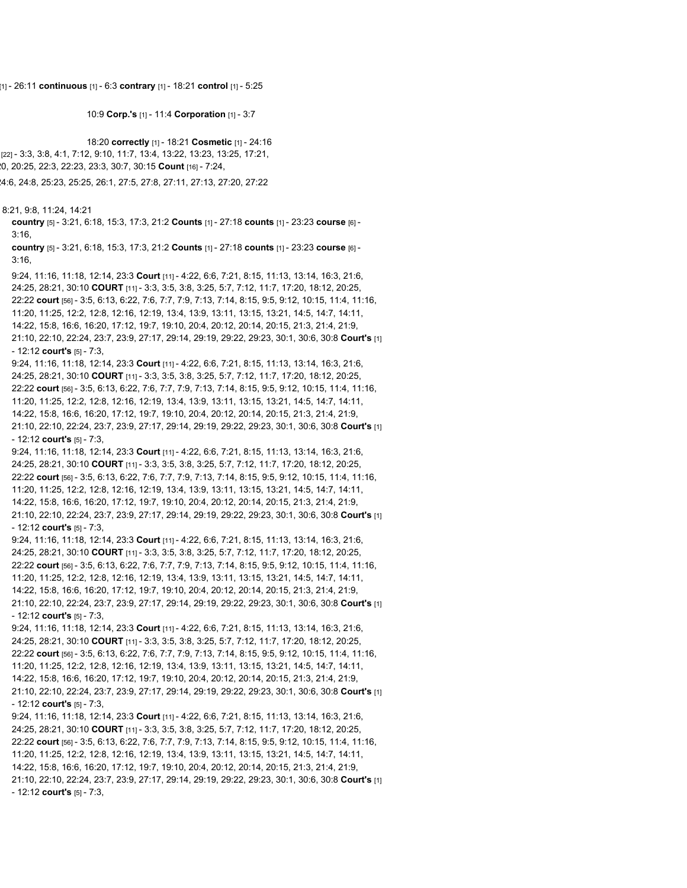[1] - 26:11 **continuous** [1] - 6:3 **contrary** [1] - 18:21 **control** [1] - 5:25

10:9 **Corp.'s** [1] - 11:4 **Corporation** [1] - 3:7

18:20 **correctly** [1] - 18:21 **Cosmetic** [1] - 24:16 [22] - 3:3, 3:8, 4:1, 7:12, 9:10, 11:7, 13:4, 13:22, 13:23, 13:25, 17:21, 20, 20:25, 22:3, 22:23, 23:3, 30:7, 30:15 **Count** [16] - 7:24,

24:6, 24:8, 25:23, 25:25, 26:1, 27:5, 27:8, 27:11, 27:13, 27:20, 27:22

8:21, 9:8, 11:24, 14:21

**country** [5] - 3:21, 6:18, 15:3, 17:3, 21:2 **Counts** [1] - 27:18 **counts** [1] - 23:23 **course** [6] - 3:16,

**country** [5] - 3:21, 6:18, 15:3, 17:3, 21:2 **Counts** [1] - 27:18 **counts** [1] - 23:23 **course** [6] - 3:16,

- 9:24, 11:16, 11:18, 12:14, 23:3 **Court** [11] 4:22, 6:6, 7:21, 8:15, 11:13, 13:14, 16:3, 21:6, 24:25, 28:21, 30:10 **COURT** [11] - 3:3, 3:5, 3:8, 3:25, 5:7, 7:12, 11:7, 17:20, 18:12, 20:25, 22:22 **court** [56] - 3:5, 6:13, 6:22, 7:6, 7:7, 7:9, 7:13, 7:14, 8:15, 9:5, 9:12, 10:15, 11:4, 11:16, 11:20, 11:25, 12:2, 12:8, 12:16, 12:19, 13:4, 13:9, 13:11, 13:15, 13:21, 14:5, 14:7, 14:11, 14:22, 15:8, 16:6, 16:20, 17:12, 19:7, 19:10, 20:4, 20:12, 20:14, 20:15, 21:3, 21:4, 21:9, 21:10, 22:10, 22:24, 23:7, 23:9, 27:17, 29:14, 29:19, 29:22, 29:23, 30:1, 30:6, 30:8 **Court's** [1] - 12:12 **court's** [5] - 7:3,
- 9:24, 11:16, 11:18, 12:14, 23:3 **Court** [11] 4:22, 6:6, 7:21, 8:15, 11:13, 13:14, 16:3, 21:6, 24:25, 28:21, 30:10 **COURT** [11] - 3:3, 3:5, 3:8, 3:25, 5:7, 7:12, 11:7, 17:20, 18:12, 20:25, 22:22 **court** [56] - 3:5, 6:13, 6:22, 7:6, 7:7, 7:9, 7:13, 7:14, 8:15, 9:5, 9:12, 10:15, 11:4, 11:16, 11:20, 11:25, 12:2, 12:8, 12:16, 12:19, 13:4, 13:9, 13:11, 13:15, 13:21, 14:5, 14:7, 14:11, 14:22, 15:8, 16:6, 16:20, 17:12, 19:7, 19:10, 20:4, 20:12, 20:14, 20:15, 21:3, 21:4, 21:9, 21:10, 22:10, 22:24, 23:7, 23:9, 27:17, 29:14, 29:19, 29:22, 29:23, 30:1, 30:6, 30:8 **Court's** [1] - 12:12 **court's** [5] - 7:3,
- 9:24, 11:16, 11:18, 12:14, 23:3 **Court** [11] 4:22, 6:6, 7:21, 8:15, 11:13, 13:14, 16:3, 21:6, 24:25, 28:21, 30:10 **COURT** [11] - 3:3, 3:5, 3:8, 3:25, 5:7, 7:12, 11:7, 17:20, 18:12, 20:25, 22:22 **court** [56] - 3:5, 6:13, 6:22, 7:6, 7:7, 7:9, 7:13, 7:14, 8:15, 9:5, 9:12, 10:15, 11:4, 11:16, 11:20, 11:25, 12:2, 12:8, 12:16, 12:19, 13:4, 13:9, 13:11, 13:15, 13:21, 14:5, 14:7, 14:11, 14:22, 15:8, 16:6, 16:20, 17:12, 19:7, 19:10, 20:4, 20:12, 20:14, 20:15, 21:3, 21:4, 21:9, 21:10, 22:10, 22:24, 23:7, 23:9, 27:17, 29:14, 29:19, 29:22, 29:23, 30:1, 30:6, 30:8 **Court's** [1] - 12:12 **court's** [5] - 7:3,
- 9:24, 11:16, 11:18, 12:14, 23:3 **Court** [11] 4:22, 6:6, 7:21, 8:15, 11:13, 13:14, 16:3, 21:6, 24:25, 28:21, 30:10 **COURT** [11] - 3:3, 3:5, 3:8, 3:25, 5:7, 7:12, 11:7, 17:20, 18:12, 20:25, 22:22 **court** [56] - 3:5, 6:13, 6:22, 7:6, 7:7, 7:9, 7:13, 7:14, 8:15, 9:5, 9:12, 10:15, 11:4, 11:16, 11:20, 11:25, 12:2, 12:8, 12:16, 12:19, 13:4, 13:9, 13:11, 13:15, 13:21, 14:5, 14:7, 14:11, 14:22, 15:8, 16:6, 16:20, 17:12, 19:7, 19:10, 20:4, 20:12, 20:14, 20:15, 21:3, 21:4, 21:9, 21:10, 22:10, 22:24, 23:7, 23:9, 27:17, 29:14, 29:19, 29:22, 29:23, 30:1, 30:6, 30:8 **Court's** [1] - 12:12 **court's** [5] - 7:3,
- 9:24, 11:16, 11:18, 12:14, 23:3 **Court** [11] 4:22, 6:6, 7:21, 8:15, 11:13, 13:14, 16:3, 21:6, 24:25, 28:21, 30:10 **COURT** [11] - 3:3, 3:5, 3:8, 3:25, 5:7, 7:12, 11:7, 17:20, 18:12, 20:25, 22:22 **court** [56] - 3:5, 6:13, 6:22, 7:6, 7:7, 7:9, 7:13, 7:14, 8:15, 9:5, 9:12, 10:15, 11:4, 11:16, 11:20, 11:25, 12:2, 12:8, 12:16, 12:19, 13:4, 13:9, 13:11, 13:15, 13:21, 14:5, 14:7, 14:11, 14:22, 15:8, 16:6, 16:20, 17:12, 19:7, 19:10, 20:4, 20:12, 20:14, 20:15, 21:3, 21:4, 21:9, 21:10, 22:10, 22:24, 23:7, 23:9, 27:17, 29:14, 29:19, 29:22, 29:23, 30:1, 30:6, 30:8 **Court's** [1] - 12:12 **court's** [5] - 7:3,
- 9:24, 11:16, 11:18, 12:14, 23:3 **Court** [11] 4:22, 6:6, 7:21, 8:15, 11:13, 13:14, 16:3, 21:6, 24:25, 28:21, 30:10 **COURT** [11] - 3:3, 3:5, 3:8, 3:25, 5:7, 7:12, 11:7, 17:20, 18:12, 20:25, 22:22 **court** [56] - 3:5, 6:13, 6:22, 7:6, 7:7, 7:9, 7:13, 7:14, 8:15, 9:5, 9:12, 10:15, 11:4, 11:16, 11:20, 11:25, 12:2, 12:8, 12:16, 12:19, 13:4, 13:9, 13:11, 13:15, 13:21, 14:5, 14:7, 14:11, 14:22, 15:8, 16:6, 16:20, 17:12, 19:7, 19:10, 20:4, 20:12, 20:14, 20:15, 21:3, 21:4, 21:9, 21:10, 22:10, 22:24, 23:7, 23:9, 27:17, 29:14, 29:19, 29:22, 29:23, 30:1, 30:6, 30:8 **Court's** [1] - 12:12 **court's** [5] - 7:3,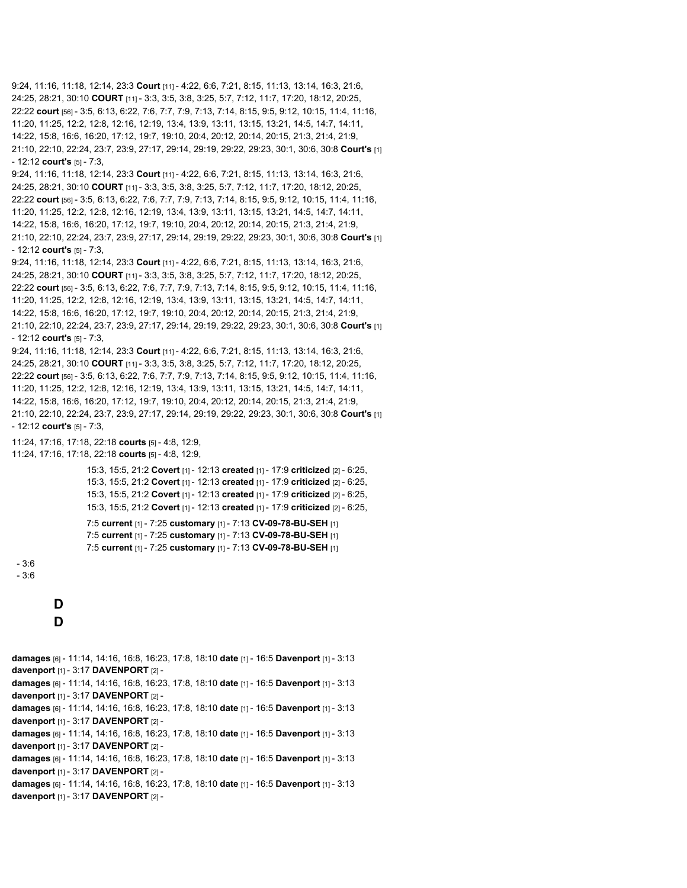```
9:24, 11:16, 11:18, 12:14, 23:3 Court [11] - 4:22, 6:6, 7:21, 8:15, 11:13, 13:14, 16:3, 21:6,
24:25, 28:21, 30:10 COURT [11] - 3:3, 3:5, 3:8, 3:25, 5:7, 7:12, 11:7, 17:20, 18:12, 20:25,
22:22 court [56] - 3:5, 6:13, 6:22, 7:6, 7:7, 7:9, 7:13, 7:14, 8:15, 9:5, 9:12, 10:15, 11:4, 11:16,
11:20, 11:25, 12:2, 12:8, 12:16, 12:19, 13:4, 13:9, 13:11, 13:15, 13:21, 14:5, 14:7, 14:11,
14:22, 15:8, 16:6, 16:20, 17:12, 19:7, 19:10, 20:4, 20:12, 20:14, 20:15, 21:3, 21:4, 21:9,
21:10, 22:10, 22:24, 23:7, 23:9, 27:17, 29:14, 29:19, 29:22, 29:23, 30:1, 30:6, 30:8 Court's [1]
- 12:12 court's [5] - 7:3,
9:24, 11:16, 11:18, 12:14, 23:3 Court [11] - 4:22, 6:6, 7:21, 8:15, 11:13, 13:14, 16:3, 21:6,
24:25, 28:21, 30:10 COURT [11] - 3:3, 3:5, 3:8, 3:25, 5:7, 7:12, 11:7, 17:20, 18:12, 20:25,
22:22 court [56] - 3:5, 6:13, 6:22, 7:6, 7:7, 7:9, 7:13, 7:14, 8:15, 9:5, 9:12, 10:15, 11:4, 11:16,
11:20, 11:25, 12:2, 12:8, 12:16, 12:19, 13:4, 13:9, 13:11, 13:15, 13:21, 14:5, 14:7, 14:11,
14:22, 15:8, 16:6, 16:20, 17:12, 19:7, 19:10, 20:4, 20:12, 20:14, 20:15, 21:3, 21:4, 21:9,
21:10, 22:10, 22:24, 23:7, 23:9, 27:17, 29:14, 29:19, 29:22, 29:23, 30:1, 30:6, 30:8 Court's [1]
- 12:12 court's [5] - 7:3,
9:24, 11:16, 11:18, 12:14, 23:3 Court [11] - 4:22, 6:6, 7:21, 8:15, 11:13, 13:14, 16:3, 21:6,
24:25, 28:21, 30:10 COURT [11] - 3:3, 3:5, 3:8, 3:25, 5:7, 7:12, 11:7, 17:20, 18:12, 20:25,
22:22 court [56] - 3:5, 6:13, 6:22, 7:6, 7:7, 7:9, 7:13, 7:14, 8:15, 9:5, 9:12, 10:15, 11:4, 11:16,
11:20, 11:25, 12:2, 12:8, 12:16, 12:19, 13:4, 13:9, 13:11, 13:15, 13:21, 14:5, 14:7, 14:11,
14:22, 15:8, 16:6, 16:20, 17:12, 19:7, 19:10, 20:4, 20:12, 20:14, 20:15, 21:3, 21:4, 21:9,
21:10, 22:10, 22:24, 23:7, 23:9, 27:17, 29:14, 29:19, 29:22, 29:23, 30:1, 30:6, 30:8 Court's [1]
- 12:12 court's [5] - 7:3,
9:24, 11:16, 11:18, 12:14, 23:3 Court [11] - 4:22, 6:6, 7:21, 8:15, 11:13, 13:14, 16:3, 21:6,
24:25, 28:21, 30:10 COURT [11] - 3:3, 3:5, 3:8, 3:25, 5:7, 7:12, 11:7, 17:20, 18:12, 20:25,
22:22 court [56] - 3:5, 6:13, 6:22, 7:6, 7:7, 7:9, 7:13, 7:14, 8:15, 9:5, 9:12, 10:15, 11:4, 11:16,
11:20, 11:25, 12:2, 12:8, 12:16, 12:19, 13:4, 13:9, 13:11, 13:15, 13:21, 14:5, 14:7, 14:11,
14:22, 15:8, 16:6, 16:20, 17:12, 19:7, 19:10, 20:4, 20:12, 20:14, 20:15, 21:3, 21:4, 21:9,
21:10, 22:10, 22:24, 23:7, 23:9, 27:17, 29:14, 29:19, 29:22, 29:23, 30:1, 30:6, 30:8 Court's [1]
- 12:12 court's [5] - 7:3,
11:24, 17:16, 17:18, 22:18 courts [5] - 4:8, 12:9,
11:24, 17:16, 17:18, 22:18 courts [5] - 4:8, 12:9,
                   15:3, 15:5, 21:2 Covert [1] - 12:13 created [1] - 17:9 criticized [2] - 6:25,
                   15:3, 15:5, 21:2 Covert [1] - 12:13 created [1] - 17:9 criticized [2] - 6:25,
                   15:3, 15:5, 21:2 Covert [1] - 12:13 created [1] - 17:9 criticized [2] - 6:25,
                   15:3, 15:5, 21:2 Covert [1] - 12:13 created [1] - 17:9 criticized [2] - 6:25,
                   7:5 current [1] - 7:25 customary [1] - 7:13 CV-09-78-BU-SEH [1]
                   7:5 current [1] - 7:25 customary [1] - 7:13 CV-09-78-BU-SEH [1]
                   7:5 current [1] - 7:25 customary [1] - 7:13 CV-09-78-BU-SEH [1]
 - 3:6
 - 3:6
           D
           D
damages [6] - 11:14, 14:16, 16:8, 16:23, 17:8, 18:10 date [1] - 16:5 Davenport [1] - 3:13
davenport [1] - 3:17 DAVENPORT [2] -
damages [6] - 11:14, 14:16, 16:8, 16:23, 17:8, 18:10 date [1] - 16:5 Davenport [1] - 3:13
davenport [1] - 3:17 DAVENPORT [2] -
damages [6] - 11:14, 14:16, 16:8, 16:23, 17:8, 18:10 date [1] - 16:5 Davenport [1] - 3:13
davenport [1] - 3:17 DAVENPORT [2] -
damages [6] - 11:14, 14:16, 16:8, 16:23, 17:8, 18:10 date [1] - 16:5 Davenport [1] - 3:13
davenport [1] - 3:17 DAVENPORT [2] -
damages [6] - 11:14, 14:16, 16:8, 16:23, 17:8, 18:10 date [1] - 16:5 Davenport [1] - 3:13
davenport [1] - 3:17 DAVENPORT [2] -
damages [6] - 11:14, 14:16, 16:8, 16:23, 17:8, 18:10 date [1] - 16:5 Davenport [1] - 3:13
davenport [1] - 3:17 DAVENPORT [2] -
```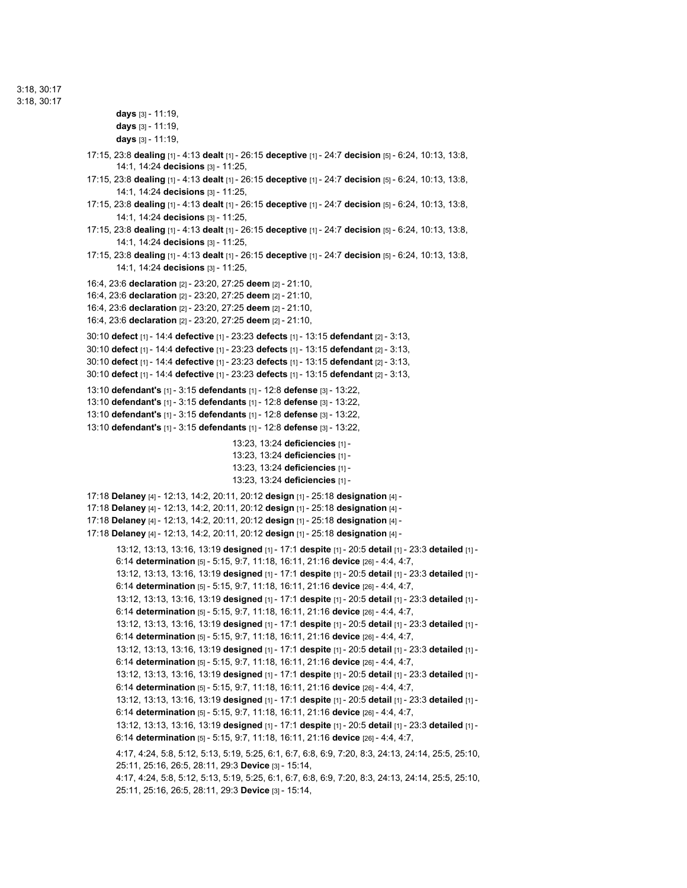3:18, 30:17

```
3:18, 30:17
```

```
days [3] - 11:19,
       days [3] - 11:19,
       days [3] - 11:19,
17:15, 23:8 dealing [1] - 4:13 dealt [1] - 26:15 deceptive [1] - 24:7 decision [5] - 6:24, 10:13, 13:8,
        14:1, 14:24 decisions [3] - 11:25,
17:15, 23:8 dealing [1] - 4:13 dealt [1] - 26:15 deceptive [1] - 24:7 decision [5] - 6:24, 10:13, 13:8,
        14:1, 14:24 decisions [3] - 11:25,
17:15, 23:8 dealing [1] - 4:13 dealt [1] - 26:15 deceptive [1] - 24:7 decision [5] - 6:24, 10:13, 13:8,
        14:1, 14:24 decisions [3] - 11:25,
17:15, 23:8 dealing [1] - 4:13 dealt [1] - 26:15 deceptive [1] - 24:7 decision [5] - 6:24, 10:13, 13:8,
        14:1, 14:24 decisions [3] - 11:25,
17:15, 23:8 dealing [1] - 4:13 dealt [1] - 26:15 deceptive [1] - 24:7 decision [5] - 6:24, 10:13, 13:8,
       14:1, 14:24 decisions [3] - 11:25,
16:4, 23:6 declaration [2] - 23:20, 27:25 deem [2] - 21:10,
16:4, 23:6 declaration [2] - 23:20, 27:25 deem [2] - 21:10,
16:4, 23:6 declaration [2] - 23:20, 27:25 deem [2] - 21:10,
16:4, 23:6 declaration [2] - 23:20, 27:25 deem [2] - 21:10,
30:10 defect [1] - 14:4 defective [1] - 23:23 defects [1] - 13:15 defendant [2] - 3:13,
30:10 defect [1] - 14:4 defective [1] - 23:23 defects [1] - 13:15 defendant [2] - 3:13,
30:10 defect [1] - 14:4 defective [1] - 23:23 defects [1] - 13:15 defendant [2] - 3:13,
30:10 defect [1] - 14:4 defective [1] - 23:23 defects [1] - 13:15 defendant [2] - 3:13,
13:10 defendant's [1] - 3:15 defendants [1] - 12:8 defense [3] - 13:22,
13:10 defendant's [1] - 3:15 defendants [1] - 12:8 defense [3] - 13:22,
13:10 defendant's [1] - 3:15 defendants [1] - 12:8 defense [3] - 13:22,
13:10 defendant's [1] - 3:15 defendants [1] - 12:8 defense [3] - 13:22,
                                      13:23, 13:24 deficiencies [1] -
                                      13:23, 13:24 deficiencies [1] -
                                      13:23, 13:24 deficiencies [1] -
                                      13:23, 13:24 deficiencies [1] -
17:18 Delaney [4] - 12:13, 14:2, 20:11, 20:12 design [1] - 25:18 designation [4] -
17:18 Delaney [4] - 12:13, 14:2, 20:11, 20:12 design [1] - 25:18 designation [4] -
17:18 Delaney [4] - 12:13, 14:2, 20:11, 20:12 design [1] - 25:18 designation [4] -
17:18 Delaney [4] - 12:13, 14:2, 20:11, 20:12 design [1] - 25:18 designation [4] -
        13:12, 13:13, 13:16, 13:19 designed [1] - 17:1 despite [1] - 20:5 detail [1] - 23:3 detailed [1] -
       6:14 determination [5] - 5:15, 9:7, 11:18, 16:11, 21:16 device [26] - 4:4, 4:7,
       13:12, 13:13, 13:16, 13:19 designed [1] - 17:1 despite [1] - 20:5 detail [1] - 23:3 detailed [1] -
       6:14 determination [5] - 5:15, 9:7, 11:18, 16:11, 21:16 device [26] - 4:4, 4:7,
       13:12, 13:13, 13:16, 13:19 designed [1] - 17:1 despite [1] - 20:5 detail [1] - 23:3 detailed [1] -
       6:14 determination [5] - 5:15, 9:7, 11:18, 16:11, 21:16 device [26] - 4:4, 4:7,
        13:12, 13:13, 13:16, 13:19 designed [1] - 17:1 despite [1] - 20:5 detail [1] - 23:3 detailed [1] -
       6:14 determination [5] - 5:15, 9:7, 11:18, 16:11, 21:16 device [26] - 4:4, 4:7,
       13:12, 13:13, 13:16, 13:19 designed [1] - 17:1 despite [1] - 20:5 detail [1] - 23:3 detailed [1] -
       6:14 determination [5] - 5:15, 9:7, 11:18, 16:11, 21:16 device [26] - 4:4, 4:7,
       13:12, 13:13, 13:16, 13:19 designed [1] - 17:1 despite [1] - 20:5 detail [1] - 23:3 detailed [1] -
       6:14 determination [5] - 5:15, 9:7, 11:18, 16:11, 21:16 device [26] - 4:4, 4:7,
       13:12, 13:13, 13:16, 13:19 designed [1] - 17:1 despite [1] - 20:5 detail [1] - 23:3 detailed [1] -
       6:14 determination [5] - 5:15, 9:7, 11:18, 16:11, 21:16 device [26] - 4:4, 4:7,
       13:12, 13:13, 13:16, 13:19 designed [1] - 17:1 despite [1] - 20:5 detail [1] - 23:3 detailed [1] -
       6:14 determination [5] - 5:15, 9:7, 11:18, 16:11, 21:16 device [26] - 4:4, 4:7,
       4:17, 4:24, 5:8, 5:12, 5:13, 5:19, 5:25, 6:1, 6:7, 6:8, 6:9, 7:20, 8:3, 24:13, 24:14, 25:5, 25:10,
       25:11, 25:16, 26:5, 28:11, 29:3 Device [3] - 15:14,
       4:17, 4:24, 5:8, 5:12, 5:13, 5:19, 5:25, 6:1, 6:7, 6:8, 6:9, 7:20, 8:3, 24:13, 24:14, 25:5, 25:10,
       25:11, 25:16, 26:5, 28:11, 29:3 Device [3] - 15:14,
```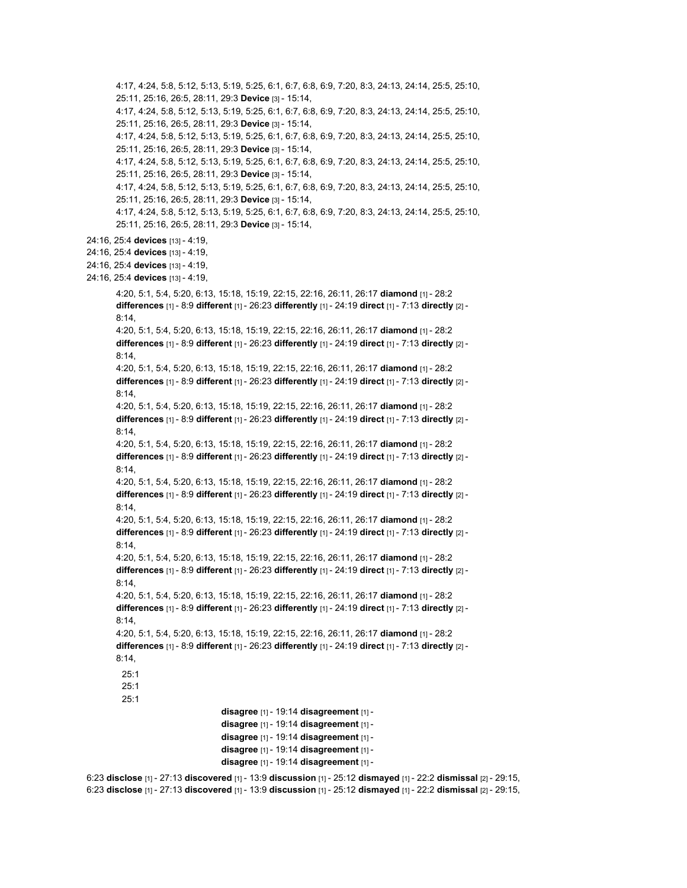4:17, 4:24, 5:8, 5:12, 5:13, 5:19, 5:25, 6:1, 6:7, 6:8, 6:9, 7:20, 8:3, 24:13, 24:14, 25:5, 25:10, 25:11, 25:16, 26:5, 28:11, 29:3 **Device** [3] - 15:14, 4:17, 4:24, 5:8, 5:12, 5:13, 5:19, 5:25, 6:1, 6:7, 6:8, 6:9, 7:20, 8:3, 24:13, 24:14, 25:5, 25:10, 25:11, 25:16, 26:5, 28:11, 29:3 **Device** [3] - 15:14, 4:17, 4:24, 5:8, 5:12, 5:13, 5:19, 5:25, 6:1, 6:7, 6:8, 6:9, 7:20, 8:3, 24:13, 24:14, 25:5, 25:10, 25:11, 25:16, 26:5, 28:11, 29:3 **Device** [3] - 15:14, 4:17, 4:24, 5:8, 5:12, 5:13, 5:19, 5:25, 6:1, 6:7, 6:8, 6:9, 7:20, 8:3, 24:13, 24:14, 25:5, 25:10, 25:11, 25:16, 26:5, 28:11, 29:3 **Device** [3] - 15:14, 4:17, 4:24, 5:8, 5:12, 5:13, 5:19, 5:25, 6:1, 6:7, 6:8, 6:9, 7:20, 8:3, 24:13, 24:14, 25:5, 25:10, 25:11, 25:16, 26:5, 28:11, 29:3 **Device** [3] - 15:14, 4:17, 4:24, 5:8, 5:12, 5:13, 5:19, 5:25, 6:1, 6:7, 6:8, 6:9, 7:20, 8:3, 24:13, 24:14, 25:5, 25:10, 25:11, 25:16, 26:5, 28:11, 29:3 **Device** [3] - 15:14, 24:16, 25:4 **devices** [13] - 4:19, 24:16, 25:4 **devices** [13] - 4:19, 24:16, 25:4 **devices** [13] - 4:19, 24:16, 25:4 **devices** [13] - 4:19, 4:20, 5:1, 5:4, 5:20, 6:13, 15:18, 15:19, 22:15, 22:16, 26:11, 26:17 **diamond** [1] - 28:2 **differences** [1] - 8:9 **different** [1] - 26:23 **differently** [1] - 24:19 **direct** [1] - 7:13 **directly** [2] - 8:14, 4:20, 5:1, 5:4, 5:20, 6:13, 15:18, 15:19, 22:15, 22:16, 26:11, 26:17 **diamond** [1] - 28:2 **differences** [1] - 8:9 **different** [1] - 26:23 **differently** [1] - 24:19 **direct** [1] - 7:13 **directly** [2] -  $8:14$ 4:20, 5:1, 5:4, 5:20, 6:13, 15:18, 15:19, 22:15, 22:16, 26:11, 26:17 **diamond** [1] - 28:2 **differences** [1] - 8:9 **different** [1] - 26:23 **differently** [1] - 24:19 **direct** [1] - 7:13 **directly** [2] -  $8:14$ 4:20, 5:1, 5:4, 5:20, 6:13, 15:18, 15:19, 22:15, 22:16, 26:11, 26:17 **diamond** [1] - 28:2 **differences** [1] - 8:9 **different** [1] - 26:23 **differently** [1] - 24:19 **direct** [1] - 7:13 **directly** [2] - 8:14, 4:20, 5:1, 5:4, 5:20, 6:13, 15:18, 15:19, 22:15, 22:16, 26:11, 26:17 **diamond** [1] - 28:2 **differences** [1] - 8:9 **different** [1] - 26:23 **differently** [1] - 24:19 **direct** [1] - 7:13 **directly** [2] - 8:14, 4:20, 5:1, 5:4, 5:20, 6:13, 15:18, 15:19, 22:15, 22:16, 26:11, 26:17 **diamond** [1] - 28:2 **differences** [1] - 8:9 **different** [1] - 26:23 **differently** [1] - 24:19 **direct** [1] - 7:13 **directly** [2] - 8:14, 4:20, 5:1, 5:4, 5:20, 6:13, 15:18, 15:19, 22:15, 22:16, 26:11, 26:17 **diamond** [1] - 28:2 **differences** [1] - 8:9 **different** [1] - 26:23 **differently** [1] - 24:19 **direct** [1] - 7:13 **directly** [2] - 8:14, 4:20, 5:1, 5:4, 5:20, 6:13, 15:18, 15:19, 22:15, 22:16, 26:11, 26:17 **diamond** [1] - 28:2 **differences** [1] - 8:9 **different** [1] - 26:23 **differently** [1] - 24:19 **direct** [1] - 7:13 **directly** [2] -  $8:14$ 4:20, 5:1, 5:4, 5:20, 6:13, 15:18, 15:19, 22:15, 22:16, 26:11, 26:17 **diamond** [1] - 28:2 **differences** [1] - 8:9 **different** [1] - 26:23 **differently** [1] - 24:19 **direct** [1] - 7:13 **directly** [2] - 8:14, 4:20, 5:1, 5:4, 5:20, 6:13, 15:18, 15:19, 22:15, 22:16, 26:11, 26:17 **diamond** [1] - 28:2 **differences** [1] - 8:9 **different** [1] - 26:23 **differently** [1] - 24:19 **direct** [1] - 7:13 **directly** [2] - 8:14, 25:1 25:1 25:1 **disagree** [1] - 19:14 **disagreement** [1] **disagree** [1] - 19:14 **disagreement** [1] **disagree** [1] - 19:14 **disagreement** [1] **disagree** [1] - 19:14 **disagreement** [1] **disagree** [1] - 19:14 **disagreement** [1] - 6:23 **disclose** [1] - 27:13 **discovered** [1] - 13:9 **discussion** [1] - 25:12 **dismayed** [1] - 22:2 **dismissal** [2] - 29:15,

6:23 **disclose** [1] - 27:13 **discovered** [1] - 13:9 **discussion** [1] - 25:12 **dismayed** [1] - 22:2 **dismissal** [2] - 29:15,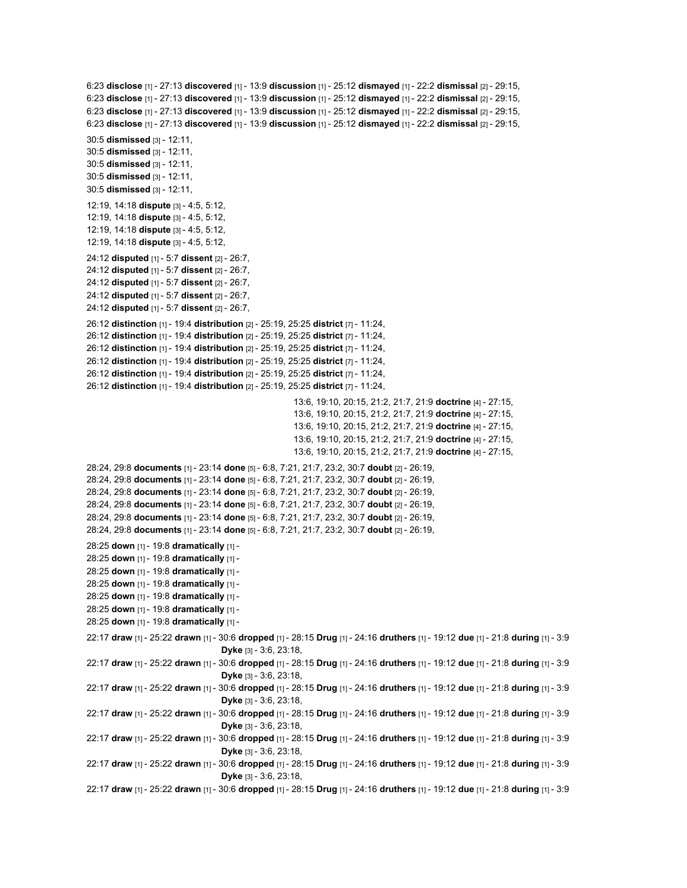```
6:23 disclose [1] - 27:13 discovered [1] - 13:9 discussion [1] - 25:12 dismayed [1] - 22:2 dismissal [2] - 29:15,
6:23 disclose [1] - 27:13 discovered [1] - 13:9 discussion [1] - 25:12 dismayed [1] - 22:2 dismissal [2] - 29:15,
6:23 disclose [1] - 27:13 discovered [1] - 13:9 discussion [1] - 25:12 dismayed [1] - 22:2 dismissal [2] - 29:15,
6:23 disclose [1] - 27:13 discovered [1] - 13:9 discussion [1] - 25:12 dismayed [1] - 22:2 dismissal [2] - 29:15,
30:5 dismissed [3] - 12:11,
30:5 dismissed [3] - 12:11,
30:5 dismissed [3] - 12:11,
30:5 dismissed [3] - 12:11,
30:5 dismissed [3] - 12:11,
12:19, 14:18 dispute [3] - 4:5, 5:12,
12:19, 14:18 dispute [3] - 4:5, 5:12,
12:19, 14:18 dispute [3] - 4:5, 5:12,
12:19, 14:18 dispute [3] - 4:5, 5:12,
24:12 disputed [1] - 5:7 dissent [2] - 26:7,
24:12 disputed [1] - 5:7 dissent [2] - 26:7,
24:12 disputed [1] - 5:7 dissent [2] - 26:7,
24:12 disputed [1] - 5:7 dissent [2] - 26:7,
24:12 disputed [1] - 5:7 dissent [2] - 26:7,
26:12 distinction [1] - 19:4 distribution [2] - 25:19, 25:25 district [7] - 11:24,
26:12 distinction [1] - 19:4 distribution [2] - 25:19, 25:25 district [7] - 11:24,
26:12 distinction [1] - 19:4 distribution [2] - 25:19, 25:25 district [7] - 11:24,
26:12 distinction [1] - 19:4 distribution [2] - 25:19, 25:25 district [7] - 11:24,
26:12 distinction [1] - 19:4 distribution [2] - 25:19, 25:25 district [7] - 11:24,
26:12 distinction [1] - 19:4 distribution [2] - 25:19, 25:25 district [7] - 11:24,
                                                       13:6, 19:10, 20:15, 21:2, 21:7, 21:9 doctrine [4] - 27:15,
                                                       13:6, 19:10, 20:15, 21:2, 21:7, 21:9 doctrine [4] - 27:15,
                                                       13:6, 19:10, 20:15, 21:2, 21:7, 21:9 doctrine [4] - 27:15,
                                                       13:6, 19:10, 20:15, 21:2, 21:7, 21:9 doctrine [4] - 27:15,
                                                       13:6, 19:10, 20:15, 21:2, 21:7, 21:9 doctrine [4] - 27:15,
28:24, 29:8 documents [1] - 23:14 done [5] - 6:8, 7:21, 21:7, 23:2, 30:7 doubt [2] - 26:19,
28:24, 29:8 documents [1] - 23:14 done [5] - 6:8, 7:21, 21:7, 23:2, 30:7 doubt [2] - 26:19,
28:24, 29:8 documents [1] - 23:14 done [5] - 6:8, 7:21, 21:7, 23:2, 30:7 doubt [2] - 26:19,
28:24, 29:8 documents [1] - 23:14 done [5] - 6:8, 7:21, 21:7, 23:2, 30:7 doubt [2] - 26:19,
28:24, 29:8 documents [1] - 23:14 done [5] - 6:8, 7:21, 21:7, 23:2, 30:7 doubt [2] - 26:19,
28:24, 29:8 documents [1] - 23:14 done [5] - 6:8, 7:21, 21:7, 23:2, 30:7 doubt [2] - 26:19,
28:25 down [1] - 19:8 dramatically [1] -
28:25 down [1] - 19:8 dramatically [1] -
28:25 down [1] - 19:8 dramatically [1] -
28:25 down [1] - 19:8 dramatically [1] -
28:25 down [1] - 19:8 dramatically [1] -
28:25 down [1] - 19:8 dramatically [1] -
28:25 down [1] - 19:8 dramatically [1] -
22:17 draw [1] - 25:22 drawn [1] - 30:6 dropped [1] - 28:15 Drug [1] - 24:16 druthers [1] - 19:12 due [1] - 21:8 during [1] - 3:9
                                   Dyke [3] - 3:6, 23:18,
22:17 draw [1] - 25:22 drawn [1] - 30:6 dropped [1] - 28:15 Drug [1] - 24:16 druthers [1] - 19:12 due [1] - 21:8 during [1] - 3:9
                                   Dyke [3] - 3:6, 23:18,
22:17 draw [1] - 25:22 drawn [1] - 30:6 dropped [1] - 28:15 Drug [1] - 24:16 druthers [1] - 19:12 due [1] - 21:8 during [1] - 3:9
                                   Dyke [3] - 3:6, 23:18,
22:17 draw [1] - 25:22 drawn [1] - 30:6 dropped [1] - 28:15 Drug [1] - 24:16 druthers [1] - 19:12 due [1] - 21:8 during [1] - 3:9
                                   Dyke [3] - 3:6, 23:18,
22:17 draw [1] - 25:22 drawn [1] - 30:6 dropped [1] - 28:15 Drug [1] - 24:16 druthers [1] - 19:12 due [1] - 21:8 during [1] - 3:9
                                   Dyke [3] - 3:6, 23:18,
22:17 draw [1] - 25:22 drawn [1] - 30:6 dropped [1] - 28:15 Drug [1] - 24:16 druthers [1] - 19:12 due [1] - 21:8 during [1] - 3:9
                                   Dyke [3] - 3:6, 23:18,
22:17 draw [1] - 25:22 drawn [1] - 30:6 dropped [1] - 28:15 Drug [1] - 24:16 druthers [1] - 19:12 due [1] - 21:8 during [1] - 3:9
```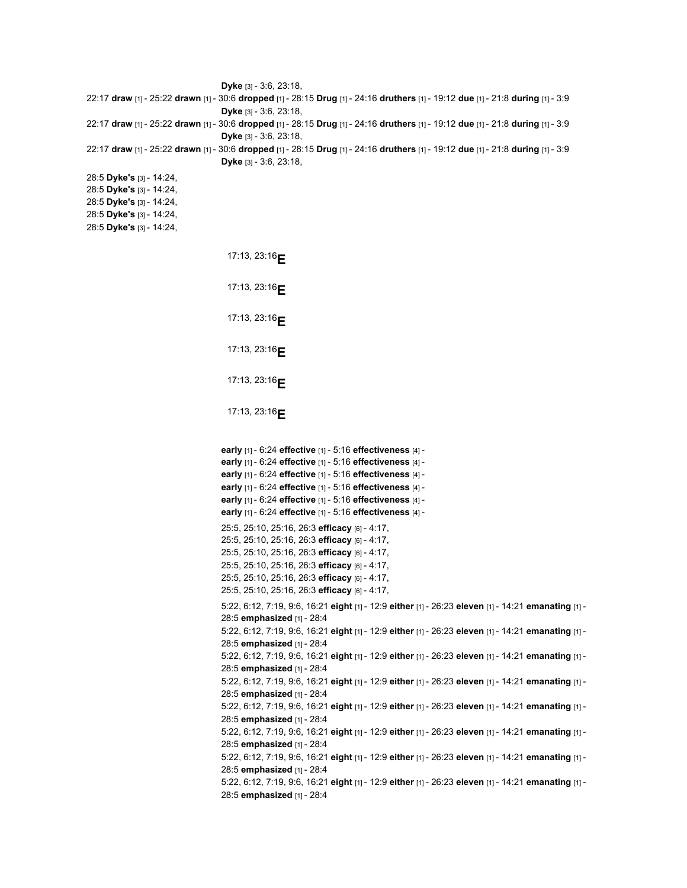```
Dyke [3] - 3:6, 23:18,
22:17 draw [1] - 25:22 drawn [1] - 30:6 dropped [1] - 28:15 Drug [1] - 24:16 druthers [1] - 19:12 due [1] - 21:8 during [1] - 3:9
                                    Dyke [3] - 3:6, 23:18,
22:17 draw [1] - 25:22 drawn [1] - 30:6 dropped [1] - 28:15 Drug [1] - 24:16 druthers [1] - 19:12 due [1] - 21:8 during [1] - 3:9
                                    Dyke [3] - 3:6, 23:18,
22:17 draw [1] - 25:22 drawn [1] - 30:6 dropped [1] - 28:15 Drug [1] - 24:16 druthers [1] - 19:12 due [1] - 21:8 during [1] - 3:9
                                   Dyke [3] - 3:6, 23:18,
28:5 Dyke's [3] - 14:24,
28:5 Dyke's [3] - 14:24,
28:5 Dyke's [3] - 14:24,
28:5 Dyke's [3] - 14:24,
28:5 Dyke's [3] - 14:24,
                                     17:13, 23:16E
                                     17:13, 23:16E
                                     17:13, 23:16E
                                     17:13, 23:16E
                                     17:13, 23:16E
                                     17:13, 23:16E
                                    early [1] - 6:24 effective [1] - 5:16 effectiveness [4] -
                                    early [1] - 6:24 effective [1] - 5:16 effectiveness [4] -
                                    early [1] - 6:24 effective [1] - 5:16 effectiveness [4] -
                                    early [1] - 6:24 effective [1] - 5:16 effectiveness [4] -
                                    early [1] - 6:24 effective [1] - 5:16 effectiveness [4] -
                                    early [1] - 6:24 effective [1] - 5:16 effectiveness [4] -
                                    25:5, 25:10, 25:16, 26:3 efficacy [6] - 4:17,
                                    25:5, 25:10, 25:16, 26:3 efficacy [6] - 4:17,
                                    25:5, 25:10, 25:16, 26:3 efficacy [6] - 4:17,
                                    25:5, 25:10, 25:16, 26:3 efficacy [6] - 4:17,
                                    25:5, 25:10, 25:16, 26:3 efficacy [6] - 4:17,
                                   25:5, 25:10, 25:16, 26:3 efficacy [6] - 4:17,
                                    5:22, 6:12, 7:19, 9:6, 16:21 eight [1] - 12:9 either [1] - 26:23 eleven [1] - 14:21 emanating [1] -
                                    28:5 emphasized [1] - 28:4
                                    5:22, 6:12, 7:19, 9:6, 16:21 eight [1] - 12:9 either [1] - 26:23 eleven [1] - 14:21 emanating [1] -
                                    28:5 emphasized [1] - 28:4
                                    5:22, 6:12, 7:19, 9:6, 16:21 eight [1] - 12:9 either [1] - 26:23 eleven [1] - 14:21 emanating [1] -
                                    28:5 emphasized [1] - 28:4
                                    5:22, 6:12, 7:19, 9:6, 16:21 eight [1] - 12:9 either [1] - 26:23 eleven [1] - 14:21 emanating [1] -
                                    28:5 emphasized [1] - 28:4
                                    5:22, 6:12, 7:19, 9:6, 16:21 eight [1] - 12:9 either [1] - 26:23 eleven [1] - 14:21 emanating [1] -
                                    28:5 emphasized [1] - 28:4
                                    5:22, 6:12, 7:19, 9:6, 16:21 eight [1] - 12:9 either [1] - 26:23 eleven [1] - 14:21 emanating [1] -
                                    28:5 emphasized [1] - 28:4
                                    5:22, 6:12, 7:19, 9:6, 16:21 eight [1] - 12:9 either [1] - 26:23 eleven [1] - 14:21 emanating [1] -
                                    28:5 emphasized [1] - 28:4
                                    5:22, 6:12, 7:19, 9:6, 16:21 eight [1] - 12:9 either [1] - 26:23 eleven [1] - 14:21 emanating [1] -
                                    28:5 emphasized [1] - 28:4
```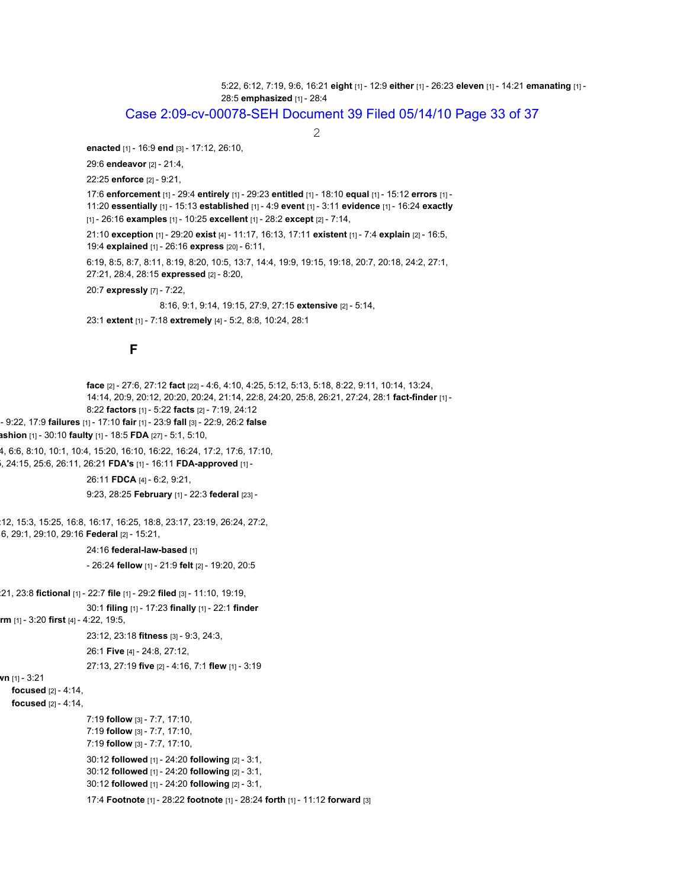5:22, 6:12, 7:19, 9:6, 16:21 **eight** [1] - 12:9 **either** [1] - 26:23 **eleven** [1] - 14:21 **emanating** [1] - 28:5 **emphasized** [1] - 28:4

### Case 2:09-cv-00078-SEH Document 39 Filed 05/14/10 Page 33 of 37

2

**enacted** [1] - 16:9 **end** [3] - 17:12, 26:10,

29:6 **endeavor** [2] - 21:4,

22:25 **enforce** [2] - 9:21,

17:6 **enforcement** [1] - 29:4 **entirely** [1] - 29:23 **entitled** [1] - 18:10 **equal** [1] - 15:12 **errors** [1] - 11:20 **essentially** [1] - 15:13 **established** [1] - 4:9 **event** [1] - 3:11 **evidence** [1] - 16:24 **exactly** [1] - 26:16 **examples** [1] - 10:25 **excellent** [1] - 28:2 **except** [2] - 7:14,

21:10 **exception** [1] - 29:20 **exist** [4] - 11:17, 16:13, 17:11 **existent** [1] - 7:4 **explain** [2] - 16:5, 19:4 **explained** [1] - 26:16 **express** [20] - 6:11,

6:19, 8:5, 8:7, 8:11, 8:19, 8:20, 10:5, 13:7, 14:4, 19:9, 19:15, 19:18, 20:7, 20:18, 24:2, 27:1, 27:21, 28:4, 28:15 **expressed** [2] - 8:20,

20:7 **expressly** [7] - 7:22,

8:16, 9:1, 9:14, 19:15, 27:9, 27:15 **extensive** [2] - 5:14,

23:1 **extent** [1] - 7:18 **extremely** [4] - 5:2, 8:8, 10:24, 28:1

### **F**

**face** [2] - 27:6, 27:12 **fact** [22] - 4:6, 4:10, 4:25, 5:12, 5:13, 5:18, 8:22, 9:11, 10:14, 13:24, 14:14, 20:9, 20:12, 20:20, 20:24, 21:14, 22:8, 24:20, 25:8, 26:21, 27:24, 28:1 **fact-finder** [1] - 8:22 **factors** [1] - 5:22 **facts** [2] - 7:19, 24:12 - 9:22, 17:9 **failures** [1] - 17:10 **fair** [1] - 23:9 **fall** [3] - 22:9, 26:2 **false ashion** [1] - 30:10 **faulty** [1] - 18:5 **FDA** [27] - 5:1, 5:10, 4, 6:6, 8:10, 10:1, 10:4, 15:20, 16:10, 16:22, 16:24, 17:2, 17:6, 17:10, 5, 24:15, 25:6, 26:11, 26:21 **FDA's** [1] - 16:11 **FDA-approved** [1] - 26:11 **FDCA** [4] - 6:2, 9:21, 9:23, 28:25 **February** [1] - 22:3 **federal** [23] - :12, 15:3, 15:25, 16:8, 16:17, 16:25, 18:8, 23:17, 23:19, 26:24, 27:2, 6, 29:1, 29:10, 29:16 **Federal** [2] - 15:21, 24:16 **federal-law-based** [1] - 26:24 **fellow** [1] - 21:9 **felt** [2] - 19:20, 20:5 :21, 23:8 **fictional** [1] - 22:7 **file** [1] - 29:2 **filed** [3] - 11:10, 19:19, 30:1 **filing** [1] - 17:23 **finally** [1] - 22:1 **finder rm** [1] - 3:20 **first** [4] - 4:22, 19:5, 23:12, 23:18 **fitness** [3] - 9:3, 24:3, 26:1 **Five** [4] - 24:8, 27:12, 27:13, 27:19 **five** [2] - 4:16, 7:1 **flew** [1] - 3:19 **wn** [1] - 3:21 **focused** [2] - 4:14, **focused** [2] - 4:14, 7:19 **follow** [3] - 7:7, 17:10, 7:19 **follow** [3] - 7:7, 17:10, 7:19 **follow** [3] - 7:7, 17:10, 30:12 **followed** [1] - 24:20 **following** [2] - 3:1, 30:12 **followed** [1] - 24:20 **following** [2] - 3:1, 30:12 **followed** [1] - 24:20 **following** [2] - 3:1, 17:4 **Footnote** [1] - 28:22 **footnote** [1] - 28:24 **forth** [1] - 11:12 **forward** [3]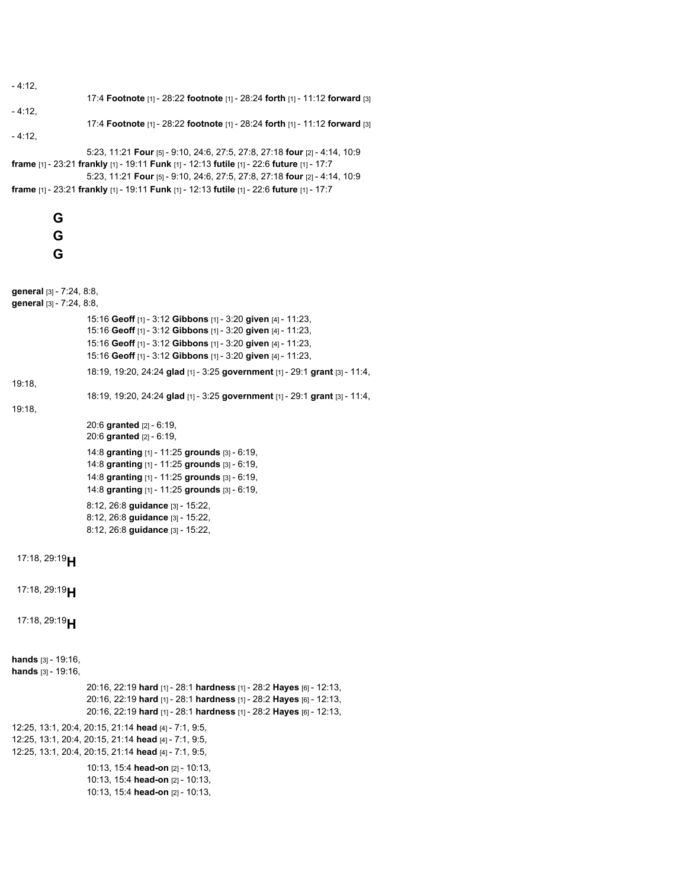```
- 4:12,
                    17:4 Footnote [1] - 28:22 footnote [1] - 28:24 forth [1] - 11:12 forward [3]
- 4:12,
                   17:4 Footnote [1] - 28:22 footnote [1] - 28:24 forth [1] - 11:12 forward [3]
- 4:12,
                   5:23, 11:21 Four [5] - 9:10, 24:6, 27:5, 27:8, 27:18 four [2] - 4:14, 10:9
frame [1] - 23:21 frankly [1] - 19:11 Funk [1] - 12:13 futile [1] - 22:6 future [1] - 17:7
                    5:23, 11:21 Four [5] - 9:10, 24:6, 27:5, 27:8, 27:18 four [2] - 4:14, 10:9
frame [1] - 23:21 frankly [1] - 19:11 Funk [1] - 12:13 futile [1] - 22:6 future [1] - 17:7
          G
          G
          G
general [3] - 7:24, 8:8,
general [3] - 7:24, 8:8,
                    15:16 Geoff [1] - 3:12 Gibbons [1] - 3:20 given [4] - 11:23,
                    15:16 Geoff [1] - 3:12 Gibbons [1] - 3:20 given [4] - 11:23,
                    15:16 Geoff [1] - 3:12 Gibbons [1] - 3:20 given [4] - 11:23,
                    15:16 Geoff [1] - 3:12 Gibbons [1] - 3:20 given [4] - 11:23,
                    18:19, 19:20, 24:24 glad [1] - 3:25 government [1] - 29:1 grant [3] - 11:4,
19:18,
                    18:19, 19:20, 24:24 glad [1] - 3:25 government [1] - 29:1 grant [3] - 11:4,
19:18,
                    20:6 granted [2] - 6:19,
                   20:6 granted [2] - 6:19,
                    14:8 granting [1] - 11:25 grounds [3] - 6:19,
                    14:8 granting [1] - 11:25 grounds [3] - 6:19,
                    14:8 granting [1] - 11:25 grounds [3] - 6:19,
                    14:8 granting [1] - 11:25 grounds [3] - 6:19,
                   8:12, 26:8 guidance [3] - 15:22,
                   8:12, 26:8 guidance [3] - 15:22,
                   8:12, 26:8 guidance [3] - 15:22,
 17:18, 29:19H
 17:18, 29:19H
 17:18, 29:19H
hands [3] - 19:16,
hands [3] - 19:16,
                    20:16, 22:19 hard [1] - 28:1 hardness [1] - 28:2 Hayes [6] - 12:13,
                   20:16, 22:19 hard [1] - 28:1 hardness [1] - 28:2 Hayes [6] - 12:13,
                   20:16, 22:19 hard [1] - 28:1 hardness [1] - 28:2 Hayes [6] - 12:13,
12:25, 13:1, 20:4, 20:15, 21:14 head [4] - 7:1, 9:5,
12:25, 13:1, 20:4, 20:15, 21:14 head [4] - 7:1, 9:5,
12:25, 13:1, 20:4, 20:15, 21:14 head [4] - 7:1, 9:5,
                    10:13, 15:4 head-on [2] - 10:13,
                    10:13, 15:4 head-on [2] - 10:13,
                    10:13, 15:4 head-on [2] - 10:13,
```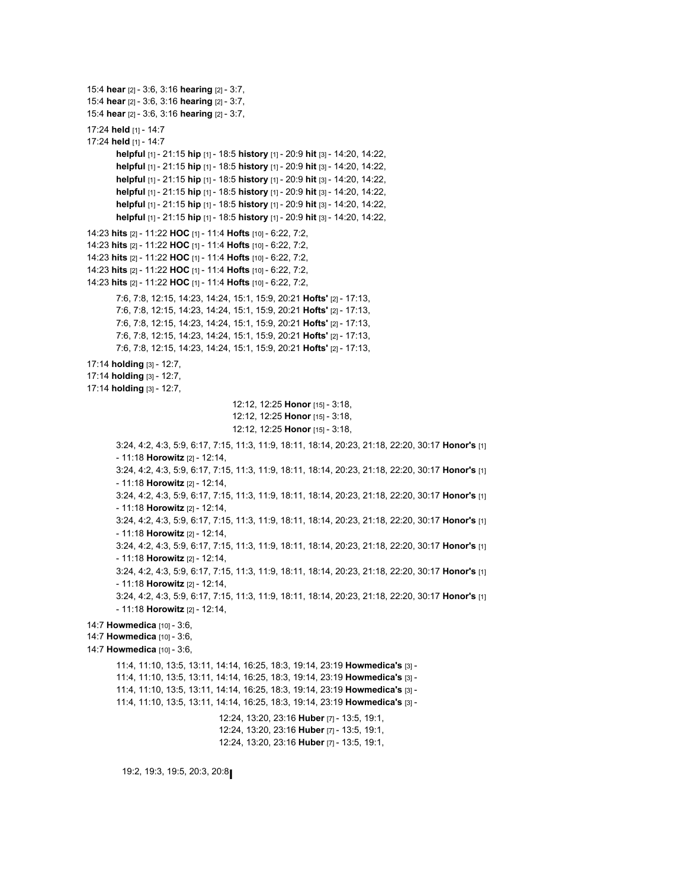```
15:4 hear [2] - 3:6, 3:16 hearing [2] - 3:7,
15:4 hear [2] - 3:6, 3:16 hearing [2] - 3:7,
15:4 hear [2] - 3:6, 3:16 hearing [2] - 3:7,
17:24 held [1] - 14:7
17:24 held [1] - 14:7
       helpful [1] - 21:15 hip [1] - 18:5 history [1] - 20:9 hit [3] - 14:20, 14:22,
       helpful [1] - 21:15 hip [1] - 18:5 history [1] - 20:9 hit [3] - 14:20, 14:22,
       helpful [1] - 21:15 hip [1] - 18:5 history [1] - 20:9 hit [3] - 14:20, 14:22,
       helpful [1] - 21:15 hip [1] - 18:5 history [1] - 20:9 hit [3] - 14:20, 14:22,
       helpful [1] - 21:15 hip [1] - 18:5 history [1] - 20:9 hit [3] - 14:20, 14:22,
       helpful [1] - 21:15 hip [1] - 18:5 history [1] - 20:9 hit [3] - 14:20, 14:22,
14:23 hits [2] - 11:22 HOC [1] - 11:4 Hofts [10] - 6:22, 7:2,
14:23 hits [2] - 11:22 HOC [1] - 11:4 Hofts [10] - 6:22, 7:2,
14:23 hits [2] - 11:22 HOC [1] - 11:4 Hofts [10] - 6:22, 7:2,
14:23 hits [2] - 11:22 HOC [1] - 11:4 Hofts [10] - 6:22, 7:2,
14:23 hits [2] - 11:22 HOC [1] - 11:4 Hofts [10] - 6:22, 7:2,
       7:6, 7:8, 12:15, 14:23, 14:24, 15:1, 15:9, 20:21 Hofts' [2] - 17:13,
       7:6, 7:8, 12:15, 14:23, 14:24, 15:1, 15:9, 20:21 Hofts' [2] - 17:13,
       7:6, 7:8, 12:15, 14:23, 14:24, 15:1, 15:9, 20:21 Hofts' [2] - 17:13,
       7:6, 7:8, 12:15, 14:23, 14:24, 15:1, 15:9, 20:21 Hofts' [2] - 17:13,
       7:6, 7:8, 12:15, 14:23, 14:24, 15:1, 15:9, 20:21 Hofts' [2] - 17:13,
17:14 holding [3] - 12:7,
17:14 holding [3] - 12:7,
17:14 holding [3] - 12:7,
                                      12:12, 12:25 Honor [15] - 3:18,
                                      12:12, 12:25 Honor [15] - 3:18,
                                      12:12, 12:25 Honor [15] - 3:18,
       3:24, 4:2, 4:3, 5:9, 6:17, 7:15, 11:3, 11:9, 18:11, 18:14, 20:23, 21:18, 22:20, 30:17 Honor's [1]
       - 11:18 Horowitz [2] - 12:14,
       3:24, 4:2, 4:3, 5:9, 6:17, 7:15, 11:3, 11:9, 18:11, 18:14, 20:23, 21:18, 22:20, 30:17 Honor's [1]
       - 11:18 Horowitz [2] - 12:14,
       3:24, 4:2, 4:3, 5:9, 6:17, 7:15, 11:3, 11:9, 18:11, 18:14, 20:23, 21:18, 22:20, 30:17 Honor's [1]
       - 11:18 Horowitz [2] - 12:14,
       3:24, 4:2, 4:3, 5:9, 6:17, 7:15, 11:3, 11:9, 18:11, 18:14, 20:23, 21:18, 22:20, 30:17 Honor's [1]
       - 11:18 Horowitz [2] - 12:14,
       3:24, 4:2, 4:3, 5:9, 6:17, 7:15, 11:3, 11:9, 18:11, 18:14, 20:23, 21:18, 22:20, 30:17 Honor's [1]
       - 11:18 Horowitz [2] - 12:14,
       3:24, 4:2, 4:3, 5:9, 6:17, 7:15, 11:3, 11:9, 18:11, 18:14, 20:23, 21:18, 22:20, 30:17 Honor's [1]
       - 11:18 Horowitz [2] - 12:14,
       3:24, 4:2, 4:3, 5:9, 6:17, 7:15, 11:3, 11:9, 18:11, 18:14, 20:23, 21:18, 22:20, 30:17 Honor's [1]
       - 11:18 Horowitz [2] - 12:14,
14:7 Howmedica [10] - 3:6,
14:7 Howmedica [10] - 3:6,
14:7 Howmedica [10] - 3:6,
        11:4, 11:10, 13:5, 13:11, 14:14, 16:25, 18:3, 19:14, 23:19 Howmedica's [3] -
       11:4, 11:10, 13:5, 13:11, 14:14, 16:25, 18:3, 19:14, 23:19 Howmedica's [3] -
       11:4, 11:10, 13:5, 13:11, 14:14, 16:25, 18:3, 19:14, 23:19 Howmedica's [3] -
       11:4, 11:10, 13:5, 13:11, 14:14, 16:25, 18:3, 19:14, 23:19 Howmedica's [3] -
                                   12:24, 13:20, 23:16 Huber [7] - 13:5, 19:1,
                                   12:24, 13:20, 23:16 Huber [7] - 13:5, 19:1,
                                   12:24, 13:20, 23:16 Huber [7] - 13:5, 19:1,
```

```
19:2, 19:3, 19:5, 20:3, 20:8
I
```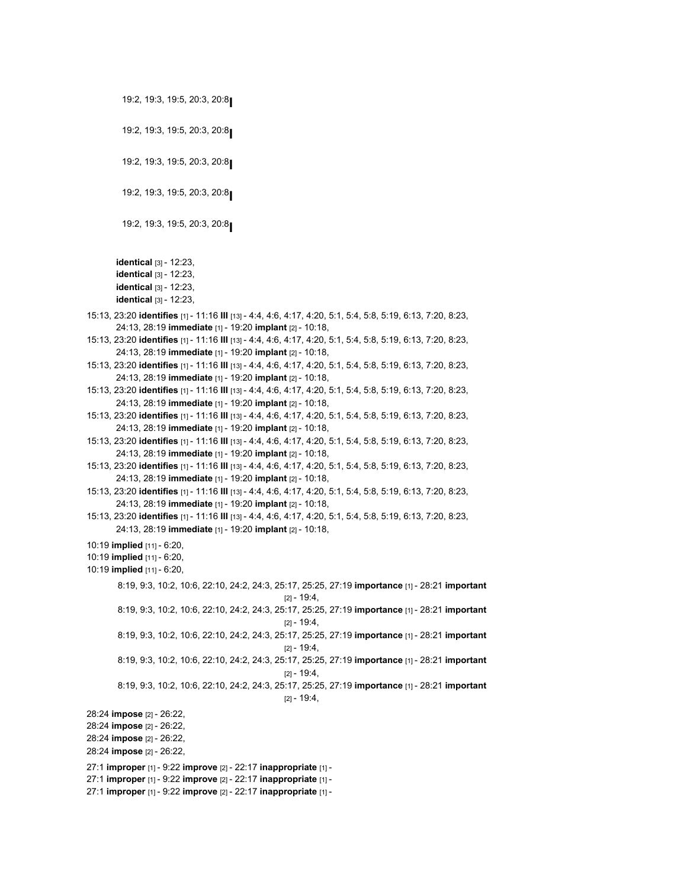```
19:2, 19:3, 19:5, 20:3, 20:8
I
          19:2, 19:3, 19:5, 20:3, 20:8
I
          19:2, 19:3, 19:5, 20:3, 20:8
I
          19:2, 19:3, 19:5, 20:3, 20:8
I
          19:2, 19:3, 19:5, 20:3, 20:8
I
        identical [3] - 12:23,
        identical [3] - 12:23,
        identical [3] - 12:23,
       identical [3] - 12:23,
15:13, 23:20 identifies [1] - 11:16 III [13] - 4:4, 4:6, 4:17, 4:20, 5:1, 5:4, 5:8, 5:19, 6:13, 7:20, 8:23,
        24:13, 28:19 immediate [1] - 19:20 implant [2] - 10:18,
15:13, 23:20 identifies [1] - 11:16 III [13] - 4:4, 4:6, 4:17, 4:20, 5:1, 5:4, 5:8, 5:19, 6:13, 7:20, 8:23,
       24:13, 28:19 immediate [1] - 19:20 implant [2] - 10:18,
15:13, 23:20 identifies [1] - 11:16 III [13] - 4:4, 4:6, 4:17, 4:20, 5:1, 5:4, 5:8, 5:19, 6:13, 7:20, 8:23,
        24:13, 28:19 immediate [1] - 19:20 implant [2] - 10:18,
15:13, 23:20 identifies [1] - 11:16 III [13] - 4:4, 4:6, 4:17, 4:20, 5:1, 5:4, 5:8, 5:19, 6:13, 7:20, 8:23,
        24:13, 28:19 immediate [1] - 19:20 implant [2] - 10:18,
15:13, 23:20 identifies [1] - 11:16 III [13] - 4:4, 4:6, 4:17, 4:20, 5:1, 5:4, 5:8, 5:19, 6:13, 7:20, 8:23,
        24:13, 28:19 immediate [1] - 19:20 implant [2] - 10:18,
15:13, 23:20 identifies [1] - 11:16 III [13] - 4:4, 4:6, 4:17, 4:20, 5:1, 5:4, 5:8, 5:19, 6:13, 7:20, 8:23,
        24:13, 28:19 immediate [1] - 19:20 implant [2] - 10:18,
15:13, 23:20 identifies [1] - 11:16 III [13] - 4:4, 4:6, 4:17, 4:20, 5:1, 5:4, 5:8, 5:19, 6:13, 7:20, 8:23,
        24:13, 28:19 immediate [1] - 19:20 implant [2] - 10:18,
15:13, 23:20 identifies [1] - 11:16 III [13] - 4:4, 4:6, 4:17, 4:20, 5:1, 5:4, 5:8, 5:19, 6:13, 7:20, 8:23,
        24:13, 28:19 immediate [1] - 19:20 implant [2] - 10:18,
15:13, 23:20 identifies [1] - 11:16 III [13] - 4:4, 4:6, 4:17, 4:20, 5:1, 5:4, 5:8, 5:19, 6:13, 7:20, 8:23,
        24:13, 28:19 immediate [1] - 19:20 implant [2] - 10:18,
10:19 implied [11] - 6:20,
10:19 implied [11] - 6:20,
10:19 implied [11] - 6:20,
        8:19, 9:3, 10:2, 10:6, 22:10, 24:2, 24:3, 25:17, 25:25, 27:19 importance [1] - 28:21 important
                                                     [2] - 19:4,
        8:19, 9:3, 10:2, 10:6, 22:10, 24:2, 24:3, 25:17, 25:25, 27:19 importance [1] - 28:21 important
                                                     [2] - 19:4,
        8:19, 9:3, 10:2, 10:6, 22:10, 24:2, 24:3, 25:17, 25:25, 27:19 importance [1] - 28:21 important
                                                     [2] - 19:4,
        8:19, 9:3, 10:2, 10:6, 22:10, 24:2, 24:3, 25:17, 25:25, 27:19 importance [1] - 28:21 important
                                                     [2] - 19:4,
        8:19, 9:3, 10:2, 10:6, 22:10, 24:2, 24:3, 25:17, 25:25, 27:19 importance [1] - 28:21 important
                                                     [2] - 19:4,
28:24 impose [2] - 26:22,
28:24 impose [2] - 26:22,
28:24 impose [2] - 26:22,
28:24 impose [2] - 26:22,
27:1 improper [1] - 9:22 improve [2] - 22:17 inappropriate [1] -
27:1 improper [1] - 9:22 improve [2] - 22:17 inappropriate [1] -
27:1 improper [1] - 9:22 improve [2] - 22:17 inappropriate [1] -
```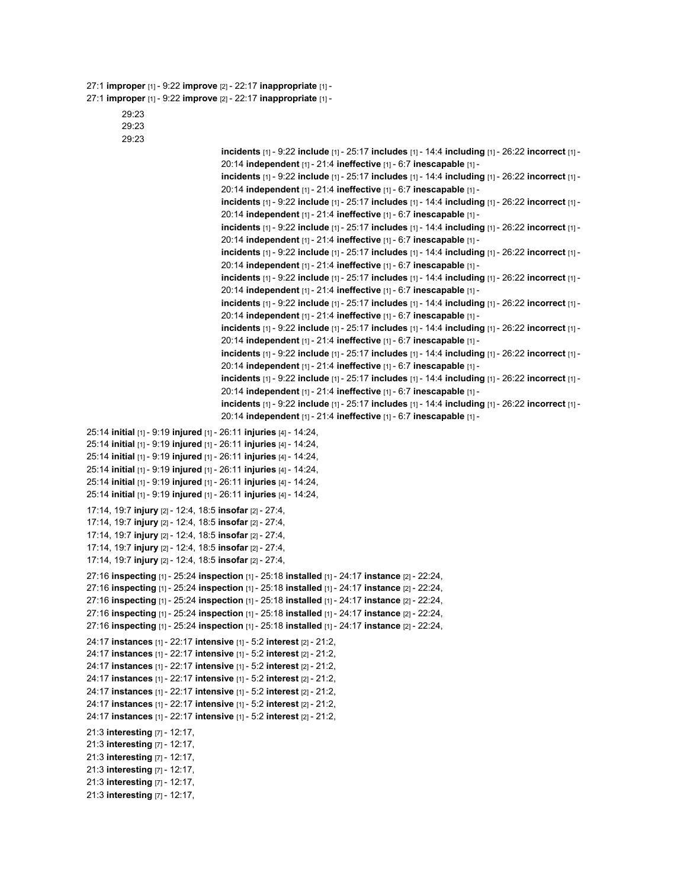#### 27:1 **improper** [1] - 9:22 **improve** [2] - 22:17 **inappropriate** [1] -

```
27:1 improper [1] - 9:22 improve [2] - 22:17 inappropriate [1] -
```

```
29:23
```
29:23

```
29:23
```

```
incidents [1] - 9:22 include [1] - 25:17 includes [1] - 14:4 including [1] - 26:22 incorrect [1] -
                                    20:14 independent [1] - 21:4 ineffective [1] - 6:7 inescapable [1] -
                                    incidents [1] - 9:22 include [1] - 25:17 includes [1] - 14:4 including [1] - 26:22 incorrect [1] -
                                    20:14 independent [1] - 21:4 ineffective [1] - 6:7 inescapable [1] -
                                    incidents [1] - 9:22 include [1] - 25:17 includes [1] - 14:4 including [1] - 26:22 incorrect [1] -
                                    20:14 independent [1] - 21:4 ineffective [1] - 6:7 inescapable [1] -
                                    incidents [1] - 9:22 include [1] - 25:17 includes [1] - 14:4 including [1] - 26:22 incorrect [1] -
                                    20:14 independent [1] - 21:4 ineffective [1] - 6:7 inescapable [1] -
                                    incidents [1] - 9:22 include [1] - 25:17 includes [1] - 14:4 including [1] - 26:22 incorrect [1] -
                                    20:14 independent [1] - 21:4 ineffective [1] - 6:7 inescapable [1] -
                                    incidents [1] - 9:22 include [1] - 25:17 includes [1] - 14:4 including [1] - 26:22 incorrect [1] -
                                    20:14 independent [1] - 21:4 ineffective [1] - 6:7 inescapable [1] -
                                    incidents [1] - 9:22 include [1] - 25:17 includes [1] - 14:4 including [1] - 26:22 incorrect [1] -
                                    20:14 independent [1] - 21:4 ineffective [1] - 6:7 inescapable [1] -
                                    incidents [1] - 9:22 include [1] - 25:17 includes [1] - 14:4 including [1] - 26:22 incorrect [1] -
                                    20:14 independent [1] - 21:4 ineffective [1] - 6:7 inescapable [1] -
                                    incidents [1] - 9:22 include [1] - 25:17 includes [1] - 14:4 including [1] - 26:22 incorrect [1] -
                                    20:14 independent [1] - 21:4 ineffective [1] - 6:7 inescapable [1] -
                                    incidents [1] - 9:22 include [1] - 25:17 includes [1] - 14:4 including [1] - 26:22 incorrect [1] -
                                    20:14 independent [1] - 21:4 ineffective [1] - 6:7 inescapable [1] -
                                    incidents [1] - 9:22 include [1] - 25:17 includes [1] - 14:4 including [1] - 26:22 incorrect [1] -
                                    20:14 independent [1] - 21:4 ineffective [1] - 6:7 inescapable [1] -
25:14 initial [1] - 9:19 injured [1] - 26:11 injuries [4] - 14:24,
25:14 initial [1] - 9:19 injured [1] - 26:11 injuries [4] - 14:24,
25:14 initial [1] - 9:19 injured [1] - 26:11 injuries [4] - 14:24,
25:14 initial [1] - 9:19 injured [1] - 26:11 injuries [4] - 14:24,
25:14 initial [1] - 9:19 injured [1] - 26:11 injuries [4] - 14:24,
25:14 initial [1] - 9:19 injured [1] - 26:11 injuries [4] - 14:24,
17:14, 19:7 injury [2] - 12:4, 18:5 insofar [2] - 27:4,
17:14, 19:7 injury [2] - 12:4, 18:5 insofar [2] - 27:4,
17:14, 19:7 injury [2] - 12:4, 18:5 insofar [2] - 27:4,
17:14, 19:7 injury [2] - 12:4, 18:5 insofar [2] - 27:4,
17:14, 19:7 injury [2] - 12:4, 18:5 insofar [2] - 27:4,
27:16 inspecting [1] - 25:24 inspection [1] - 25:18 installed [1] - 24:17 instance [2] - 22:24,
27:16 inspecting [1] - 25:24 inspection [1] - 25:18 installed [1] - 24:17 instance [2] - 22:24,
27:16 inspecting [1] - 25:24 inspection [1] - 25:18 installed [1] - 24:17 instance [2] - 22:24,
27:16 inspecting [1] - 25:24 inspection [1] - 25:18 installed [1] - 24:17 instance [2] - 22:24,
27:16 inspecting [1] - 25:24 inspection [1] - 25:18 installed [1] - 24:17 instance [2] - 22:24,
24:17 instances [1] - 22:17 intensive [1] - 5:2 interest [2] - 21:2,
24:17 instances [1] - 22:17 intensive [1] - 5:2 interest [2] - 21:2,
24:17 instances [1] - 22:17 intensive [1] - 5:2 interest [2] - 21:2,
24:17 instances [1] - 22:17 intensive [1] - 5:2 interest [2] - 21:2,
24:17 instances [1] - 22:17 intensive [1] - 5:2 interest [2] - 21:2,
24:17 instances [1] - 22:17 intensive [1] - 5:2 interest [2] - 21:2,
24:17 instances [1] - 22:17 intensive [1] - 5:2 interest [2] - 21:2,
21:3 interesting [7] - 12:17,
21:3 interesting [7] - 12:17,
21:3 interesting [7] - 12:17,
21:3 interesting [7] - 12:17,
21:3 interesting [7] - 12:17,
21:3 interesting [7] - 12:17,
```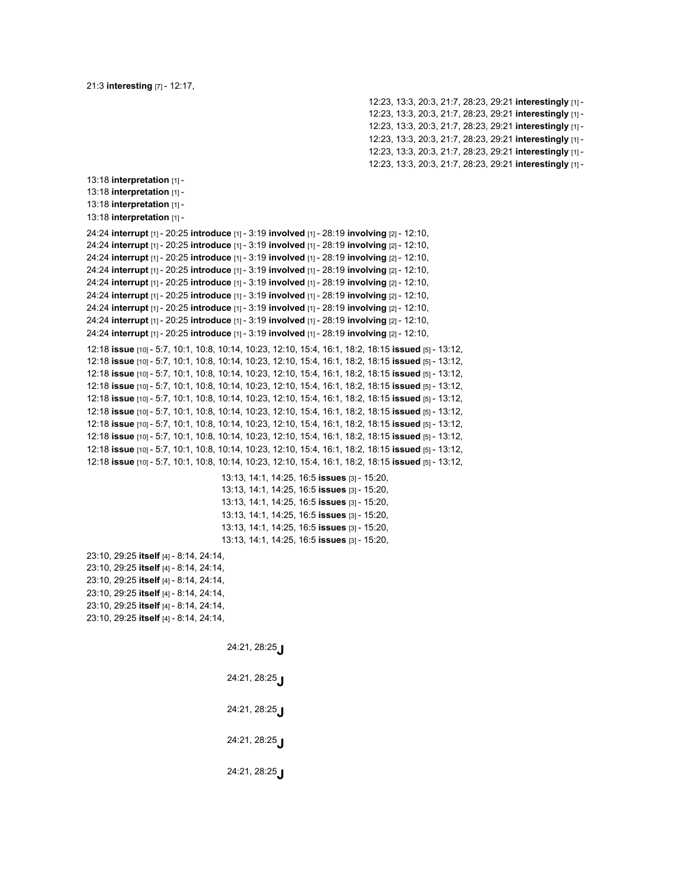21:3 **interesting** [7] - 12:17,

12:23, 13:3, 20:3, 21:7, 28:23, 29:21 **interestingly** [1] - 12:23, 13:3, 20:3, 21:7, 28:23, 29:21 **interestingly** [1] - 12:23, 13:3, 20:3, 21:7, 28:23, 29:21 **interestingly** [1] - 12:23, 13:3, 20:3, 21:7, 28:23, 29:21 **interestingly** [1] - 12:23, 13:3, 20:3, 21:7, 28:23, 29:21 **interestingly** [1] - 12:23, 13:3, 20:3, 21:7, 28:23, 29:21 **interestingly** [1] -

13:18 **interpretation** [1] - 13:18 **interpretation** [1] - 13:18 **interpretation** [1] - 13:18 **interpretation** [1] - 24:24 **interrupt** [1] - 20:25 **introduce** [1] - 3:19 **involved** [1] - 28:19 **involving** [2] - 12:10, 24:24 **interrupt** [1] - 20:25 **introduce** [1] - 3:19 **involved** [1] - 28:19 **involving** [2] - 12:10, 24:24 **interrupt** [1] - 20:25 **introduce** [1] - 3:19 **involved** [1] - 28:19 **involving** [2] - 12:10, 24:24 **interrupt** [1] - 20:25 **introduce** [1] - 3:19 **involved** [1] - 28:19 **involving** [2] - 12:10, 24:24 **interrupt** [1] - 20:25 **introduce** [1] - 3:19 **involved** [1] - 28:19 **involving** [2] - 12:10, 24:24 **interrupt** [1] - 20:25 **introduce** [1] - 3:19 **involved** [1] - 28:19 **involving** [2] - 12:10, 24:24 **interrupt** [1] - 20:25 **introduce** [1] - 3:19 **involved** [1] - 28:19 **involving** [2] - 12:10, 24:24 **interrupt** [1] - 20:25 **introduce** [1] - 3:19 **involved** [1] - 28:19 **involving** [2] - 12:10, 24:24 **interrupt** [1] - 20:25 **introduce** [1] - 3:19 **involved** [1] - 28:19 **involving** [2] - 12:10, 12:18 **issue** [10] - 5:7, 10:1, 10:8, 10:14, 10:23, 12:10, 15:4, 16:1, 18:2, 18:15 **issued** [5] - 13:12, 12:18 **issue** [10] - 5:7, 10:1, 10:8, 10:14, 10:23, 12:10, 15:4, 16:1, 18:2, 18:15 **issued** [5] - 13:12, 12:18 **issue** [10] - 5:7, 10:1, 10:8, 10:14, 10:23, 12:10, 15:4, 16:1, 18:2, 18:15 **issued** [5] - 13:12, 12:18 **issue** [10] - 5:7, 10:1, 10:8, 10:14, 10:23, 12:10, 15:4, 16:1, 18:2, 18:15 **issued** [5] - 13:12, 12:18 **issue** [10] - 5:7, 10:1, 10:8, 10:14, 10:23, 12:10, 15:4, 16:1, 18:2, 18:15 **issued** [5] - 13:12, 12:18 **issue** [10] - 5:7, 10:1, 10:8, 10:14, 10:23, 12:10, 15:4, 16:1, 18:2, 18:15 **issued** [5] - 13:12, 12:18 **issue** [10] - 5:7, 10:1, 10:8, 10:14, 10:23, 12:10, 15:4, 16:1, 18:2, 18:15 **issued** [5] - 13:12, 12:18 **issue** [10] - 5:7, 10:1, 10:8, 10:14, 10:23, 12:10, 15:4, 16:1, 18:2, 18:15 **issued** [5] - 13:12, 12:18 **issue** [10] - 5:7, 10:1, 10:8, 10:14, 10:23, 12:10, 15:4, 16:1, 18:2, 18:15 **issued** [5] - 13:12, 12:18 **issue** [10] - 5:7, 10:1, 10:8, 10:14, 10:23, 12:10, 15:4, 16:1, 18:2, 18:15 **issued** [5] - 13:12, 13:13, 14:1, 14:25, 16:5 **issues** [3] - 15:20, 13:13, 14:1, 14:25, 16:5 **issues** [3] - 15:20, 13:13, 14:1, 14:25, 16:5 **issues** [3] - 15:20, 13:13, 14:1, 14:25, 16:5 **issues** [3] - 15:20, 13:13, 14:1, 14:25, 16:5 **issues** [3] - 15:20, 13:13, 14:1, 14:25, 16:5 **issues** [3] - 15:20, 23:10, 29:25 **itself** [4] - 8:14, 24:14, 23:10, 29:25 **itself** [4] - 8:14, 24:14, 23:10, 29:25 **itself** [4] - 8:14, 24:14, 23:10, 29:25 **itself** [4] - 8:14, 24:14, 23:10, 29:25 **itself** [4] - 8:14, 24:14, 23:10, 29:25 **itself** [4] - 8:14, 24:14,

> 24:21, 28:25**J** 24:21, 28:25**J** 24:21, 28:25**J** 24:21, 28:25**J** 24:21, 28:25**J**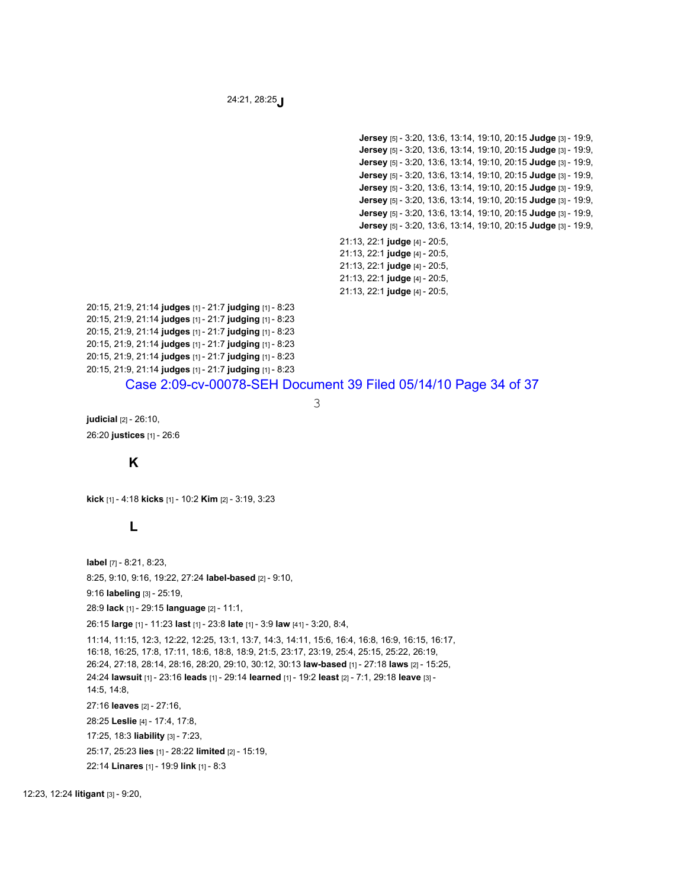24:21, 28:25**J**

**Jersey** [5] - 3:20, 13:6, 13:14, 19:10, 20:15 **Judge** [3] - 19:9, **Jersey** [5] - 3:20, 13:6, 13:14, 19:10, 20:15 **Judge** [3] - 19:9, **Jersey** [5] - 3:20, 13:6, 13:14, 19:10, 20:15 **Judge** [3] - 19:9, **Jersey** [5] - 3:20, 13:6, 13:14, 19:10, 20:15 **Judge** [3] - 19:9, **Jersey** [5] - 3:20, 13:6, 13:14, 19:10, 20:15 **Judge** [3] - 19:9, **Jersey** [5] - 3:20, 13:6, 13:14, 19:10, 20:15 **Judge** [3] - 19:9, **Jersey** [5] - 3:20, 13:6, 13:14, 19:10, 20:15 **Judge** [3] - 19:9, **Jersey** [5] - 3:20, 13:6, 13:14, 19:10, 20:15 **Judge** [3] - 19:9, 21:13, 22:1 **judge** [4] - 20:5, 21:13, 22:1 **judge** [4] - 20:5, 21:13, 22:1 **judge** [4] - 20:5, 21:13, 22:1 **judge** [4] - 20:5, 21:13, 22:1 **judge** [4] - 20:5,

20:15, 21:9, 21:14 **judges** [1] - 21:7 **judging** [1] - 8:23 20:15, 21:9, 21:14 **judges** [1] - 21:7 **judging** [1] - 8:23 20:15, 21:9, 21:14 **judges** [1] - 21:7 **judging** [1] - 8:23 20:15, 21:9, 21:14 **judges** [1] - 21:7 **judging** [1] - 8:23 20:15, 21:9, 21:14 **judges** [1] - 21:7 **judging** [1] - 8:23 20:15, 21:9, 21:14 **judges** [1] - 21:7 **judging** [1] - 8:23

### Case 2:09-cv-00078-SEH Document 39 Filed 05/14/10 Page 34 of 37

3

**judicial** [2] - 26:10, 26:20 **justices** [1] - 26:6

# **K**

**kick** [1] - 4:18 **kicks** [1] - 10:2 **Kim** [2] - 3:19, 3:23

## **L**

**label** [7] - 8:21, 8:23, 8:25, 9:10, 9:16, 19:22, 27:24 **label-based** [2] - 9:10,

9:16 **labeling** [3] - 25:19,

28:9 **lack** [1] - 29:15 **language** [2] - 11:1,

26:15 **large** [1] - 11:23 **last** [1] - 23:8 **late** [1] - 3:9 **law** [41] - 3:20, 8:4,

11:14, 11:15, 12:3, 12:22, 12:25, 13:1, 13:7, 14:3, 14:11, 15:6, 16:4, 16:8, 16:9, 16:15, 16:17, 16:18, 16:25, 17:8, 17:11, 18:6, 18:8, 18:9, 21:5, 23:17, 23:19, 25:4, 25:15, 25:22, 26:19, 26:24, 27:18, 28:14, 28:16, 28:20, 29:10, 30:12, 30:13 **law-based** [1] - 27:18 **laws** [2] - 15:25, 24:24 **lawsuit** [1] - 23:16 **leads** [1] - 29:14 **learned** [1] - 19:2 **least** [2] - 7:1, 29:18 **leave** [3] - 14:5, 14:8, 27:16 **leaves** [2] - 27:16, 28:25 **Leslie** [4] - 17:4, 17:8,

17:25, 18:3 **liability** [3] - 7:23, 25:17, 25:23 **lies** [1] - 28:22 **limited** [2] - 15:19,

22:14 **Linares** [1] - 19:9 **link** [1] - 8:3

12:23, 12:24 **litigant** [3] - 9:20,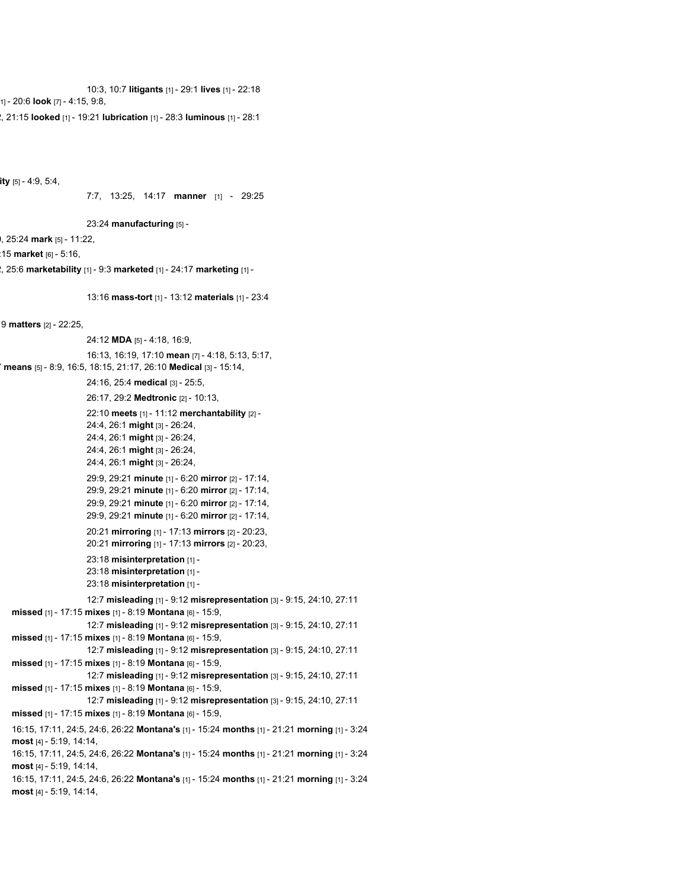10:3, 10:7 **litigants** [1] - 29:1 **lives** [1] - 22:18 1] - 20:6 **look** [7] - 4:15, 9:8,

2, 21:15 **looked** [1] - 19:21 **lubrication** [1] - 28:3 **luminous** [1] - 28:1

**ity** [5] - 4:9, 5:4,

```
7:7, 13:25, 14:17 manner [1] - 29:25
```
23:24 **manufacturing** [5] -

0, 25:24 **mark** [5] - 11:22,

:15 **market** [6] - 5:16,

2, 25:6 **marketability** [1] - 9:3 **marketed** [1] - 24:17 **marketing** [1] -

13:16 **mass-tort** [1] - 13:12 **materials** [1] - 23:4

9 **matters** [2] - 22:25,

24:12 **MDA** [5] - 4:18, 16:9, 16:13, 16:19, 17:10 **mean** [7] - 4:18, 5:13, 5:17, 7 **means** [5] - 8:9, 16:5, 18:15, 21:17, 26:10 **Medical** [3] - 15:14, 24:16, 25:4 **medical** [3] - 25:5, 26:17, 29:2 **Medtronic** [2] - 10:13, 22:10 **meets** [1] - 11:12 **merchantability** [2] - 24:4, 26:1 **might** [3] - 26:24, 24:4, 26:1 **might** [3] - 26:24, 24:4, 26:1 **might** [3] - 26:24, 24:4, 26:1 **might** [3] - 26:24, 29:9, 29:21 **minute** [1] - 6:20 **mirror** [2] - 17:14, 29:9, 29:21 **minute** [1] - 6:20 **mirror** [2] - 17:14, 29:9, 29:21 **minute** [1] - 6:20 **mirror** [2] - 17:14, 29:9, 29:21 **minute** [1] - 6:20 **mirror** [2] - 17:14, 20:21 **mirroring** [1] - 17:13 **mirrors** [2] - 20:23, 20:21 **mirroring** [1] - 17:13 **mirrors** [2] - 20:23, 23:18 **misinterpretation** [1] - 23:18 **misinterpretation** [1] - 23:18 **misinterpretation** [1] - 12:7 **misleading** [1] - 9:12 **misrepresentation** [3] - 9:15, 24:10, 27:11 **missed** [1] - 17:15 **mixes** [1] - 8:19 **Montana** [6] - 15:9, 12:7 **misleading** [1] - 9:12 **misrepresentation** [3] - 9:15, 24:10, 27:11 **missed** [1] - 17:15 **mixes** [1] - 8:19 **Montana** [6] - 15:9, 12:7 **misleading** [1] - 9:12 **misrepresentation** [3] - 9:15, 24:10, 27:11 **missed** [1] - 17:15 **mixes** [1] - 8:19 **Montana** [6] - 15:9, 12:7 **misleading** [1] - 9:12 **misrepresentation** [3] - 9:15, 24:10, 27:11 **missed** [1] - 17:15 **mixes** [1] - 8:19 **Montana** [6] - 15:9, 12:7 **misleading** [1] - 9:12 **misrepresentation** [3] - 9:15, 24:10, 27:11 **missed** [1] - 17:15 **mixes** [1] - 8:19 **Montana** [6] - 15:9, 16:15, 17:11, 24:5, 24:6, 26:22 **Montana's** [1] - 15:24 **months** [1] - 21:21 **morning** [1] - 3:24 **most** [4] - 5:19, 14:14, 16:15, 17:11, 24:5, 24:6, 26:22 **Montana's** [1] - 15:24 **months** [1] - 21:21 **morning** [1] - 3:24 **most** [4] - 5:19, 14:14, 16:15, 17:11, 24:5, 24:6, 26:22 **Montana's** [1] - 15:24 **months** [1] - 21:21 **morning** [1] - 3:24 **most** [4] - 5:19, 14:14,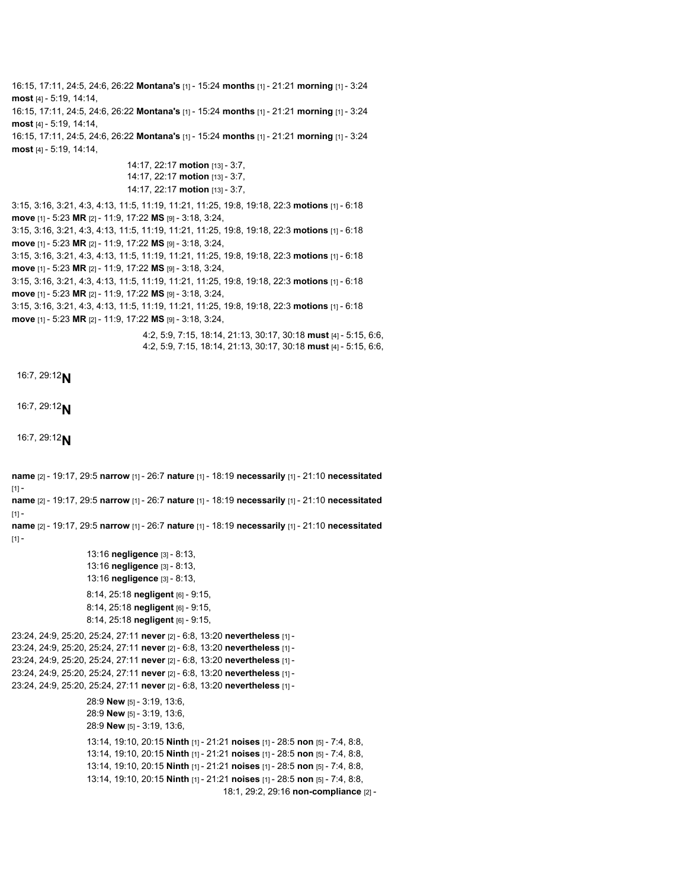16:15, 17:11, 24:5, 24:6, 26:22 **Montana's** [1] - 15:24 **months** [1] - 21:21 **morning** [1] - 3:24 **most** [4] - 5:19, 14:14,

16:15, 17:11, 24:5, 24:6, 26:22 **Montana's** [1] - 15:24 **months** [1] - 21:21 **morning** [1] - 3:24 **most** [4] - 5:19, 14:14,

16:15, 17:11, 24:5, 24:6, 26:22 **Montana's** [1] - 15:24 **months** [1] - 21:21 **morning** [1] - 3:24 **most** [4] - 5:19, 14:14,

> 14:17, 22:17 **motion** [13] - 3:7, 14:17, 22:17 **motion** [13] - 3:7, 14:17, 22:17 **motion** [13] - 3:7,

3:15, 3:16, 3:21, 4:3, 4:13, 11:5, 11:19, 11:21, 11:25, 19:8, 19:18, 22:3 **motions** [1] - 6:18 **move** [1] - 5:23 **MR** [2] - 11:9, 17:22 **MS** [9] - 3:18, 3:24, 3:15, 3:16, 3:21, 4:3, 4:13, 11:5, 11:19, 11:21, 11:25, 19:8, 19:18, 22:3 **motions** [1] - 6:18 **move** [1] - 5:23 **MR** [2] - 11:9, 17:22 **MS** [9] - 3:18, 3:24, 3:15, 3:16, 3:21, 4:3, 4:13, 11:5, 11:19, 11:21, 11:25, 19:8, 19:18, 22:3 **motions** [1] - 6:18

**move** [1] - 5:23 **MR** [2] - 11:9, 17:22 **MS** [9] - 3:18, 3:24,

3:15, 3:16, 3:21, 4:3, 4:13, 11:5, 11:19, 11:21, 11:25, 19:8, 19:18, 22:3 **motions** [1] - 6:18 **move** [1] - 5:23 **MR** [2] - 11:9, 17:22 **MS** [9] - 3:18, 3:24,

3:15, 3:16, 3:21, 4:3, 4:13, 11:5, 11:19, 11:21, 11:25, 19:8, 19:18, 22:3 **motions** [1] - 6:18 **move** [1] - 5:23 **MR** [2] - 11:9, 17:22 **MS** [9] - 3:18, 3:24,

> 4:2, 5:9, 7:15, 18:14, 21:13, 30:17, 30:18 **must** [4] - 5:15, 6:6, 4:2, 5:9, 7:15, 18:14, 21:13, 30:17, 30:18 **must** [4] - 5:15, 6:6,

```
16:7, 29:12N
```

```
16:7, 29:12N
```

```
16:7, 29:12N
```
**name** [2] - 19:17, 29:5 **narrow** [1] - 26:7 **nature** [1] - 18:19 **necessarily** [1] - 21:10 **necessitated**  $[1]$ **name** [2] - 19:17, 29:5 **narrow** [1] - 26:7 **nature** [1] - 18:19 **necessarily** [1] - 21:10 **necessitated**  $[1]$ **name** [2] - 19:17, 29:5 **narrow** [1] - 26:7 **nature** [1] - 18:19 **necessarily** [1] - 21:10 **necessitated**  $[1] -$ 13:16 **negligence** [3] - 8:13, 13:16 **negligence** [3] - 8:13, 13:16 **negligence** [3] - 8:13, 8:14, 25:18 **negligent** [6] - 9:15, 8:14, 25:18 **negligent** [6] - 9:15, 8:14, 25:18 **negligent** [6] - 9:15, 23:24, 24:9, 25:20, 25:24, 27:11 **never** [2] - 6:8, 13:20 **nevertheless** [1] - 23:24, 24:9, 25:20, 25:24, 27:11 **never** [2] - 6:8, 13:20 **nevertheless** [1] - 23:24, 24:9, 25:20, 25:24, 27:11 **never** [2] - 6:8, 13:20 **nevertheless** [1] - 23:24, 24:9, 25:20, 25:24, 27:11 **never** [2] - 6:8, 13:20 **nevertheless** [1] - 23:24, 24:9, 25:20, 25:24, 27:11 **never** [2] - 6:8, 13:20 **nevertheless** [1] - 28:9 **New** [5] - 3:19, 13:6, 28:9 **New** [5] - 3:19, 13:6, 28:9 **New** [5] - 3:19, 13:6, 13:14, 19:10, 20:15 **Ninth** [1] - 21:21 **noises** [1] - 28:5 **non** [5] - 7:4, 8:8, 13:14, 19:10, 20:15 **Ninth** [1] - 21:21 **noises** [1] - 28:5 **non** [5] - 7:4, 8:8, 13:14, 19:10, 20:15 **Ninth** [1] - 21:21 **noises** [1] - 28:5 **non** [5] - 7:4, 8:8, 13:14, 19:10, 20:15 **Ninth** [1] - 21:21 **noises** [1] - 28:5 **non** [5] - 7:4, 8:8, 18:1, 29:2, 29:16 **non-compliance** [2] -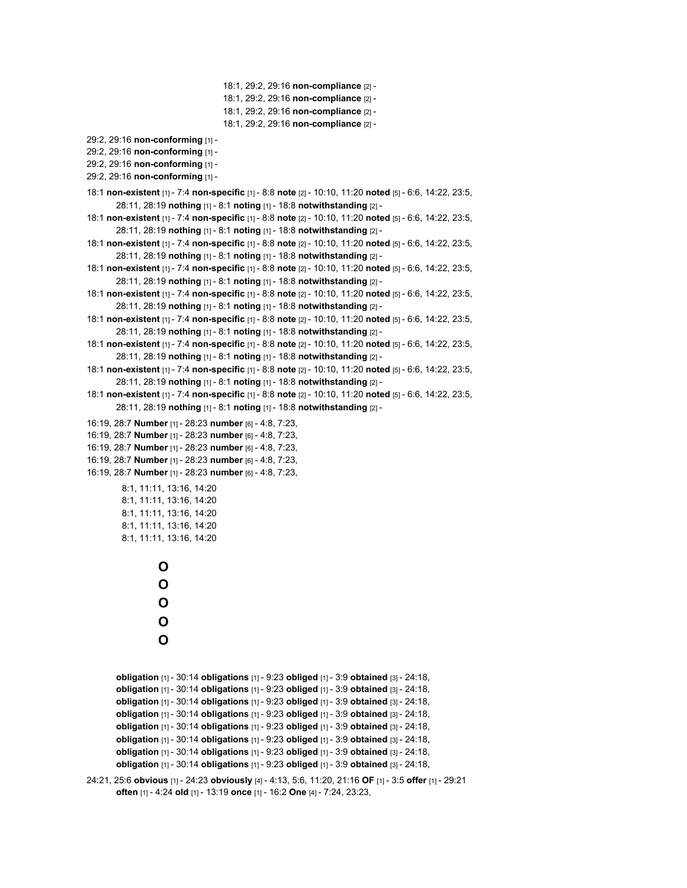```
18:1, 29:2, 29:16 non-compliance [2] -
18:1, 29:2, 29:16 non-compliance [2] -
18:1, 29:2, 29:16 non-compliance [2] -
18:1, 29:2, 29:16 non-compliance [2] -
```

```
29:2, 29:16 non-conforming [1] -
```

```
29:2, 29:16 non-conforming [1] -
```

```
29:2, 29:16 non-conforming [1] -
```

```
29:2, 29:16 non-conforming [1] -
```

```
18:1 non-existent [1] - 7:4 non-specific [1] - 8:8 note [2] - 10:10, 11:20 noted [5] - 6:6, 14:22, 23:5,
       28:11, 28:19 nothing [1] - 8:1 noting [1] - 18:8 notwithstanding [2] -
```

```
18:1 non-existent [1] - 7:4 non-specific [1] - 8:8 note [2] - 10:10, 11:20 noted [5] - 6:6, 14:22, 23:5,
        28:11, 28:19 nothing [1] - 8:1 noting [1] - 18:8 notwithstanding [2] -
```

```
18:1 non-existent [1] - 7:4 non-specific [1] - 8:8 note [2] - 10:10, 11:20 noted [5] - 6:6, 14:22, 23:5,
       28:11, 28:19 nothing [1] - 8:1 noting [1] - 18:8 notwithstanding [2] -
```
- 18:1 **non-existent** [1] 7:4 **non-specific** [1] 8:8 **note** [2] 10:10, 11:20 **noted** [5] 6:6, 14:22, 23:5, 28:11, 28:19 **nothing** [1] - 8:1 **noting** [1] - 18:8 **notwithstanding** [2] -
- 18:1 **non-existent** [1] 7:4 **non-specific** [1] 8:8 **note** [2] 10:10, 11:20 **noted** [5] 6:6, 14:22, 23:5, 28:11, 28:19 **nothing** [1] - 8:1 **noting** [1] - 18:8 **notwithstanding** [2] -
- 18:1 **non-existent** [1] 7:4 **non-specific** [1] 8:8 **note** [2] 10:10, 11:20 **noted** [5] 6:6, 14:22, 23:5, 28:11, 28:19 **nothing** [1] - 8:1 **noting** [1] - 18:8 **notwithstanding** [2] -
- 18:1 **non-existent** [1] 7:4 **non-specific** [1] 8:8 **note** [2] 10:10, 11:20 **noted** [5] 6:6, 14:22, 23:5, 28:11, 28:19 **nothing** [1] - 8:1 **noting** [1] - 18:8 **notwithstanding** [2] -
- 18:1 **non-existent** [1] 7:4 **non-specific** [1] 8:8 **note** [2] 10:10, 11:20 **noted** [5] 6:6, 14:22, 23:5, 28:11, 28:19 **nothing** [1] - 8:1 **noting** [1] - 18:8 **notwithstanding** [2] -
- 18:1 **non-existent** [1] 7:4 **non-specific** [1] 8:8 **note** [2] 10:10, 11:20 **noted** [5] 6:6, 14:22, 23:5, 28:11, 28:19 **nothing** [1] - 8:1 **noting** [1] - 18:8 **notwithstanding** [2] -
- 16:19, 28:7 **Number** [1] 28:23 **number** [6] 4:8, 7:23,
- 16:19, 28:7 **Number** [1] 28:23 **number** [6] 4:8, 7:23,
- 16:19, 28:7 **Number** [1] 28:23 **number** [6] 4:8, 7:23,
- 16:19, 28:7 **Number** [1] 28:23 **number** [6] 4:8, 7:23,
- 16:19, 28:7 **Number** [1] 28:23 **number** [6] 4:8, 7:23,

8:1, 11:11, 13:16, 14:20 8:1, 11:11, 13:16, 14:20 8:1, 11:11, 13:16, 14:20 8:1, 11:11, 13:16, 14:20 8:1, 11:11, 13:16, 14:20

> **O O O O O**

**obligation** [1] - 30:14 **obligations** [1] - 9:23 **obliged** [1] - 3:9 **obtained** [3] - 24:18, **obligation** [1] - 30:14 **obligations** [1] - 9:23 **obliged** [1] - 3:9 **obtained** [3] - 24:18, **obligation** [1] - 30:14 **obligations** [1] - 9:23 **obliged** [1] - 3:9 **obtained** [3] - 24:18, **obligation** [1] - 30:14 **obligations** [1] - 9:23 **obliged** [1] - 3:9 **obtained** [3] - 24:18, **obligation** [1] - 30:14 **obligations** [1] - 9:23 **obliged** [1] - 3:9 **obtained** [3] - 24:18, **obligation** [1] - 30:14 **obligations** [1] - 9:23 **obliged** [1] - 3:9 **obtained** [3] - 24:18, **obligation** [1] - 30:14 **obligations** [1] - 9:23 **obliged** [1] - 3:9 **obtained** [3] - 24:18, **obligation** [1] - 30:14 **obligations** [1] - 9:23 **obliged** [1] - 3:9 **obtained** [3] - 24:18,

```
24:21, 25:6 obvious [1] - 24:23 obviously [4] - 4:13, 5:6, 11:20, 21:16 OF [1] - 3:5 offer [1] - 29:21
        often [1] - 4:24 old [1] - 13:19 once [1] - 16:2 One [4] - 7:24, 23:23,
```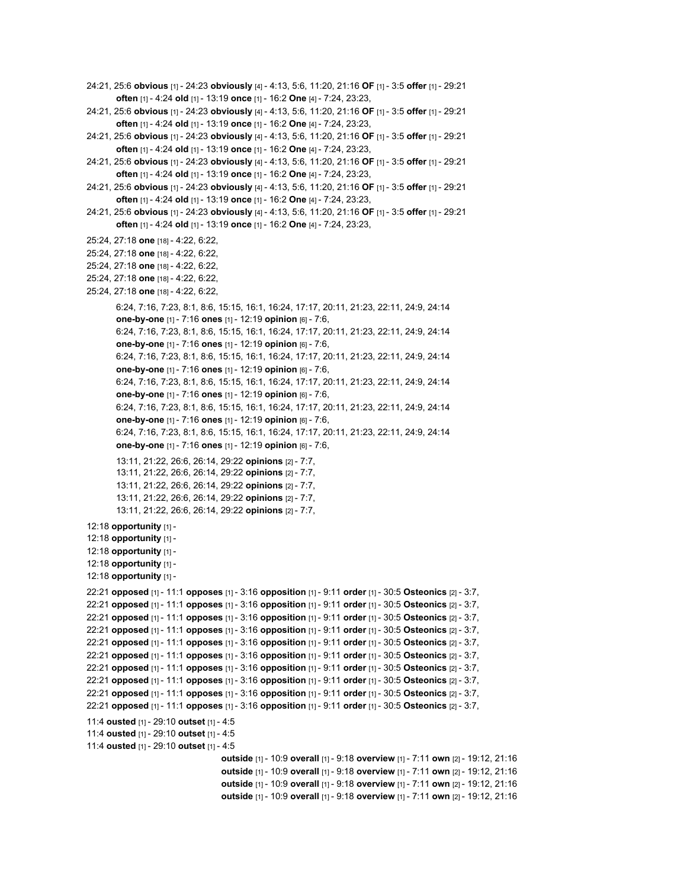```
24:21, 25:6 obvious [1] - 24:23 obviously [4] - 4:13, 5:6, 11:20, 21:16 OF [1] - 3:5 offer [1] - 29:21
        often [1] - 4:24 old [1] - 13:19 once [1] - 16:2 One [4] - 7:24, 23:23,
24:21, 25:6 obvious [1] - 24:23 obviously [4] - 4:13, 5:6, 11:20, 21:16 OF [1] - 3:5 offer [1] - 29:21
        often [1] - 4:24 old [1] - 13:19 once [1] - 16:2 One [4] - 7:24, 23:23,
24:21, 25:6 obvious [1] - 24:23 obviously [4] - 4:13, 5:6, 11:20, 21:16 OF [1] - 3:5 offer [1] - 29:21
        often [1] - 4:24 old [1] - 13:19 once [1] - 16:2 One [4] - 7:24, 23:23,
24:21, 25:6 obvious [1] - 24:23 obviously [4] - 4:13, 5:6, 11:20, 21:16 OF [1] - 3:5 offer [1] - 29:21
        often [1] - 4:24 old [1] - 13:19 once [1] - 16:2 One [4] - 7:24, 23:23,
24:21, 25:6 obvious [1] - 24:23 obviously [4] - 4:13, 5:6, 11:20, 21:16 OF [1] - 3:5 offer [1] - 29:21
        often [1] - 4:24 old [1] - 13:19 once [1] - 16:2 One [4] - 7:24, 23:23,
24:21, 25:6 obvious [1] - 24:23 obviously [4] - 4:13, 5:6, 11:20, 21:16 OF [1] - 3:5 offer [1] - 29:21
        often [1] - 4:24 old [1] - 13:19 once [1] - 16:2 One [4] - 7:24, 23:23,
25:24, 27:18 one [18] - 4:22, 6:22,
25:24, 27:18 one [18] - 4:22, 6:22,
25:24, 27:18 one [18] - 4:22, 6:22,
25:24, 27:18 one [18] - 4:22, 6:22,
25:24, 27:18 one [18] - 4:22, 6:22,
        6:24, 7:16, 7:23, 8:1, 8:6, 15:15, 16:1, 16:24, 17:17, 20:11, 21:23, 22:11, 24:9, 24:14
        one-by-one [1] - 7:16 ones [1] - 12:19 opinion [6] - 7:6,
       6:24, 7:16, 7:23, 8:1, 8:6, 15:15, 16:1, 16:24, 17:17, 20:11, 21:23, 22:11, 24:9, 24:14
        one-by-one [1] - 7:16 ones [1] - 12:19 opinion [6] - 7:6,
       6:24, 7:16, 7:23, 8:1, 8:6, 15:15, 16:1, 16:24, 17:17, 20:11, 21:23, 22:11, 24:9, 24:14
        one-by-one [1] - 7:16 ones [1] - 12:19 opinion [6] - 7:6,
       6:24, 7:16, 7:23, 8:1, 8:6, 15:15, 16:1, 16:24, 17:17, 20:11, 21:23, 22:11, 24:9, 24:14
       one-by-one [1] - 7:16 ones [1] - 12:19 opinion [6] - 7:6,
       6:24, 7:16, 7:23, 8:1, 8:6, 15:15, 16:1, 16:24, 17:17, 20:11, 21:23, 22:11, 24:9, 24:14
        one-by-one [1] - 7:16 ones [1] - 12:19 opinion [6] - 7:6,
       6:24, 7:16, 7:23, 8:1, 8:6, 15:15, 16:1, 16:24, 17:17, 20:11, 21:23, 22:11, 24:9, 24:14
       one-by-one [1] - 7:16 ones [1] - 12:19 opinion [6] - 7:6,
        13:11, 21:22, 26:6, 26:14, 29:22 opinions [2] - 7:7,
        13:11, 21:22, 26:6, 26:14, 29:22 opinions [2] - 7:7,
        13:11, 21:22, 26:6, 26:14, 29:22 opinions [2] - 7:7,
        13:11, 21:22, 26:6, 26:14, 29:22 opinions [2] - 7:7,
        13:11, 21:22, 26:6, 26:14, 29:22 opinions [2] - 7:7,
12:18 opportunity [1] -
12:18 opportunity [1] -
12:18 opportunity [1] -
12:18 opportunity [1] -
12:18 opportunity [1] -
22:21 opposed [1] - 11:1 opposes [1] - 3:16 opposition [1] - 9:11 order [1] - 30:5 Osteonics [2] - 3:7,
22:21 opposed [1] - 11:1 opposes [1] - 3:16 opposition [1] - 9:11 order [1] - 30:5 Osteonics [2] - 3:7,
22:21 opposed [1] - 11:1 opposes [1] - 3:16 opposition [1] - 9:11 order [1] - 30:5 Osteonics [2] - 3:7,
22:21 opposed [1] - 11:1 opposes [1] - 3:16 opposition [1] - 9:11 order [1] - 30:5 Osteonics [2] - 3:7,
22:21 opposed [1] - 11:1 opposes [1] - 3:16 opposition [1] - 9:11 order [1] - 30:5 Osteonics [2] - 3:7,
22:21 opposed [1] - 11:1 opposes [1] - 3:16 opposition [1] - 9:11 order [1] - 30:5 Osteonics [2] - 3:7,
22:21 opposed [1] - 11:1 opposes [1] - 3:16 opposition [1] - 9:11 order [1] - 30:5 Osteonics [2] - 3:7,
22:21 opposed [1] - 11:1 opposes [1] - 3:16 opposition [1] - 9:11 order [1] - 30:5 Osteonics [2] - 3:7,
22:21 opposed [1] - 11:1 opposes [1] - 3:16 opposition [1] - 9:11 order [1] - 30:5 Osteonics [2] - 3:7,
22:21 opposed [1] - 11:1 opposes [1] - 3:16 opposition [1] - 9:11 order [1] - 30:5 Osteonics [2] - 3:7,
11:4 ousted [1] - 29:10 outset [1] - 4:5
11:4 ousted [1] - 29:10 outset [1] - 4:5
11:4 ousted [1] - 29:10 outset [1] - 4:5
                                    outside [1] - 10:9 overall [1] - 9:18 overview [1] - 7:11 own [2] - 19:12, 21:16
                                    outside [1] - 10:9 overall [1] - 9:18 overview [1] - 7:11 own [2] - 19:12, 21:16
                                    outside [1] - 10:9 overall [1] - 9:18 overview [1] - 7:11 own [2] - 19:12, 21:16
                                    outside [1] - 10:9 overall [1] - 9:18 overview [1] - 7:11 own [2] - 19:12, 21:16
```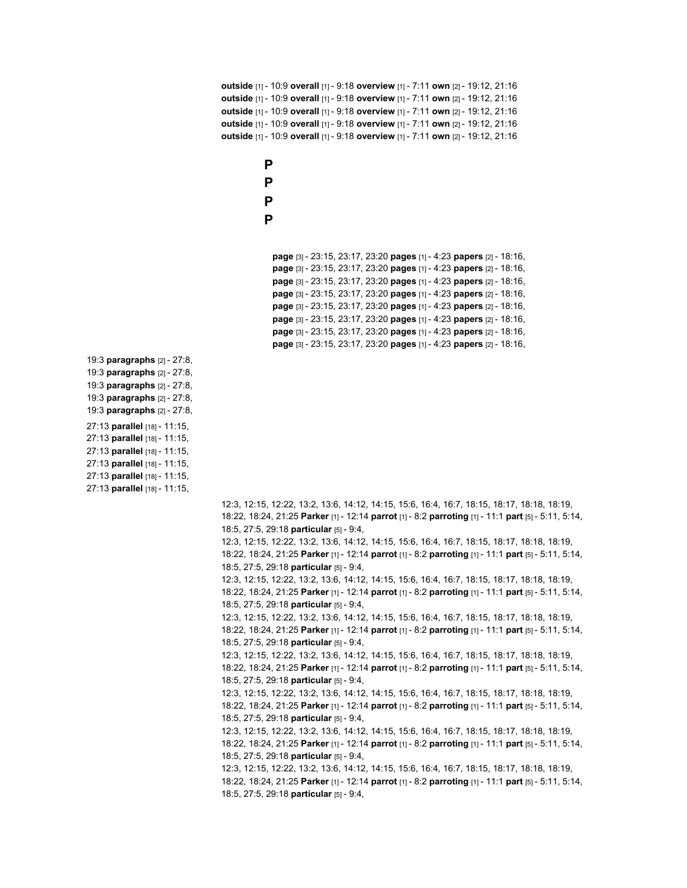**outside** [1] - 10:9 **overall** [1] - 9:18 **overview** [1] - 7:11 **own** [2] - 19:12, 21:16 **outside** [1] - 10:9 **overall** [1] - 9:18 **overview** [1] - 7:11 **own** [2] - 19:12, 21:16 **outside** [1] - 10:9 **overall** [1] - 9:18 **overview** [1] - 7:11 **own** [2] - 19:12, 21:16 **outside** [1] - 10:9 **overall** [1] - 9:18 **overview** [1] - 7:11 **own** [2] - 19:12, 21:16 **outside** [1] - 10:9 **overall** [1] - 9:18 **overview** [1] - 7:11 **own** [2] - 19:12, 21:16

> **P P P**

**P**

**page** [3] - 23:15, 23:17, 23:20 **pages** [1] - 4:23 **papers** [2] - 18:16, **page** [3] - 23:15, 23:17, 23:20 **pages** [1] - 4:23 **papers** [2] - 18:16, **page** [3] - 23:15, 23:17, 23:20 **pages** [1] - 4:23 **papers** [2] - 18:16, **page** [3] - 23:15, 23:17, 23:20 **pages** [1] - 4:23 **papers** [2] - 18:16, **page** [3] - 23:15, 23:17, 23:20 **pages** [1] - 4:23 **papers** [2] - 18:16, **page** [3] - 23:15, 23:17, 23:20 **pages** [1] - 4:23 **papers** [2] - 18:16, **page** [3] - 23:15, 23:17, 23:20 **pages** [1] - 4:23 **papers** [2] - 18:16, **page** [3] - 23:15, 23:17, 23:20 **pages** [1] - 4:23 **papers** [2] - 18:16,

- 19:3 **paragraphs** [2] 27:8,
- 19:3 **paragraphs** [2] 27:8,
- 19:3 **paragraphs** [2] 27:8,
- 19:3 **paragraphs** [2] 27:8,
- 19:3 **paragraphs** [2] 27:8,
- 27:13 **parallel** [18] 11:15,
- 27:13 **parallel** [18] 11:15,
- 27:13 **parallel** [18] 11:15,
- 27:13 **parallel** [18] 11:15,
- 27:13 **parallel** [18] 11:15,
- 27:13 **parallel** [18] 11:15,

12:3, 12:15, 12:22, 13:2, 13:6, 14:12, 14:15, 15:6, 16:4, 16:7, 18:15, 18:17, 18:18, 18:19, 18:22, 18:24, 21:25 **Parker** [1] - 12:14 **parrot** [1] - 8:2 **parroting** [1] - 11:1 **part** [5] - 5:11, 5:14, 18:5, 27:5, 29:18 **particular** [5] - 9:4,

12:3, 12:15, 12:22, 13:2, 13:6, 14:12, 14:15, 15:6, 16:4, 16:7, 18:15, 18:17, 18:18, 18:19, 18:22, 18:24, 21:25 **Parker** [1] - 12:14 **parrot** [1] - 8:2 **parroting** [1] - 11:1 **part** [5] - 5:11, 5:14, 18:5, 27:5, 29:18 **particular** [5] - 9:4,

12:3, 12:15, 12:22, 13:2, 13:6, 14:12, 14:15, 15:6, 16:4, 16:7, 18:15, 18:17, 18:18, 18:19, 18:22, 18:24, 21:25 **Parker** [1] - 12:14 **parrot** [1] - 8:2 **parroting** [1] - 11:1 **part** [5] - 5:11, 5:14, 18:5, 27:5, 29:18 **particular** [5] - 9:4,

12:3, 12:15, 12:22, 13:2, 13:6, 14:12, 14:15, 15:6, 16:4, 16:7, 18:15, 18:17, 18:18, 18:19, 18:22, 18:24, 21:25 **Parker** [1] - 12:14 **parrot** [1] - 8:2 **parroting** [1] - 11:1 **part** [5] - 5:11, 5:14, 18:5, 27:5, 29:18 **particular** [5] - 9:4,

12:3, 12:15, 12:22, 13:2, 13:6, 14:12, 14:15, 15:6, 16:4, 16:7, 18:15, 18:17, 18:18, 18:19, 18:22, 18:24, 21:25 **Parker** [1] - 12:14 **parrot** [1] - 8:2 **parroting** [1] - 11:1 **part** [5] - 5:11, 5:14, 18:5, 27:5, 29:18 **particular** [5] - 9:4,

12:3, 12:15, 12:22, 13:2, 13:6, 14:12, 14:15, 15:6, 16:4, 16:7, 18:15, 18:17, 18:18, 18:19, 18:22, 18:24, 21:25 **Parker** [1] - 12:14 **parrot** [1] - 8:2 **parroting** [1] - 11:1 **part** [5] - 5:11, 5:14, 18:5, 27:5, 29:18 **particular** [5] - 9:4,

12:3, 12:15, 12:22, 13:2, 13:6, 14:12, 14:15, 15:6, 16:4, 16:7, 18:15, 18:17, 18:18, 18:19, 18:22, 18:24, 21:25 **Parker** [1] - 12:14 **parrot** [1] - 8:2 **parroting** [1] - 11:1 **part** [5] - 5:11, 5:14, 18:5, 27:5, 29:18 **particular** [5] - 9:4,

12:3, 12:15, 12:22, 13:2, 13:6, 14:12, 14:15, 15:6, 16:4, 16:7, 18:15, 18:17, 18:18, 18:19, 18:22, 18:24, 21:25 **Parker** [1] - 12:14 **parrot** [1] - 8:2 **parroting** [1] - 11:1 **part** [5] - 5:11, 5:14, 18:5, 27:5, 29:18 **particular** [5] - 9:4,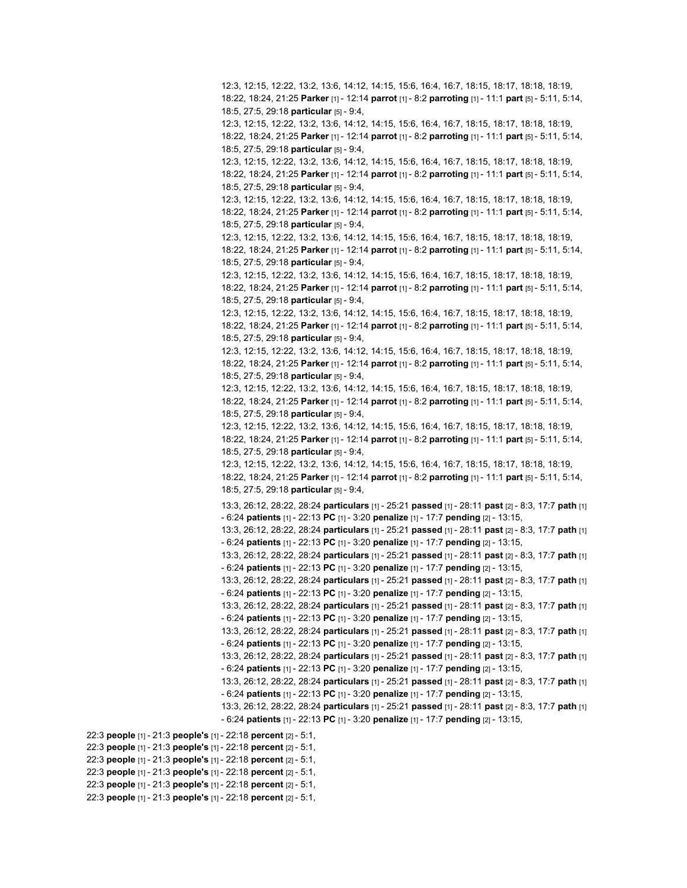12:3, 12:15, 12:22, 13:2, 13:6, 14:12, 14:15, 15:6, 16:4, 16:7, 18:15, 18:17, 18:18, 18:19, 18:22, 18:24, 21:25 **Parker** [1] - 12:14 **parrot** [1] - 8:2 **parroting** [1] - 11:1 **part** [5] - 5:11, 5:14, 18:5, 27:5, 29:18 **particular** [5] - 9:4, 12:3, 12:15, 12:22, 13:2, 13:6, 14:12, 14:15, 15:6, 16:4, 16:7, 18:15, 18:17, 18:18, 18:19, 18:22, 18:24, 21:25 **Parker** [1] - 12:14 **parrot** [1] - 8:2 **parroting** [1] - 11:1 **part** [5] - 5:11, 5:14, 18:5, 27:5, 29:18 **particular** [5] - 9:4, 12:3, 12:15, 12:22, 13:2, 13:6, 14:12, 14:15, 15:6, 16:4, 16:7, 18:15, 18:17, 18:18, 18:19, 18:22, 18:24, 21:25 **Parker** [1] - 12:14 **parrot** [1] - 8:2 **parroting** [1] - 11:1 **part** [5] - 5:11, 5:14, 18:5, 27:5, 29:18 **particular** [5] - 9:4, 12:3, 12:15, 12:22, 13:2, 13:6, 14:12, 14:15, 15:6, 16:4, 16:7, 18:15, 18:17, 18:18, 18:19, 18:22, 18:24, 21:25 **Parker** [1] - 12:14 **parrot** [1] - 8:2 **parroting** [1] - 11:1 **part** [5] - 5:11, 5:14, 18:5, 27:5, 29:18 **particular** [5] - 9:4, 12:3, 12:15, 12:22, 13:2, 13:6, 14:12, 14:15, 15:6, 16:4, 16:7, 18:15, 18:17, 18:18, 18:19, 18:22, 18:24, 21:25 **Parker** [1] - 12:14 **parrot** [1] - 8:2 **parroting** [1] - 11:1 **part** [5] - 5:11, 5:14, 18:5, 27:5, 29:18 **particular** [5] - 9:4, 12:3, 12:15, 12:22, 13:2, 13:6, 14:12, 14:15, 15:6, 16:4, 16:7, 18:15, 18:17, 18:18, 18:19, 18:22, 18:24, 21:25 **Parker** [1] - 12:14 **parrot** [1] - 8:2 **parroting** [1] - 11:1 **part** [5] - 5:11, 5:14, 18:5, 27:5, 29:18 **particular** [5] - 9:4, 12:3, 12:15, 12:22, 13:2, 13:6, 14:12, 14:15, 15:6, 16:4, 16:7, 18:15, 18:17, 18:18, 18:19, 18:22, 18:24, 21:25 **Parker** [1] - 12:14 **parrot** [1] - 8:2 **parroting** [1] - 11:1 **part** [5] - 5:11, 5:14, 18:5, 27:5, 29:18 **particular** [5] - 9:4, 12:3, 12:15, 12:22, 13:2, 13:6, 14:12, 14:15, 15:6, 16:4, 16:7, 18:15, 18:17, 18:18, 18:19, 18:22, 18:24, 21:25 **Parker** [1] - 12:14 **parrot** [1] - 8:2 **parroting** [1] - 11:1 **part** [5] - 5:11, 5:14, 18:5, 27:5, 29:18 **particular** [5] - 9:4, 12:3, 12:15, 12:22, 13:2, 13:6, 14:12, 14:15, 15:6, 16:4, 16:7, 18:15, 18:17, 18:18, 18:19, 18:22, 18:24, 21:25 **Parker** [1] - 12:14 **parrot** [1] - 8:2 **parroting** [1] - 11:1 **part** [5] - 5:11, 5:14, 18:5, 27:5, 29:18 **particular** [5] - 9:4, 12:3, 12:15, 12:22, 13:2, 13:6, 14:12, 14:15, 15:6, 16:4, 16:7, 18:15, 18:17, 18:18, 18:19, 18:22, 18:24, 21:25 **Parker** [1] - 12:14 **parrot** [1] - 8:2 **parroting** [1] - 11:1 **part** [5] - 5:11, 5:14, 18:5, 27:5, 29:18 **particular** [5] - 9:4, 12:3, 12:15, 12:22, 13:2, 13:6, 14:12, 14:15, 15:6, 16:4, 16:7, 18:15, 18:17, 18:18, 18:19, 18:22, 18:24, 21:25 **Parker** [1] - 12:14 **parrot** [1] - 8:2 **parroting** [1] - 11:1 **part** [5] - 5:11, 5:14, 18:5, 27:5, 29:18 **particular** [5] - 9:4, 13:3, 26:12, 28:22, 28:24 **particulars** [1] - 25:21 **passed** [1] - 28:11 **past** [2] - 8:3, 17:7 **path** [1] - 6:24 **patients** [1] - 22:13 **PC** [1] - 3:20 **penalize** [1] - 17:7 **pending** [2] - 13:15, 13:3, 26:12, 28:22, 28:24 **particulars** [1] - 25:21 **passed** [1] - 28:11 **past** [2] - 8:3, 17:7 **path** [1] - 6:24 **patients** [1] - 22:13 **PC** [1] - 3:20 **penalize** [1] - 17:7 **pending** [2] - 13:15, 13:3, 26:12, 28:22, 28:24 **particulars** [1] - 25:21 **passed** [1] - 28:11 **past** [2] - 8:3, 17:7 **path** [1] - 6:24 **patients** [1] - 22:13 **PC** [1] - 3:20 **penalize** [1] - 17:7 **pending** [2] - 13:15, 13:3, 26:12, 28:22, 28:24 **particulars** [1] - 25:21 **passed** [1] - 28:11 **past** [2] - 8:3, 17:7 **path** [1] - 6:24 **patients** [1] - 22:13 **PC** [1] - 3:20 **penalize** [1] - 17:7 **pending** [2] - 13:15, 13:3, 26:12, 28:22, 28:24 **particulars** [1] - 25:21 **passed** [1] - 28:11 **past** [2] - 8:3, 17:7 **path** [1] - 6:24 **patients** [1] - 22:13 **PC** [1] - 3:20 **penalize** [1] - 17:7 **pending** [2] - 13:15, 13:3, 26:12, 28:22, 28:24 **particulars** [1] - 25:21 **passed** [1] - 28:11 **past** [2] - 8:3, 17:7 **path** [1] - 6:24 **patients** [1] - 22:13 **PC** [1] - 3:20 **penalize** [1] - 17:7 **pending** [2] - 13:15, 13:3, 26:12, 28:22, 28:24 **particulars** [1] - 25:21 **passed** [1] - 28:11 **past** [2] - 8:3, 17:7 **path** [1] - 6:24 **patients** [1] - 22:13 **PC** [1] - 3:20 **penalize** [1] - 17:7 **pending** [2] - 13:15, 13:3, 26:12, 28:22, 28:24 **particulars** [1] - 25:21 **passed** [1] - 28:11 **past** [2] - 8:3, 17:7 **path** [1] - 6:24 **patients** [1] - 22:13 **PC** [1] - 3:20 **penalize** [1] - 17:7 **pending** [2] - 13:15, 13:3, 26:12, 28:22, 28:24 **particulars** [1] - 25:21 **passed** [1] - 28:11 **past** [2] - 8:3, 17:7 **path** [1] - 6:24 **patients** [1] - 22:13 **PC** [1] - 3:20 **penalize** [1] - 17:7 **pending** [2] - 13:15, 22:3 **people** [1] - 21:3 **people's** [1] - 22:18 **percent** [2] - 5:1,

22:3 **people** [1] - 21:3 **people's** [1] - 22:18 **percent** [2] - 5:1,

22:3 **people** [1] - 21:3 **people's** [1] - 22:18 **percent** [2] - 5:1,

22:3 **people** [1] - 21:3 **people's** [1] - 22:18 **percent** [2] - 5:1,

22:3 **people** [1] - 21:3 **people's** [1] - 22:18 **percent** [2] - 5:1,

22:3 **people** [1] - 21:3 **people's** [1] - 22:18 **percent** [2] - 5:1,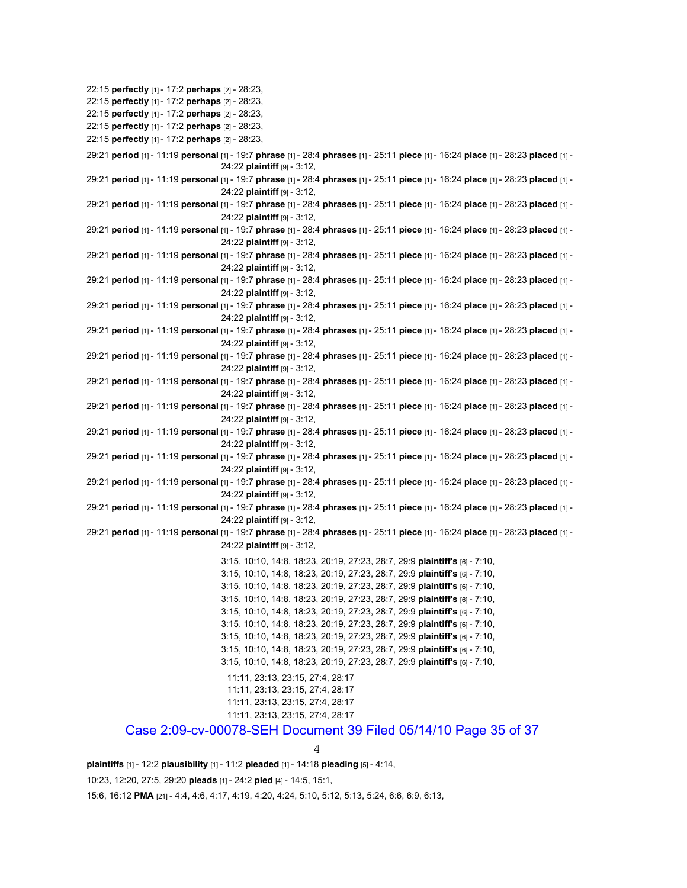22:15 **perfectly** [1] - 17:2 **perhaps** [2] - 28:23, 22:15 **perfectly** [1] - 17:2 **perhaps** [2] - 28:23, 22:15 **perfectly** [1] - 17:2 **perhaps** [2] - 28:23, 22:15 **perfectly** [1] - 17:2 **perhaps** [2] - 28:23, 22:15 **perfectly** [1] - 17:2 **perhaps** [2] - 28:23, 29:21 **period** [1] - 11:19 **personal** [1] - 19:7 **phrase** [1] - 28:4 **phrases** [1] - 25:11 **piece** [1] - 16:24 **place** [1] - 28:23 **placed** [1] - 24:22 **plaintiff** [9] - 3:12, 29:21 **period** [1] - 11:19 **personal** [1] - 19:7 **phrase** [1] - 28:4 **phrases** [1] - 25:11 **piece** [1] - 16:24 **place** [1] - 28:23 **placed** [1] - 24:22 **plaintiff** [9] - 3:12, 29:21 **period** [1] - 11:19 **personal** [1] - 19:7 **phrase** [1] - 28:4 **phrases** [1] - 25:11 **piece** [1] - 16:24 **place** [1] - 28:23 **placed** [1] - 24:22 **plaintiff** [9] - 3:12, 29:21 **period** [1] - 11:19 **personal** [1] - 19:7 **phrase** [1] - 28:4 **phrases** [1] - 25:11 **piece** [1] - 16:24 **place** [1] - 28:23 **placed** [1] - 24:22 **plaintiff** [9] - 3:12, 29:21 **period** [1] - 11:19 **personal** [1] - 19:7 **phrase** [1] - 28:4 **phrases** [1] - 25:11 **piece** [1] - 16:24 **place** [1] - 28:23 **placed** [1] - 24:22 **plaintiff** [9] - 3:12, 29:21 **period** [1] - 11:19 **personal** [1] - 19:7 **phrase** [1] - 28:4 **phrases** [1] - 25:11 **piece** [1] - 16:24 **place** [1] - 28:23 **placed** [1] - 24:22 **plaintiff** [9] - 3:12, 29:21 **period** [1] - 11:19 **personal** [1] - 19:7 **phrase** [1] - 28:4 **phrases** [1] - 25:11 **piece** [1] - 16:24 **place** [1] - 28:23 **placed** [1] - 24:22 **plaintiff** [9] - 3:12, 29:21 **period** [1] - 11:19 **personal** [1] - 19:7 **phrase** [1] - 28:4 **phrases** [1] - 25:11 **piece** [1] - 16:24 **place** [1] - 28:23 **placed** [1] - 24:22 **plaintiff** [9] - 3:12, 29:21 **period** [1] - 11:19 **personal** [1] - 19:7 **phrase** [1] - 28:4 **phrases** [1] - 25:11 **piece** [1] - 16:24 **place** [1] - 28:23 **placed** [1] - 24:22 **plaintiff** [9] - 3:12, 29:21 **period** [1] - 11:19 **personal** [1] - 19:7 **phrase** [1] - 28:4 **phrases** [1] - 25:11 **piece** [1] - 16:24 **place** [1] - 28:23 **placed** [1] - 24:22 **plaintiff** [9] - 3:12, 29:21 **period** [1] - 11:19 **personal** [1] - 19:7 **phrase** [1] - 28:4 **phrases** [1] - 25:11 **piece** [1] - 16:24 **place** [1] - 28:23 **placed** [1] - 24:22 **plaintiff** [9] - 3:12, 29:21 **period** [1] - 11:19 **personal** [1] - 19:7 **phrase** [1] - 28:4 **phrases** [1] - 25:11 **piece** [1] - 16:24 **place** [1] - 28:23 **placed** [1] - 24:22 **plaintiff** [9] - 3:12, 29:21 **period** [1] - 11:19 **personal** [1] - 19:7 **phrase** [1] - 28:4 **phrases** [1] - 25:11 **piece** [1] - 16:24 **place** [1] - 28:23 **placed** [1] - 24:22 **plaintiff** [9] - 3:12, 29:21 **period** [1] - 11:19 **personal** [1] - 19:7 **phrase** [1] - 28:4 **phrases** [1] - 25:11 **piece** [1] - 16:24 **place** [1] - 28:23 **placed** [1] - 24:22 **plaintiff** [9] - 3:12, 29:21 **period** [1] - 11:19 **personal** [1] - 19:7 **phrase** [1] - 28:4 **phrases** [1] - 25:11 **piece** [1] - 16:24 **place** [1] - 28:23 **placed** [1] - 24:22 **plaintiff** [9] - 3:12, 29:21 **period** [1] - 11:19 **personal** [1] - 19:7 **phrase** [1] - 28:4 **phrases** [1] - 25:11 **piece** [1] - 16:24 **place** [1] - 28:23 **placed** [1] - 24:22 **plaintiff** [9] - 3:12, 3:15, 10:10, 14:8, 18:23, 20:19, 27:23, 28:7, 29:9 **plaintiff's** [6] - 7:10, 3:15, 10:10, 14:8, 18:23, 20:19, 27:23, 28:7, 29:9 **plaintiff's** [6] - 7:10, 3:15, 10:10, 14:8, 18:23, 20:19, 27:23, 28:7, 29:9 **plaintiff's** [6] - 7:10, 3:15, 10:10, 14:8, 18:23, 20:19, 27:23, 28:7, 29:9 **plaintiff's** [6] - 7:10, 3:15, 10:10, 14:8, 18:23, 20:19, 27:23, 28:7, 29:9 **plaintiff's** [6] - 7:10, 3:15, 10:10, 14:8, 18:23, 20:19, 27:23, 28:7, 29:9 **plaintiff's** [6] - 7:10, 3:15, 10:10, 14:8, 18:23, 20:19, 27:23, 28:7, 29:9 **plaintiff's** [6] - 7:10, 3:15, 10:10, 14:8, 18:23, 20:19, 27:23, 28:7, 29:9 **plaintiff's** [6] - 7:10, 3:15, 10:10, 14:8, 18:23, 20:19, 27:23, 28:7, 29:9 **plaintiff's** [6] - 7:10, 11:11, 23:13, 23:15, 27:4, 28:17 11:11, 23:13, 23:15, 27:4, 28:17 11:11, 23:13, 23:15, 27:4, 28:17 11:11, 23:13, 23:15, 27:4, 28:17 Case 2:09-cv-00078-SEH Document 39 Filed 05/14/10 Page 35 of 37

4

**plaintiffs** [1] - 12:2 **plausibility** [1] - 11:2 **pleaded** [1] - 14:18 **pleading** [5] - 4:14,

10:23, 12:20, 27:5, 29:20 **pleads** [1] - 24:2 **pled** [4] - 14:5, 15:1,

15:6, 16:12 **PMA** [21] - 4:4, 4:6, 4:17, 4:19, 4:20, 4:24, 5:10, 5:12, 5:13, 5:24, 6:6, 6:9, 6:13,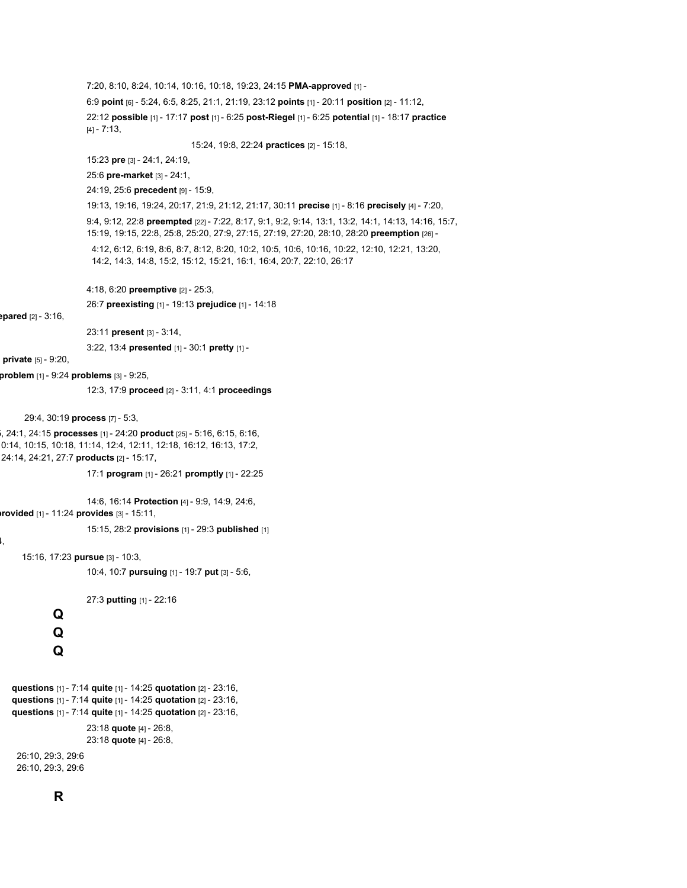7:20, 8:10, 8:24, 10:14, 10:16, 10:18, 19:23, 24:15 **PMA-approved** [1] -

6:9 **point** [6] - 5:24, 6:5, 8:25, 21:1, 21:19, 23:12 **points** [1] - 20:11 **position** [2] - 11:12,

22:12 **possible** [1] - 17:17 **post** [1] - 6:25 **post-Riegel** [1] - 6:25 **potential** [1] - 18:17 **practice** [4] - 7:13,

15:24, 19:8, 22:24 **practices** [2] - 15:18,

15:23 **pre** [3] - 24:1, 24:19,

25:6 **pre-market** [3] - 24:1,

24:19, 25:6 **precedent** [9] - 15:9,

19:13, 19:16, 19:24, 20:17, 21:9, 21:12, 21:17, 30:11 **precise** [1] - 8:16 **precisely** [4] - 7:20,

9:4, 9:12, 22:8 **preempted** [22] - 7:22, 8:17, 9:1, 9:2, 9:14, 13:1, 13:2, 14:1, 14:13, 14:16, 15:7, 15:19, 19:15, 22:8, 25:8, 25:20, 27:9, 27:15, 27:19, 27:20, 28:10, 28:20 **preemption** [26] -

4:12, 6:12, 6:19, 8:6, 8:7, 8:12, 8:20, 10:2, 10:5, 10:6, 10:16, 10:22, 12:10, 12:21, 13:20, 14:2, 14:3, 14:8, 15:2, 15:12, 15:21, 16:1, 16:4, 20:7, 22:10, 26:17

4:18, 6:20 **preemptive** [2] - 25:3,

26:7 **preexisting** [1] - 19:13 **prejudice** [1] - 14:18

**epared** [2] - 3:16,

23:11 **present** [3] - 3:14,

3:22, 13:4 **presented** [1] - 30:1 **pretty** [1] -

**private** [5] - 9:20,

**problem** [1] - 9:24 **problems** [3] - 9:25,

12:3, 17:9 **proceed** [2] - 3:11, 4:1 **proceedings**

29:4, 30:19 **process** [7] - 5:3,

5, 24:1, 24:15 **processes** [1] - 24:20 **product** [25] - 5:16, 6:15, 6:16, 0:14, 10:15, 10:18, 11:14, 12:4, 12:11, 12:18, 16:12, 16:13, 17:2, 24:14, 24:21, 27:7 **products** [2] - 15:17,

17:1 **program** [1] - 26:21 **promptly** [1] - 22:25

14:6, 16:14 **Protection** [4] - 9:9, 14:9, 24:6,

**provided** [1] - 11:24 **provides** [3] - 15:11,

15:15, 28:2 **provisions** [1] - 29:3 **published** [1]

4,

15:16, 17:23 **pursue** [3] - 10:3,

10:4, 10:7 **pursuing** [1] - 19:7 **put** [3] - 5:6,

27:3 **putting** [1] - 22:16

**Q Q Q**

```
questions [1] - 7:14 quite [1] - 14:25 quotation [2] - 23:16,
questions [1] - 7:14 quite [1] - 14:25 quotation [2] - 23:16,
questions [1] - 7:14 quite [1] - 14:25 quotation [2] - 23:16,
                    23:18 quote [4] - 26:8,
                    23:18 quote [4] - 26:8,
 26:10, 29:3, 29:6
 26:10, 29:3, 29:6
```
## **R**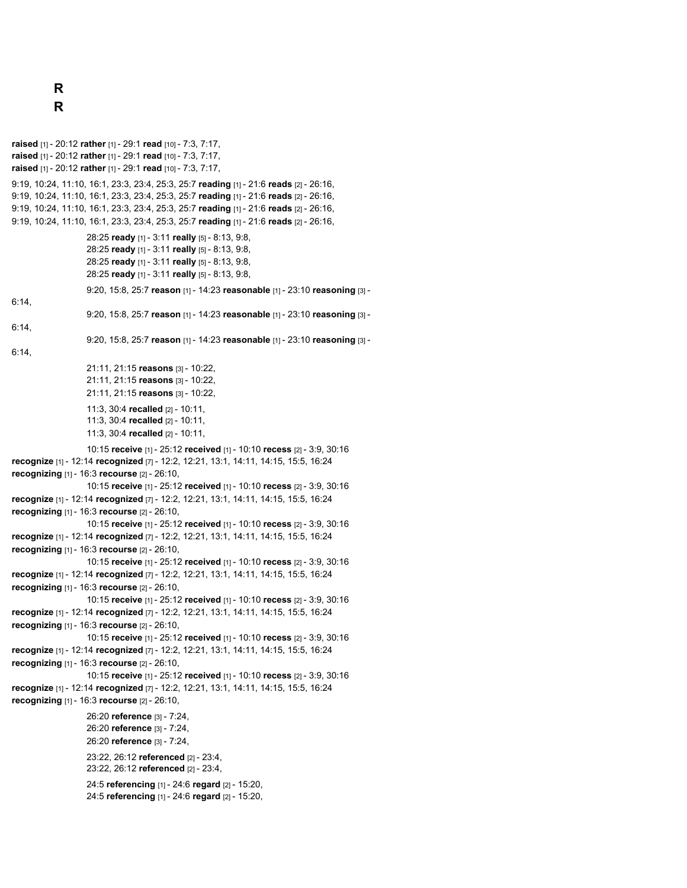**raised** [1] - 20:12 **rather** [1] - 29:1 **read** [10] - 7:3, 7:17, **raised** [1] - 20:12 **rather** [1] - 29:1 **read** [10] - 7:3, 7:17, **raised** [1] - 20:12 **rather** [1] - 29:1 **read** [10] - 7:3, 7:17, 9:19, 10:24, 11:10, 16:1, 23:3, 23:4, 25:3, 25:7 **reading** [1] - 21:6 **reads** [2] - 26:16, 9:19, 10:24, 11:10, 16:1, 23:3, 23:4, 25:3, 25:7 **reading** [1] - 21:6 **reads** [2] - 26:16, 9:19, 10:24, 11:10, 16:1, 23:3, 23:4, 25:3, 25:7 **reading** [1] - 21:6 **reads** [2] - 26:16, 9:19, 10:24, 11:10, 16:1, 23:3, 23:4, 25:3, 25:7 **reading** [1] - 21:6 **reads** [2] - 26:16, 28:25 **ready** [1] - 3:11 **really** [5] - 8:13, 9:8, 28:25 **ready** [1] - 3:11 **really** [5] - 8:13, 9:8, 28:25 **ready** [1] - 3:11 **really** [5] - 8:13, 9:8, 28:25 **ready** [1] - 3:11 **really** [5] - 8:13, 9:8, 9:20, 15:8, 25:7 **reason** [1] - 14:23 **reasonable** [1] - 23:10 **reasoning** [3] - 6:14, 9:20, 15:8, 25:7 **reason** [1] - 14:23 **reasonable** [1] - 23:10 **reasoning** [3] - 6:14, 9:20, 15:8, 25:7 **reason** [1] - 14:23 **reasonable** [1] - 23:10 **reasoning** [3] - 6:14, 21:11, 21:15 **reasons** [3] - 10:22, 21:11, 21:15 **reasons** [3] - 10:22, 21:11, 21:15 **reasons** [3] - 10:22, 11:3, 30:4 **recalled** [2] - 10:11, 11:3, 30:4 **recalled** [2] - 10:11, 11:3, 30:4 **recalled** [2] - 10:11, 10:15 **receive** [1] - 25:12 **received** [1] - 10:10 **recess** [2] - 3:9, 30:16 **recognize** [1] - 12:14 **recognized** [7] - 12:2, 12:21, 13:1, 14:11, 14:15, 15:5, 16:24 **recognizing** [1] - 16:3 **recourse** [2] - 26:10, 10:15 **receive** [1] - 25:12 **received** [1] - 10:10 **recess** [2] - 3:9, 30:16 **recognize** [1] - 12:14 **recognized** [7] - 12:2, 12:21, 13:1, 14:11, 14:15, 15:5, 16:24 **recognizing** [1] - 16:3 **recourse** [2] - 26:10, 10:15 **receive** [1] - 25:12 **received** [1] - 10:10 **recess** [2] - 3:9, 30:16 **recognize** [1] - 12:14 **recognized** [7] - 12:2, 12:21, 13:1, 14:11, 14:15, 15:5, 16:24 **recognizing** [1] - 16:3 **recourse** [2] - 26:10, 10:15 **receive** [1] - 25:12 **received** [1] - 10:10 **recess** [2] - 3:9, 30:16 **recognize** [1] - 12:14 **recognized** [7] - 12:2, 12:21, 13:1, 14:11, 14:15, 15:5, 16:24 **recognizing** [1] - 16:3 **recourse** [2] - 26:10, 10:15 **receive** [1] - 25:12 **received** [1] - 10:10 **recess** [2] - 3:9, 30:16 **recognize** [1] - 12:14 **recognized** [7] - 12:2, 12:21, 13:1, 14:11, 14:15, 15:5, 16:24 **recognizing** [1] - 16:3 **recourse** [2] - 26:10, 10:15 **receive** [1] - 25:12 **received** [1] - 10:10 **recess** [2] - 3:9, 30:16 **recognize** [1] - 12:14 **recognized** [7] - 12:2, 12:21, 13:1, 14:11, 14:15, 15:5, 16:24 **recognizing** [1] - 16:3 **recourse** [2] - 26:10, 10:15 **receive** [1] - 25:12 **received** [1] - 10:10 **recess** [2] - 3:9, 30:16 **recognize** [1] - 12:14 **recognized** [7] - 12:2, 12:21, 13:1, 14:11, 14:15, 15:5, 16:24 **recognizing** [1] - 16:3 **recourse** [2] - 26:10, 26:20 **reference** [3] - 7:24, 26:20 **reference** [3] - 7:24, 26:20 **reference** [3] - 7:24, 23:22, 26:12 **referenced** [2] - 23:4, 23:22, 26:12 **referenced** [2] - 23:4, 24:5 **referencing** [1] - 24:6 **regard** [2] - 15:20, 24:5 **referencing** [1] - 24:6 **regard** [2] - 15:20,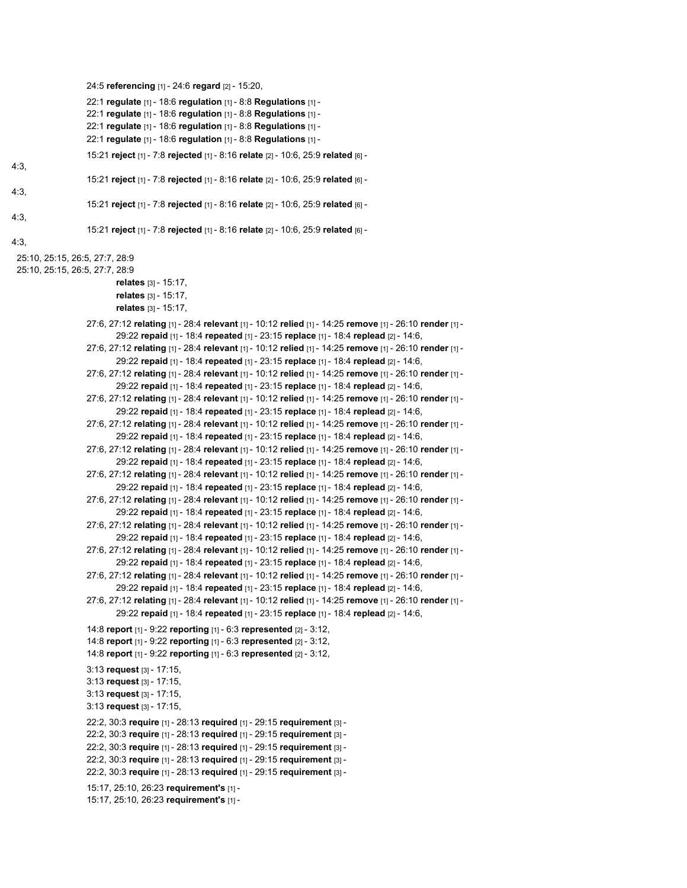```
24:5 referencing [1] - 24:6 regard [2] - 15:20,
                    22:1 regulate [1] - 18:6 regulation [1] - 8:8 Regulations [1] -
                    22:1 regulate [1] - 18:6 regulation [1] - 8:8 Regulations [1] -
                    22:1 regulate [1] - 18:6 regulation [1] - 8:8 Regulations [1] -
                    22:1 regulate [1] - 18:6 regulation [1] - 8:8 Regulations [1] -
                    15:21 reject [1] - 7:8 rejected [1] - 8:16 relate [2] - 10:6, 25:9 related [6] -
4:3,
                    15:21 reject [1] - 7:8 rejected [1] - 8:16 relate [2] - 10:6, 25:9 related [6] -
4:3,
                    15:21 reject [1] - 7:8 rejected [1] - 8:16 relate [2] - 10:6, 25:9 related [6] -
4:3,
                    15:21 reject [1] - 7:8 rejected [1] - 8:16 relate [2] - 10:6, 25:9 related [6] -
4:3,
 25:10, 25:15, 26:5, 27:7, 28:9
 25:10, 25:15, 26:5, 27:7, 28:9
                            relates [3] - 15:17,
                            relates [3] - 15:17,
                            relates [3] - 15:17,
                    27:6, 27:12 relating [1] - 28:4 relevant [1] - 10:12 relied [1] - 14:25 remove [1] - 26:10 render [1] -
                            29:22 repaid [1] - 18:4 repeated [1] - 23:15 replace [1] - 18:4 replead [2] - 14:6,
                    27:6, 27:12 relating [1] - 28:4 relevant [1] - 10:12 relied [1] - 14:25 remove [1] - 26:10 render [1] -
                            29:22 repaid [1] - 18:4 repeated [1] - 23:15 replace [1] - 18:4 replead [2] - 14:6,
                    27:6, 27:12 relating [1] - 28:4 relevant [1] - 10:12 relied [1] - 14:25 remove [1] - 26:10 render [1] -
                            29:22 repaid [1] - 18:4 repeated [1] - 23:15 replace [1] - 18:4 replead [2] - 14:6,
                    27:6, 27:12 relating [1] - 28:4 relevant [1] - 10:12 relied [1] - 14:25 remove [1] - 26:10 render [1] -
                            29:22 repaid [1] - 18:4 repeated [1] - 23:15 replace [1] - 18:4 replead [2] - 14:6,
                    27:6, 27:12 relating [1] - 28:4 relevant [1] - 10:12 relied [1] - 14:25 remove [1] - 26:10 render [1] -
                            29:22 repaid [1] - 18:4 repeated [1] - 23:15 replace [1] - 18:4 replead [2] - 14:6,
                    27:6, 27:12 relating [1] - 28:4 relevant [1] - 10:12 relied [1] - 14:25 remove [1] - 26:10 render [1] -
                            29:22 repaid [1] - 18:4 repeated [1] - 23:15 replace [1] - 18:4 replead [2] - 14:6,
                    27:6, 27:12 relating [1] - 28:4 relevant [1] - 10:12 relied [1] - 14:25 remove [1] - 26:10 render [1] -
                            29:22 repaid [1] - 18:4 repeated [1] - 23:15 replace [1] - 18:4 replead [2] - 14:6,
                    27:6, 27:12 relating [1] - 28:4 relevant [1] - 10:12 relied [1] - 14:25 remove [1] - 26:10 render [1] -
                            29:22 repaid [1] - 18:4 repeated [1] - 23:15 replace [1] - 18:4 replead [2] - 14:6,
                    27:6, 27:12 relating [1] - 28:4 relevant [1] - 10:12 relied [1] - 14:25 remove [1] - 26:10 render [1] -
                            29:22 repaid [1] - 18:4 repeated [1] - 23:15 replace [1] - 18:4 replead [2] - 14:6,
                    27:6, 27:12 relating [1] - 28:4 relevant [1] - 10:12 relied [1] - 14:25 remove [1] - 26:10 render [1] -
                            29:22 repaid [1] - 18:4 repeated [1] - 23:15 replace [1] - 18:4 replead [2] - 14:6,
                    27:6, 27:12 relating [1] - 28:4 relevant [1] - 10:12 relied [1] - 14:25 remove [1] - 26:10 render [1] -
                            29:22 repaid [1] - 18:4 repeated [1] - 23:15 replace [1] - 18:4 replead [2] - 14:6,
                    27:6, 27:12 relating [1] - 28:4 relevant [1] - 10:12 relied [1] - 14:25 remove [1] - 26:10 render [1] -
                            29:22 repaid [1] - 18:4 repeated [1] - 23:15 replace [1] - 18:4 replead [2] - 14:6,
                    14:8 report [1] - 9:22 reporting [1] - 6:3 represented [2] - 3:12,
                    14:8 report [1] - 9:22 reporting [1] - 6:3 represented [2] - 3:12,
                    14:8 report [1] - 9:22 reporting [1] - 6:3 represented [2] - 3:12,
                    3:13 request [3] - 17:15,
                    3:13 request [3] - 17:15,
                    3:13 request [3] - 17:15,
                    3:13 request [3] - 17:15,
                    22:2, 30:3 require [1] - 28:13 required [1] - 29:15 requirement [3] -
                    22:2, 30:3 require [1] - 28:13 required [1] - 29:15 requirement [3] -
                    22:2, 30:3 require [1] - 28:13 required [1] - 29:15 requirement [3] -
                    22:2, 30:3 require [1] - 28:13 required [1] - 29:15 requirement [3] -
                    22:2, 30:3 require [1] - 28:13 required [1] - 29:15 requirement [3] -
                    15:17, 25:10, 26:23 requirement's [1] -
                    15:17, 25:10, 26:23 requirement's [1] -
```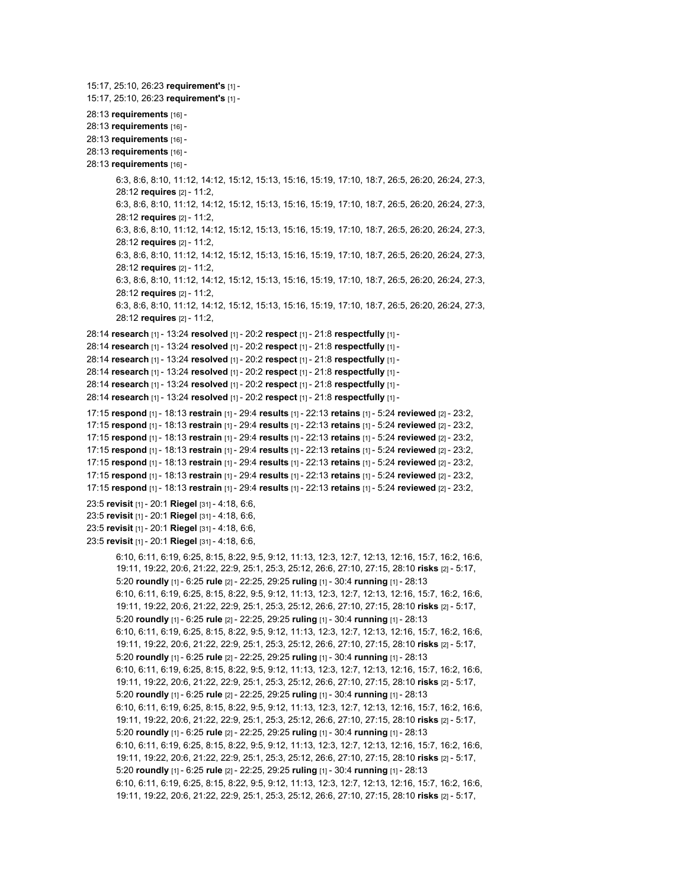```
15:17, 25:10, 26:23 requirement's [1] -
15:17, 25:10, 26:23 requirement's [1] -
28:13 requirements [16] -
28:13 requirements [16] -
28:13 requirements [16] -
28:13 requirements [16] -
28:13 requirements [16] -
        6:3, 8:6, 8:10, 11:12, 14:12, 15:12, 15:13, 15:16, 15:19, 17:10, 18:7, 26:5, 26:20, 26:24, 27:3,
        28:12 requires [2] - 11:2,
       6:3, 8:6, 8:10, 11:12, 14:12, 15:12, 15:13, 15:16, 15:19, 17:10, 18:7, 26:5, 26:20, 26:24, 27:3,
       28:12 requires [2] - 11:2,
       6:3, 8:6, 8:10, 11:12, 14:12, 15:12, 15:13, 15:16, 15:19, 17:10, 18:7, 26:5, 26:20, 26:24, 27:3,
       28:12 requires [2] - 11:2,
       6:3, 8:6, 8:10, 11:12, 14:12, 15:12, 15:13, 15:16, 15:19, 17:10, 18:7, 26:5, 26:20, 26:24, 27:3,
       28:12 requires [2] - 11:2,
       6:3, 8:6, 8:10, 11:12, 14:12, 15:12, 15:13, 15:16, 15:19, 17:10, 18:7, 26:5, 26:20, 26:24, 27:3,
       28:12 requires [2] - 11:2,
       6:3, 8:6, 8:10, 11:12, 14:12, 15:12, 15:13, 15:16, 15:19, 17:10, 18:7, 26:5, 26:20, 26:24, 27:3,
       28:12 requires [2] - 11:2,
28:14 research [1] - 13:24 resolved [1] - 20:2 respect [1] - 21:8 respectfully [1] -
28:14 research [1] - 13:24 resolved [1] - 20:2 respect [1] - 21:8 respectfully [1] -
28:14 research [1] - 13:24 resolved [1] - 20:2 respect [1] - 21:8 respectfully [1] -
28:14 research [1] - 13:24 resolved [1] - 20:2 respect [1] - 21:8 respectfully [1] -
28:14 research [1] - 13:24 resolved [1] - 20:2 respect [1] - 21:8 respectfully [1] -
28:14 research [1] - 13:24 resolved [1] - 20:2 respect [1] - 21:8 respectfully [1] -
17:15 respond [1] - 18:13 restrain [1] - 29:4 results [1] - 22:13 retains [1] - 5:24 reviewed [2] - 23:2,
17:15 respond [1] - 18:13 restrain [1] - 29:4 results [1] - 22:13 retains [1] - 5:24 reviewed [2] - 23:2,
17:15 respond [1] - 18:13 restrain [1] - 29:4 results [1] - 22:13 retains [1] - 5:24 reviewed [2] - 23:2,
17:15 respond [1] - 18:13 restrain [1] - 29:4 results [1] - 22:13 retains [1] - 5:24 reviewed [2] - 23:2,
17:15 respond [1] - 18:13 restrain [1] - 29:4 results [1] - 22:13 retains [1] - 5:24 reviewed [2] - 23:2,
17:15 respond [1] - 18:13 restrain [1] - 29:4 results [1] - 22:13 retains [1] - 5:24 reviewed [2] - 23:2,
17:15 respond [1] - 18:13 restrain [1] - 29:4 results [1] - 22:13 retains [1] - 5:24 reviewed [2] - 23:2,
23:5 revisit [1] - 20:1 Riegel [31] - 4:18, 6:6,
23:5 revisit [1] - 20:1 Riegel [31] - 4:18, 6:6,
23:5 revisit [1] - 20:1 Riegel [31] - 4:18, 6:6,
23:5 revisit [1] - 20:1 Riegel [31] - 4:18, 6:6,
        6:10, 6:11, 6:19, 6:25, 8:15, 8:22, 9:5, 9:12, 11:13, 12:3, 12:7, 12:13, 12:16, 15:7, 16:2, 16:6,
        19:11, 19:22, 20:6, 21:22, 22:9, 25:1, 25:3, 25:12, 26:6, 27:10, 27:15, 28:10 risks [2] - 5:17,
        5:20 roundly [1] - 6:25 rule [2] - 22:25, 29:25 ruling [1] - 30:4 running [1] - 28:13
       6:10, 6:11, 6:19, 6:25, 8:15, 8:22, 9:5, 9:12, 11:13, 12:3, 12:7, 12:13, 12:16, 15:7, 16:2, 16:6,
        19:11, 19:22, 20:6, 21:22, 22:9, 25:1, 25:3, 25:12, 26:6, 27:10, 27:15, 28:10 risks [2] - 5:17,
       5:20 roundly [1] - 6:25 rule [2] - 22:25, 29:25 ruling [1] - 30:4 running [1] - 28:13
       6:10, 6:11, 6:19, 6:25, 8:15, 8:22, 9:5, 9:12, 11:13, 12:3, 12:7, 12:13, 12:16, 15:7, 16:2, 16:6,
        19:11, 19:22, 20:6, 21:22, 22:9, 25:1, 25:3, 25:12, 26:6, 27:10, 27:15, 28:10 risks [2] - 5:17,
       5:20 roundly [1] - 6:25 rule [2] - 22:25, 29:25 ruling [1] - 30:4 running [1] - 28:13
       6:10, 6:11, 6:19, 6:25, 8:15, 8:22, 9:5, 9:12, 11:13, 12:3, 12:7, 12:13, 12:16, 15:7, 16:2, 16:6,
        19:11, 19:22, 20:6, 21:22, 22:9, 25:1, 25:3, 25:12, 26:6, 27:10, 27:15, 28:10 risks [2] - 5:17,
        5:20 roundly [1] - 6:25 rule [2] - 22:25, 29:25 ruling [1] - 30:4 running [1] - 28:13
       6:10, 6:11, 6:19, 6:25, 8:15, 8:22, 9:5, 9:12, 11:13, 12:3, 12:7, 12:13, 12:16, 15:7, 16:2, 16:6,
        19:11, 19:22, 20:6, 21:22, 22:9, 25:1, 25:3, 25:12, 26:6, 27:10, 27:15, 28:10 risks [2] - 5:17,
        5:20 roundly [1] - 6:25 rule [2] - 22:25, 29:25 ruling [1] - 30:4 running [1] - 28:13
        6:10, 6:11, 6:19, 6:25, 8:15, 8:22, 9:5, 9:12, 11:13, 12:3, 12:7, 12:13, 12:16, 15:7, 16:2, 16:6,
        19:11, 19:22, 20:6, 21:22, 22:9, 25:1, 25:3, 25:12, 26:6, 27:10, 27:15, 28:10 risks [2] - 5:17,
       5:20 roundly [1] - 6:25 rule [2] - 22:25, 29:25 ruling [1] - 30:4 running [1] - 28:13
       6:10, 6:11, 6:19, 6:25, 8:15, 8:22, 9:5, 9:12, 11:13, 12:3, 12:7, 12:13, 12:16, 15:7, 16:2, 16:6,
        19:11, 19:22, 20:6, 21:22, 22:9, 25:1, 25:3, 25:12, 26:6, 27:10, 27:15, 28:10 risks [2] - 5:17,
```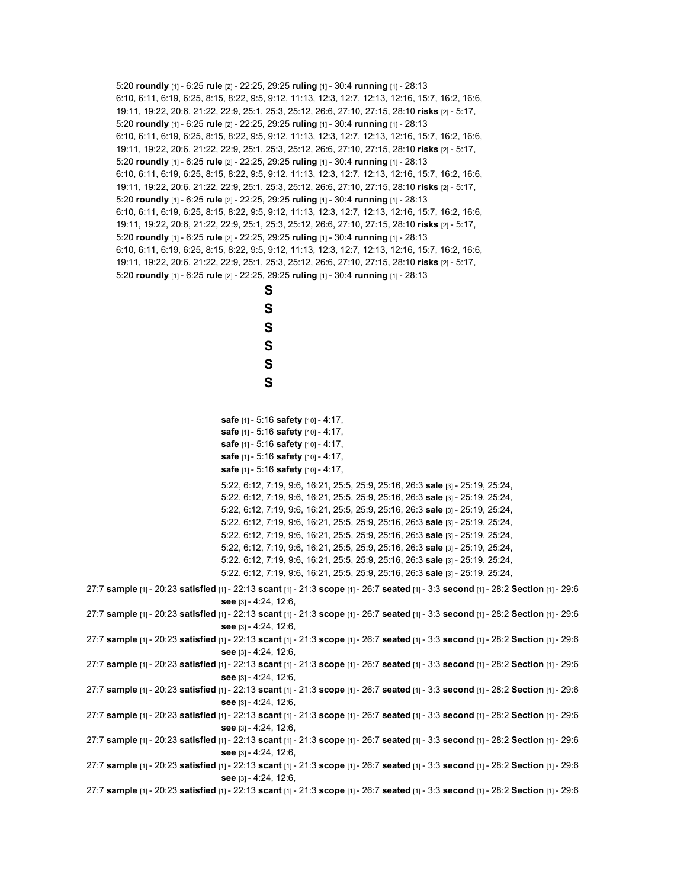5:20 **roundly** [1] - 6:25 **rule** [2] - 22:25, 29:25 **ruling** [1] - 30:4 **running** [1] - 28:13 6:10, 6:11, 6:19, 6:25, 8:15, 8:22, 9:5, 9:12, 11:13, 12:3, 12:7, 12:13, 12:16, 15:7, 16:2, 16:6, 19:11, 19:22, 20:6, 21:22, 22:9, 25:1, 25:3, 25:12, 26:6, 27:10, 27:15, 28:10 **risks** [2] - 5:17, 5:20 **roundly** [1] - 6:25 **rule** [2] - 22:25, 29:25 **ruling** [1] - 30:4 **running** [1] - 28:13 6:10, 6:11, 6:19, 6:25, 8:15, 8:22, 9:5, 9:12, 11:13, 12:3, 12:7, 12:13, 12:16, 15:7, 16:2, 16:6, 19:11, 19:22, 20:6, 21:22, 22:9, 25:1, 25:3, 25:12, 26:6, 27:10, 27:15, 28:10 **risks** [2] - 5:17, 5:20 **roundly** [1] - 6:25 **rule** [2] - 22:25, 29:25 **ruling** [1] - 30:4 **running** [1] - 28:13 6:10, 6:11, 6:19, 6:25, 8:15, 8:22, 9:5, 9:12, 11:13, 12:3, 12:7, 12:13, 12:16, 15:7, 16:2, 16:6, 19:11, 19:22, 20:6, 21:22, 22:9, 25:1, 25:3, 25:12, 26:6, 27:10, 27:15, 28:10 **risks** [2] - 5:17, 5:20 **roundly** [1] - 6:25 **rule** [2] - 22:25, 29:25 **ruling** [1] - 30:4 **running** [1] - 28:13 6:10, 6:11, 6:19, 6:25, 8:15, 8:22, 9:5, 9:12, 11:13, 12:3, 12:7, 12:13, 12:16, 15:7, 16:2, 16:6, 19:11, 19:22, 20:6, 21:22, 22:9, 25:1, 25:3, 25:12, 26:6, 27:10, 27:15, 28:10 **risks** [2] - 5:17, 5:20 **roundly** [1] - 6:25 **rule** [2] - 22:25, 29:25 **ruling** [1] - 30:4 **running** [1] - 28:13 6:10, 6:11, 6:19, 6:25, 8:15, 8:22, 9:5, 9:12, 11:13, 12:3, 12:7, 12:13, 12:16, 15:7, 16:2, 16:6, 19:11, 19:22, 20:6, 21:22, 22:9, 25:1, 25:3, 25:12, 26:6, 27:10, 27:15, 28:10 **risks** [2] - 5:17, 5:20 **roundly** [1] - 6:25 **rule** [2] - 22:25, 29:25 **ruling** [1] - 30:4 **running** [1] - 28:13 **S**

**S**

**S S S S safe** [1] - 5:16 **safety** [10] - 4:17, **safe** [1] - 5:16 **safety** [10] - 4:17, **safe** [1] - 5:16 **safety** [10] - 4:17, **safe** [1] - 5:16 **safety** [10] - 4:17, **safe** [1] - 5:16 **safety** [10] - 4:17, 5:22, 6:12, 7:19, 9:6, 16:21, 25:5, 25:9, 25:16, 26:3 **sale** [3] - 25:19, 25:24, 5:22, 6:12, 7:19, 9:6, 16:21, 25:5, 25:9, 25:16, 26:3 **sale** [3] - 25:19, 25:24, 5:22, 6:12, 7:19, 9:6, 16:21, 25:5, 25:9, 25:16, 26:3 **sale** [3] - 25:19, 25:24, 5:22, 6:12, 7:19, 9:6, 16:21, 25:5, 25:9, 25:16, 26:3 **sale** [3] - 25:19, 25:24, 5:22, 6:12, 7:19, 9:6, 16:21, 25:5, 25:9, 25:16, 26:3 **sale** [3] - 25:19, 25:24, 5:22, 6:12, 7:19, 9:6, 16:21, 25:5, 25:9, 25:16, 26:3 **sale** [3] - 25:19, 25:24, 5:22, 6:12, 7:19, 9:6, 16:21, 25:5, 25:9, 25:16, 26:3 **sale** [3] - 25:19, 25:24, 5:22, 6:12, 7:19, 9:6, 16:21, 25:5, 25:9, 25:16, 26:3 **sale** [3] - 25:19, 25:24, 27:7 **sample** [1] - 20:23 **satisfied** [1] - 22:13 **scant** [1] - 21:3 **scope** [1] - 26:7 **seated** [1] - 3:3 **second** [1] - 28:2 **Section** [1] - 29:6 **see** [3] - 4:24, 12:6, 27:7 **sample** [1] - 20:23 **satisfied** [1] - 22:13 **scant** [1] - 21:3 **scope** [1] - 26:7 **seated** [1] - 3:3 **second** [1] - 28:2 **Section** [1] - 29:6 **see** [3] - 4:24, 12:6, 27:7 **sample** [1] - 20:23 **satisfied** [1] - 22:13 **scant** [1] - 21:3 **scope** [1] - 26:7 **seated** [1] - 3:3 **second** [1] - 28:2 **Section** [1] - 29:6 **see** [3] - 4:24, 12:6, 27:7 **sample** [1] - 20:23 **satisfied** [1] - 22:13 **scant** [1] - 21:3 **scope** [1] - 26:7 **seated** [1] - 3:3 **second** [1] - 28:2 **Section** [1] - 29:6 **see** [3] - 4:24, 12:6, 27:7 **sample** [1] - 20:23 **satisfied** [1] - 22:13 **scant** [1] - 21:3 **scope** [1] - 26:7 **seated** [1] - 3:3 **second** [1] - 28:2 **Section** [1] - 29:6

27:7 **sample** [1] - 20:23 **satisfied** [1] - 22:13 **scant** [1] - 21:3 **scope** [1] - 26:7 **seated** [1] - 3:3 **second** [1] - 28:2 **Section** [1] - 29:6 **see** [3] - 4:24, 12:6,

**see** [3] - 4:24, 12:6,

27:7 **sample** [1] - 20:23 **satisfied** [1] - 22:13 **scant** [1] - 21:3 **scope** [1] - 26:7 **seated** [1] - 3:3 **second** [1] - 28:2 **Section** [1] - 29:6 **see** [3] - 4:24, 12:6,

27:7 **sample** [1] - 20:23 **satisfied** [1] - 22:13 **scant** [1] - 21:3 **scope** [1] - 26:7 **seated** [1] - 3:3 **second** [1] - 28:2 **Section** [1] - 29:6 **see** [3] - 4:24, 12:6,

27:7 **sample** [1] - 20:23 **satisfied** [1] - 22:13 **scant** [1] - 21:3 **scope** [1] - 26:7 **seated** [1] - 3:3 **second** [1] - 28:2 **Section** [1] - 29:6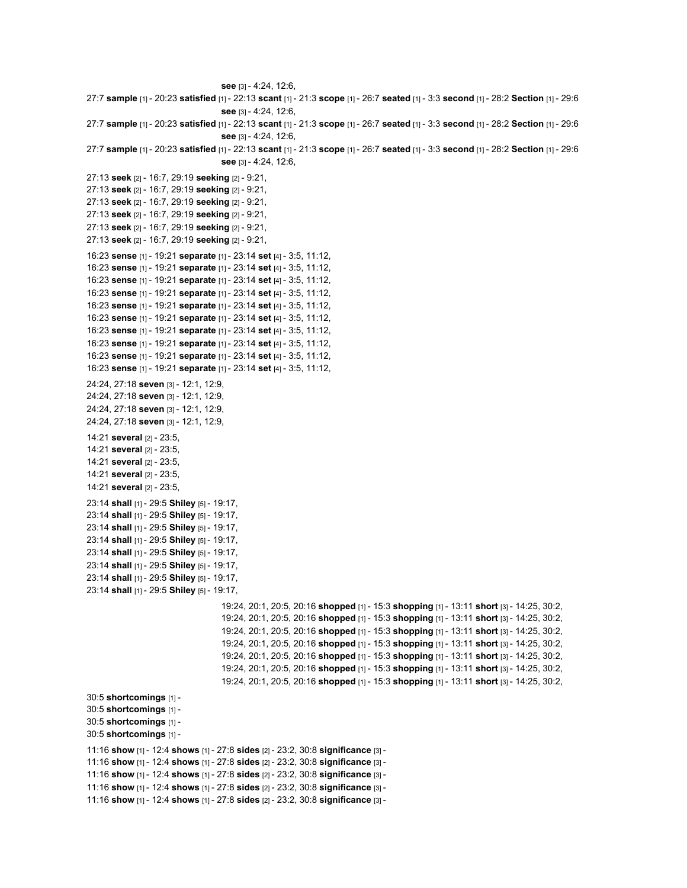```
see [3] - 4:24, 12:6,
27:7 sample [1] - 20:23 satisfied [1] - 22:13 scant [1] - 21:3 scope [1] - 26:7 seated [1] - 3:3 second [1] - 28:2 Section [1] - 29:6
                                    see [3] - 4:24, 12:6,
27:7 sample [1] - 20:23 satisfied [1] - 22:13 scant [1] - 21:3 scope [1] - 26:7 seated [1] - 3:3 second [1] - 28:2 Section [1] - 29:6
                                    see [3] - 4:24, 12:6,
27:7 sample [1] - 20:23 satisfied [1] - 22:13 scant [1] - 21:3 scope [1] - 26:7 seated [1] - 3:3 second [1] - 28:2 Section [1] - 29:6
                                    see [3] - 4:24, 12:6,
27:13 seek [2] - 16:7, 29:19 seeking [2] - 9:21,
27:13 seek [2] - 16:7, 29:19 seeking [2] - 9:21,
27:13 seek [2] - 16:7, 29:19 seeking [2] - 9:21,
27:13 seek [2] - 16:7, 29:19 seeking [2] - 9:21,
27:13 seek [2] - 16:7, 29:19 seeking [2] - 9:21,
27:13 seek [2] - 16:7, 29:19 seeking [2] - 9:21,
16:23 sense [1] - 19:21 separate [1] - 23:14 set [4] - 3:5, 11:12,
16:23 sense [1] - 19:21 separate [1] - 23:14 set [4] - 3:5, 11:12,
16:23 sense [1] - 19:21 separate [1] - 23:14 set [4] - 3:5, 11:12,
16:23 sense [1] - 19:21 separate [1] - 23:14 set [4] - 3:5, 11:12,
16:23 sense [1] - 19:21 separate [1] - 23:14 set [4] - 3:5, 11:12,
16:23 sense [1] - 19:21 separate [1] - 23:14 set [4] - 3:5, 11:12,
16:23 sense [1] - 19:21 separate [1] - 23:14 set [4] - 3:5, 11:12,
16:23 sense [1] - 19:21 separate [1] - 23:14 set [4] - 3:5, 11:12,
16:23 sense [1] - 19:21 separate [1] - 23:14 set [4] - 3:5, 11:12,
16:23 sense [1] - 19:21 separate [1] - 23:14 set [4] - 3:5, 11:12,
24:24, 27:18 seven [3] - 12:1, 12:9,
24:24, 27:18 seven [3] - 12:1, 12:9,
24:24, 27:18 seven [3] - 12:1, 12:9,
24:24, 27:18 seven [3] - 12:1, 12:9,
14:21 several [2] - 23:5,
14:21 several [2] - 23:5,
14:21 several [2] - 23:5,
14:21 several [2] - 23:5,
14:21 several [2] - 23:5,
23:14 shall [1] - 29:5 Shiley [5] - 19:17,
23:14 shall [1] - 29:5 Shiley [5] - 19:17,
23:14 shall [1] - 29:5 Shiley [5] - 19:17,
23:14 shall [1] - 29:5 Shiley [5] - 19:17,
23:14 shall [1] - 29:5 Shiley [5] - 19:17,
23:14 shall [1] - 29:5 Shiley [5] - 19:17,
23:14 shall [1] - 29:5 Shiley [5] - 19:17,
23:14 shall [1] - 29:5 Shiley [5] - 19:17,
                                    19:24, 20:1, 20:5, 20:16 shopped [1] - 15:3 shopping [1] - 13:11 short [3] - 14:25, 30:2,
                                    19:24, 20:1, 20:5, 20:16 shopped [1] - 15:3 shopping [1] - 13:11 short [3] - 14:25, 30:2,
                                    19:24, 20:1, 20:5, 20:16 shopped [1] - 15:3 shopping [1] - 13:11 short [3] - 14:25, 30:2,
                                    19:24, 20:1, 20:5, 20:16 shopped [1] - 15:3 shopping [1] - 13:11 short [3] - 14:25, 30:2,
                                    19:24, 20:1, 20:5, 20:16 shopped [1] - 15:3 shopping [1] - 13:11 short [3] - 14:25, 30:2,
                                    19:24, 20:1, 20:5, 20:16 shopped [1] - 15:3 shopping [1] - 13:11 short [3] - 14:25, 30:2,
                                    19:24, 20:1, 20:5, 20:16 shopped [1] - 15:3 shopping [1] - 13:11 short [3] - 14:25, 30:2,
30:5 shortcomings [1] -
30:5 shortcomings [1] -
30:5 shortcomings [1] -
30:5 shortcomings [1] -
11:16 show [1] - 12:4 shows [1] - 27:8 sides [2] - 23:2, 30:8 significance [3] -
11:16 show [1] - 12:4 shows [1] - 27:8 sides [2] - 23:2, 30:8 significance [3] -
11:16 show [1] - 12:4 shows [1] - 27:8 sides [2] - 23:2, 30:8 significance [3] -
11:16 show [1] - 12:4 shows [1] - 27:8 sides [2] - 23:2, 30:8 significance [3] -
11:16 show [1] - 12:4 shows [1] - 27:8 sides [2] - 23:2, 30:8 significance [3] -
```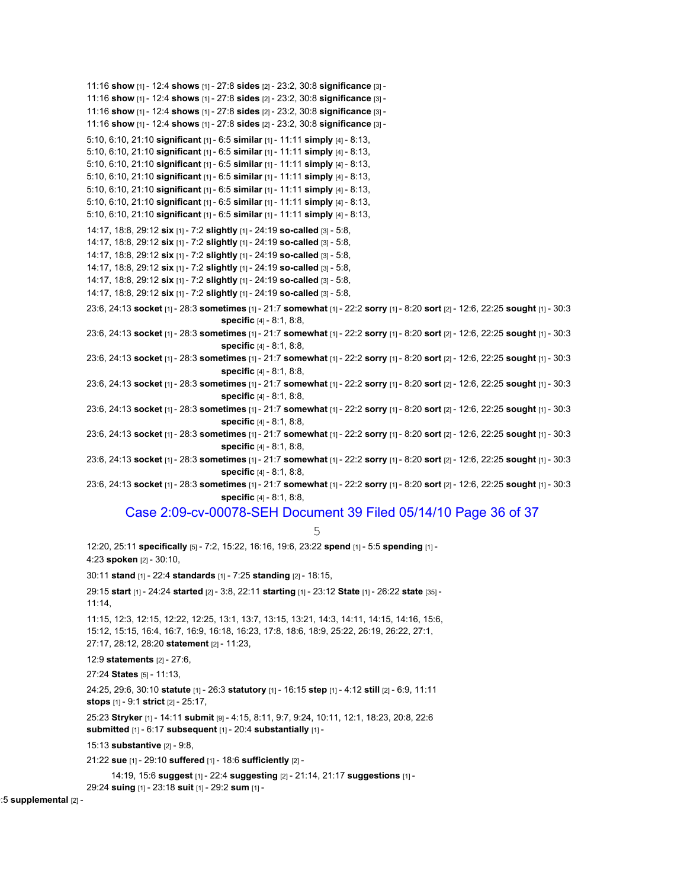11:16 **show** [1] - 12:4 **shows** [1] - 27:8 **sides** [2] - 23:2, 30:8 **significance** [3] - 11:16 **show** [1] - 12:4 **shows** [1] - 27:8 **sides** [2] - 23:2, 30:8 **significance** [3] - 11:16 **show** [1] - 12:4 **shows** [1] - 27:8 **sides** [2] - 23:2, 30:8 **significance** [3] - 11:16 **show** [1] - 12:4 **shows** [1] - 27:8 **sides** [2] - 23:2, 30:8 **significance** [3] - 5:10, 6:10, 21:10 **significant** [1] - 6:5 **similar** [1] - 11:11 **simply** [4] - 8:13, 5:10, 6:10, 21:10 **significant** [1] - 6:5 **similar** [1] - 11:11 **simply** [4] - 8:13, 5:10, 6:10, 21:10 **significant** [1] - 6:5 **similar** [1] - 11:11 **simply** [4] - 8:13, 5:10, 6:10, 21:10 **significant** [1] - 6:5 **similar** [1] - 11:11 **simply** [4] - 8:13, 5:10, 6:10, 21:10 **significant** [1] - 6:5 **similar** [1] - 11:11 **simply** [4] - 8:13, 5:10, 6:10, 21:10 **significant** [1] - 6:5 **similar** [1] - 11:11 **simply** [4] - 8:13, 5:10, 6:10, 21:10 **significant** [1] - 6:5 **similar** [1] - 11:11 **simply** [4] - 8:13, 14:17, 18:8, 29:12 **six** [1] - 7:2 **slightly** [1] - 24:19 **so-called** [3] - 5:8, 14:17, 18:8, 29:12 **six** [1] - 7:2 **slightly** [1] - 24:19 **so-called** [3] - 5:8, 14:17, 18:8, 29:12 **six** [1] - 7:2 **slightly** [1] - 24:19 **so-called** [3] - 5:8, 14:17, 18:8, 29:12 **six** [1] - 7:2 **slightly** [1] - 24:19 **so-called** [3] - 5:8, 14:17, 18:8, 29:12 **six** [1] - 7:2 **slightly** [1] - 24:19 **so-called** [3] - 5:8, 14:17, 18:8, 29:12 **six** [1] - 7:2 **slightly** [1] - 24:19 **so-called** [3] - 5:8, 23:6, 24:13 **socket** [1] - 28:3 **sometimes** [1] - 21:7 **somewhat** [1] - 22:2 **sorry** [1] - 8:20 **sort** [2] - 12:6, 22:25 **sought** [1] - 30:3 **specific** [4] - 8:1, 8:8, 23:6, 24:13 **socket** [1] - 28:3 **sometimes** [1] - 21:7 **somewhat** [1] - 22:2 **sorry** [1] - 8:20 **sort** [2] - 12:6, 22:25 **sought** [1] - 30:3 **specific** [4] - 8:1, 8:8, 23:6, 24:13 **socket** [1] - 28:3 **sometimes** [1] - 21:7 **somewhat** [1] - 22:2 **sorry** [1] - 8:20 **sort** [2] - 12:6, 22:25 **sought** [1] - 30:3 **specific** [4] - 8:1, 8:8, 23:6, 24:13 **socket** [1] - 28:3 **sometimes** [1] - 21:7 **somewhat** [1] - 22:2 **sorry** [1] - 8:20 **sort** [2] - 12:6, 22:25 **sought** [1] - 30:3 **specific** [4] - 8:1, 8:8, 23:6, 24:13 **socket** [1] - 28:3 **sometimes** [1] - 21:7 **somewhat** [1] - 22:2 **sorry** [1] - 8:20 **sort** [2] - 12:6, 22:25 **sought** [1] - 30:3 **specific** [4] - 8:1, 8:8, 23:6, 24:13 **socket** [1] - 28:3 **sometimes** [1] - 21:7 **somewhat** [1] - 22:2 **sorry** [1] - 8:20 **sort** [2] - 12:6, 22:25 **sought** [1] - 30:3 **specific** [4] - 8:1, 8:8, 23:6, 24:13 **socket** [1] - 28:3 **sometimes** [1] - 21:7 **somewhat** [1] - 22:2 **sorry** [1] - 8:20 **sort** [2] - 12:6, 22:25 **sought** [1] - 30:3 **specific** [4] - 8:1, 8:8, 23:6, 24:13 **socket** [1] - 28:3 **sometimes** [1] - 21:7 **somewhat** [1] - 22:2 **sorry** [1] - 8:20 **sort** [2] - 12:6, 22:25 **sought** [1] - 30:3 **specific** [4] - 8:1, 8:8, Case 2:09-cv-00078-SEH Document 39 Filed 05/14/10 Page 36 of 37 5 12:20, 25:11 **specifically** [5] - 7:2, 15:22, 16:16, 19:6, 23:22 **spend** [1] - 5:5 **spending** [1] - 4:23 **spoken** [2] - 30:10, 30:11 **stand** [1] - 22:4 **standards** [1] - 7:25 **standing** [2] - 18:15, 29:15 **start** [1] - 24:24 **started** [2] - 3:8, 22:11 **starting** [1] - 23:12 **State** [1] - 26:22 **state** [35] - 11:14, 11:15, 12:3, 12:15, 12:22, 12:25, 13:1, 13:7, 13:15, 13:21, 14:3, 14:11, 14:15, 14:16, 15:6, 15:12, 15:15, 16:4, 16:7, 16:9, 16:18, 16:23, 17:8, 18:6, 18:9, 25:22, 26:19, 26:22, 27:1, 27:17, 28:12, 28:20 **statement** [2] - 11:23, 12:9 **statements** [2] - 27:6, 27:24 **States** [5] - 11:13, 24:25, 29:6, 30:10 **statute** [1] - 26:3 **statutory** [1] - 16:15 **step** [1] - 4:12 **still** [2] - 6:9, 11:11 **stops** [1] - 9:1 **strict** [2] - 25:17, 25:23 **Stryker** [1] - 14:11 **submit** [9] - 4:15, 8:11, 9:7, 9:24, 10:11, 12:1, 18:23, 20:8, 22:6 **submitted** [1] - 6:17 **subsequent** [1] - 20:4 **substantially** [1] - 15:13 **substantive** [2] - 9:8, 21:22 **sue** [1] - 29:10 **suffered** [1] - 18:6 **sufficiently** [2] - 14:19, 15:6 **suggest** [1] - 22:4 **suggesting** [2] - 21:14, 21:17 **suggestions** [1] - 29:24 **suing** [1] - 23:18 **suit** [1] - 29:2 **sum** [1] -

0:5 **supplemental** [2] -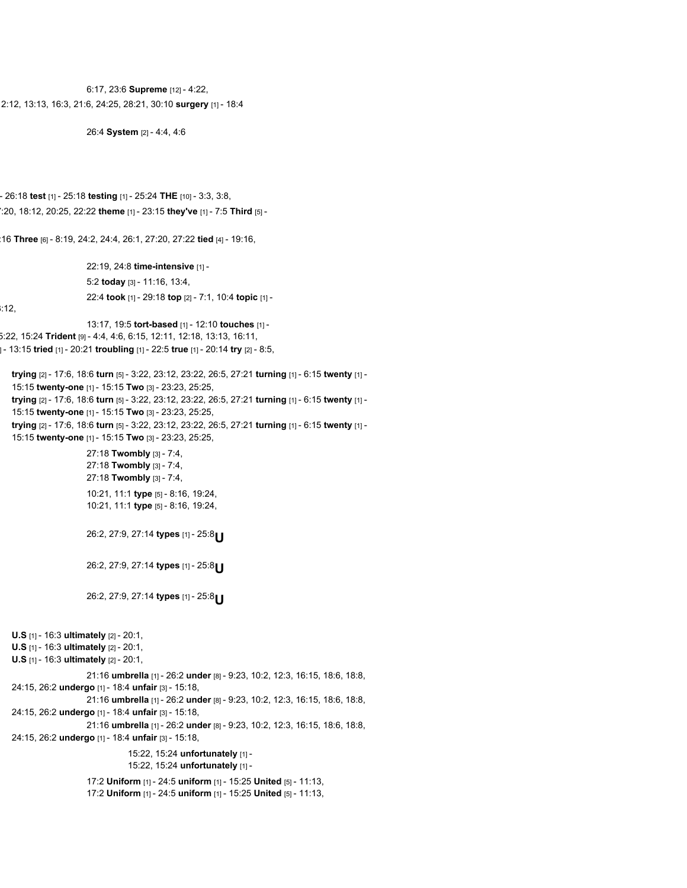6:17, 23:6 **Supreme** [12] - 4:22, 2:12, 13:13, 16:3, 21:6, 24:25, 28:21, 30:10 **surgery** [1] - 18:4

26:4 **System** [2] - 4:4, 4:6

- 26:18 **test** [1] - 25:18 **testing** [1] - 25:24 **THE** [10] - 3:3, 3:8, 7:20, 18:12, 20:25, 22:22 **theme** [1] - 23:15 **they've** [1] - 7:5 **Third** [5] -

:16 **Three** [6] - 8:19, 24:2, 24:4, 26:1, 27:20, 27:22 **tied** [4] - 19:16,

22:19, 24:8 **time-intensive** [1] - 5:2 **today** [3] - 11:16, 13:4, 22:4 **took** [1] - 29:18 **top** [2] - 7:1, 10:4 **topic** [1] -

 $:12,$ 

13:17, 19:5 **tort-based** [1] - 12:10 **touches** [1] - 5:22, 15:24 **Trident** [9] - 4:4, 4:6, 6:15, 12:11, 12:18, 13:13, 16:11, ] - 13:15 **tried** [1] - 20:21 **troubling** [1] - 22:5 **true** [1] - 20:14 **try** [2] - 8:5,

**trying** [2] - 17:6, 18:6 **turn** [5] - 3:22, 23:12, 23:22, 26:5, 27:21 **turning** [1] - 6:15 **twenty** [1] - 15:15 **twenty-one** [1] - 15:15 **Two** [3] - 23:23, 25:25, **trying** [2] - 17:6, 18:6 **turn** [5] - 3:22, 23:12, 23:22, 26:5, 27:21 **turning** [1] - 6:15 **twenty** [1] - 15:15 **twenty-one** [1] - 15:15 **Two** [3] - 23:23, 25:25, **trying** [2] - 17:6, 18:6 **turn** [5] - 3:22, 23:12, 23:22, 26:5, 27:21 **turning** [1] - 6:15 **twenty** [1] - 15:15 **twenty-one** [1] - 15:15 **Two** [3] - 23:23, 25:25, 27:18 **Twombly** [3] - 7:4, 27:18 **Twombly** [3] - 7:4, 27:18 **Twombly** [3] - 7:4, 10:21, 11:1 **type** [5] - 8:16, 19:24, 10:21, 11:1 **type** [5] - 8:16, 19:24, 26:2, 27:9, 27:14 **types** [1] - 25:8**U** 26:2, 27:9, 27:14 **types** [1] - 25:8**U** 26:2, 27:9, 27:14 **types** [1] - 25:8**U U.S** [1] - 16:3 **ultimately** [2] - 20:1, **U.S** [1] - 16:3 **ultimately** [2] - 20:1, **U.S** [1] - 16:3 **ultimately** [2] - 20:1, 21:16 **umbrella** [1] - 26:2 **under** [8] - 9:23, 10:2, 12:3, 16:15, 18:6, 18:8, 24:15, 26:2 **undergo** [1] - 18:4 **unfair** [3] - 15:18,

21:16 **umbrella** [1] - 26:2 **under** [8] - 9:23, 10:2, 12:3, 16:15, 18:6, 18:8, 24:15, 26:2 **undergo** [1] - 18:4 **unfair** [3] - 15:18,

21:16 **umbrella** [1] - 26:2 **under** [8] - 9:23, 10:2, 12:3, 16:15, 18:6, 18:8, 24:15, 26:2 **undergo** [1] - 18:4 **unfair** [3] - 15:18,

> 15:22, 15:24 **unfortunately** [1] - 15:22, 15:24 **unfortunately** [1] -

17:2 **Uniform** [1] - 24:5 **uniform** [1] - 15:25 **United** [5] - 11:13, 17:2 **Uniform** [1] - 24:5 **uniform** [1] - 15:25 **United** [5] - 11:13,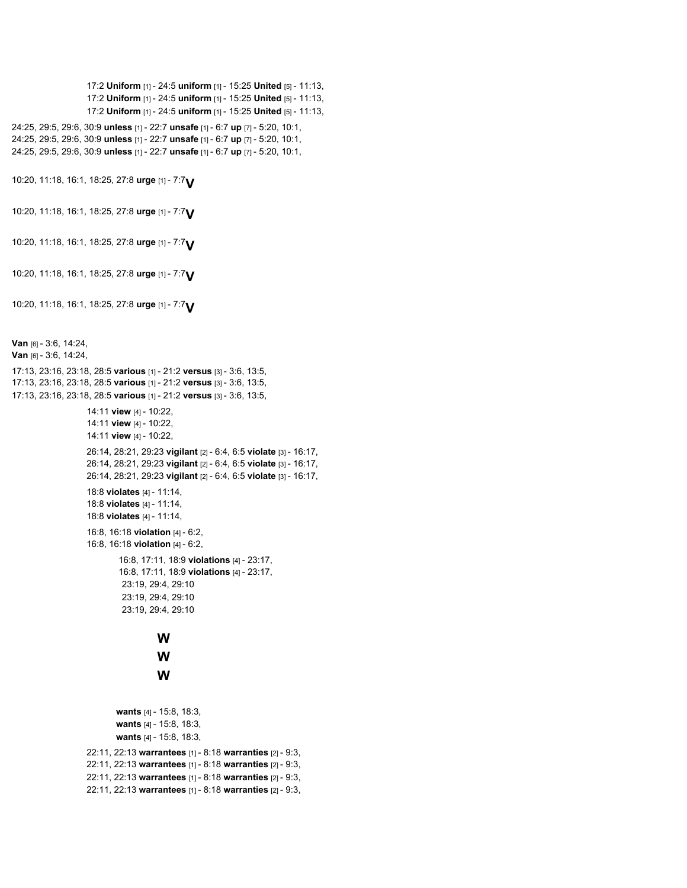```
17:2 Uniform [1] - 24:5 uniform [1] - 15:25 United [5] - 11:13,
                    17:2 Uniform [1] - 24:5 uniform [1] - 15:25 United [5] - 11:13,
                    17:2 Uniform [1] - 24:5 uniform [1] - 15:25 United [5] - 11:13,
24:25, 29:5, 29:6, 30:9 unless [1] - 22:7 unsafe [1] - 6:7 up [7] - 5:20, 10:1,
24:25, 29:5, 29:6, 30:9 unless [1] - 22:7 unsafe [1] - 6:7 up [7] - 5:20, 10:1,
24:25, 29:5, 29:6, 30:9 unless [1] - 22:7 unsafe [1] - 6:7 up [7] - 5:20, 10:1,
10:20, 11:18, 16:1, 18:25, 27:8 urge [1] - 7:7V
10:20, 11:18, 16:1, 18:25, 27:8 urge [1] - 7:7V
10:20, 11:18, 16:1, 18:25, 27:8 urge [1] - 7:7V
10:20, 11:18, 16:1, 18:25, 27:8 urge [1] - 7:7V
10:20, 11:18, 16:1, 18:25, 27:8 urge [1] - 7:7V
Van [6] - 3:6, 14:24,
Van [6] - 3:6, 14:24,
17:13, 23:16, 23:18, 28:5 various [1] - 21:2 versus [3] - 3:6, 13:5,
17:13, 23:16, 23:18, 28:5 various [1] - 21:2 versus [3] - 3:6, 13:5,
17:13, 23:16, 23:18, 28:5 various [1] - 21:2 versus [3] - 3:6, 13:5,
                    14:11 view [4] - 10:22,
                    14:11 view [4] - 10:22,
                    14:11 view [4] - 10:22,
                    26:14, 28:21, 29:23 vigilant [2] - 6:4, 6:5 violate [3] - 16:17,
                    26:14, 28:21, 29:23 vigilant [2] - 6:4, 6:5 violate [3] - 16:17,
                    26:14, 28:21, 29:23 vigilant [2] - 6:4, 6:5 violate [3] - 16:17,
                    18:8 violates [4] - 11:14,
                    18:8 violates [4] - 11:14,
                    18:8 violates [4] - 11:14,
                    16:8, 16:18 violation [4] - 6:2,
                    16:8, 16:18 violation [4] - 6:2,
                            16:8, 17:11, 18:9 violations [4] - 23:17,
                            16:8, 17:11, 18:9 violations [4] - 23:17,
                             23:19, 29:4, 29:10
                             23:19, 29:4, 29:10
                             23:19, 29:4, 29:10
                                      W
                                      W
                                      W
                           wants [4] - 15:8, 18:3,
                           wants [4] - 15:8, 18:3,
                           wants [4] - 15:8, 18:3,
                    22:11, 22:13 warrantees [1] - 8:18 warranties [2] - 9:3,
                    22:11, 22:13 warrantees [1] - 8:18 warranties [2] - 9:3,
                    22:11, 22:13 warrantees [1] - 8:18 warranties [2] - 9:3,
                    22:11, 22:13 warrantees [1] - 8:18 warranties [2] - 9:3,
```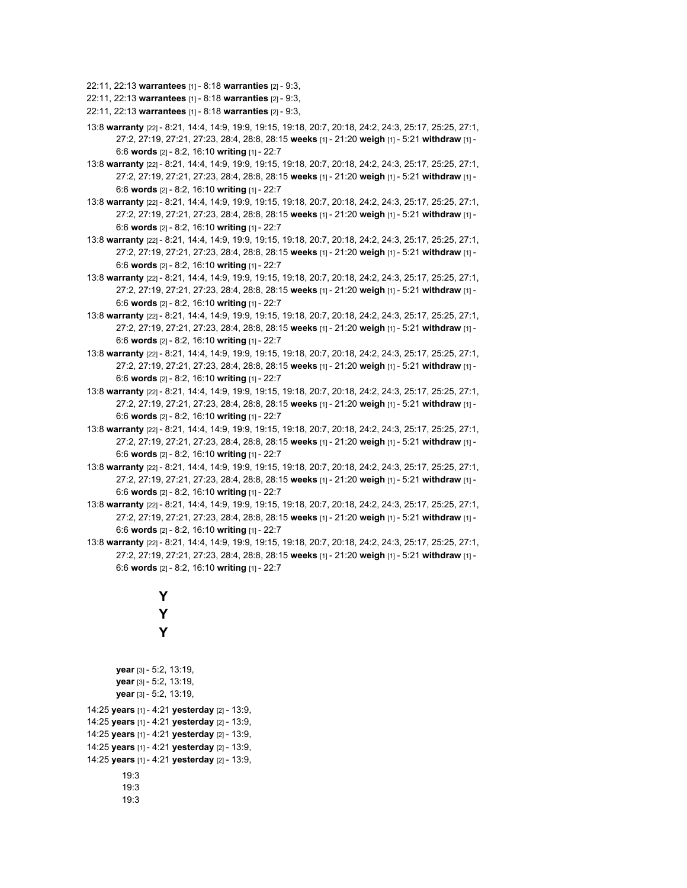22:11, 22:13 **warrantees** [1] - 8:18 **warranties** [2] - 9:3,

22:11, 22:13 **warrantees** [1] - 8:18 **warranties** [2] - 9:3,

- 22:11, 22:13 **warrantees** [1] 8:18 **warranties** [2] 9:3,
- 13:8 **warranty** [22] 8:21, 14:4, 14:9, 19:9, 19:15, 19:18, 20:7, 20:18, 24:2, 24:3, 25:17, 25:25, 27:1, 27:2, 27:19, 27:21, 27:23, 28:4, 28:8, 28:15 **weeks** [1] - 21:20 **weigh** [1] - 5:21 **withdraw** [1] - 6:6 **words** [2] - 8:2, 16:10 **writing** [1] - 22:7
- 13:8 **warranty** [22] 8:21, 14:4, 14:9, 19:9, 19:15, 19:18, 20:7, 20:18, 24:2, 24:3, 25:17, 25:25, 27:1, 27:2, 27:19, 27:21, 27:23, 28:4, 28:8, 28:15 **weeks** [1] - 21:20 **weigh** [1] - 5:21 **withdraw** [1] - 6:6 **words** [2] - 8:2, 16:10 **writing** [1] - 22:7
- 13:8 **warranty** [22] 8:21, 14:4, 14:9, 19:9, 19:15, 19:18, 20:7, 20:18, 24:2, 24:3, 25:17, 25:25, 27:1, 27:2, 27:19, 27:21, 27:23, 28:4, 28:8, 28:15 **weeks** [1] - 21:20 **weigh** [1] - 5:21 **withdraw** [1] - 6:6 **words** [2] - 8:2, 16:10 **writing** [1] - 22:7
- 13:8 **warranty** [22] 8:21, 14:4, 14:9, 19:9, 19:15, 19:18, 20:7, 20:18, 24:2, 24:3, 25:17, 25:25, 27:1, 27:2, 27:19, 27:21, 27:23, 28:4, 28:8, 28:15 **weeks** [1] - 21:20 **weigh** [1] - 5:21 **withdraw** [1] - 6:6 **words** [2] - 8:2, 16:10 **writing** [1] - 22:7
- 13:8 **warranty** [22] 8:21, 14:4, 14:9, 19:9, 19:15, 19:18, 20:7, 20:18, 24:2, 24:3, 25:17, 25:25, 27:1, 27:2, 27:19, 27:21, 27:23, 28:4, 28:8, 28:15 **weeks** [1] - 21:20 **weigh** [1] - 5:21 **withdraw** [1] - 6:6 **words** [2] - 8:2, 16:10 **writing** [1] - 22:7
- 13:8 **warranty** [22] 8:21, 14:4, 14:9, 19:9, 19:15, 19:18, 20:7, 20:18, 24:2, 24:3, 25:17, 25:25, 27:1, 27:2, 27:19, 27:21, 27:23, 28:4, 28:8, 28:15 **weeks** [1] - 21:20 **weigh** [1] - 5:21 **withdraw** [1] - 6:6 **words** [2] - 8:2, 16:10 **writing** [1] - 22:7
- 13:8 **warranty** [22] 8:21, 14:4, 14:9, 19:9, 19:15, 19:18, 20:7, 20:18, 24:2, 24:3, 25:17, 25:25, 27:1, 27:2, 27:19, 27:21, 27:23, 28:4, 28:8, 28:15 **weeks** [1] - 21:20 **weigh** [1] - 5:21 **withdraw** [1] - 6:6 **words** [2] - 8:2, 16:10 **writing** [1] - 22:7
- 13:8 **warranty** [22] 8:21, 14:4, 14:9, 19:9, 19:15, 19:18, 20:7, 20:18, 24:2, 24:3, 25:17, 25:25, 27:1, 27:2, 27:19, 27:21, 27:23, 28:4, 28:8, 28:15 **weeks** [1] - 21:20 **weigh** [1] - 5:21 **withdraw** [1] - 6:6 **words** [2] - 8:2, 16:10 **writing** [1] - 22:7
- 13:8 **warranty** [22] 8:21, 14:4, 14:9, 19:9, 19:15, 19:18, 20:7, 20:18, 24:2, 24:3, 25:17, 25:25, 27:1, 27:2, 27:19, 27:21, 27:23, 28:4, 28:8, 28:15 **weeks** [1] - 21:20 **weigh** [1] - 5:21 **withdraw** [1] - 6:6 **words** [2] - 8:2, 16:10 **writing** [1] - 22:7
- 13:8 **warranty** [22] 8:21, 14:4, 14:9, 19:9, 19:15, 19:18, 20:7, 20:18, 24:2, 24:3, 25:17, 25:25, 27:1, 27:2, 27:19, 27:21, 27:23, 28:4, 28:8, 28:15 **weeks** [1] - 21:20 **weigh** [1] - 5:21 **withdraw** [1] - 6:6 **words** [2] - 8:2, 16:10 **writing** [1] - 22:7
- 13:8 **warranty** [22] 8:21, 14:4, 14:9, 19:9, 19:15, 19:18, 20:7, 20:18, 24:2, 24:3, 25:17, 25:25, 27:1, 27:2, 27:19, 27:21, 27:23, 28:4, 28:8, 28:15 **weeks** [1] - 21:20 **weigh** [1] - 5:21 **withdraw** [1] - 6:6 **words** [2] - 8:2, 16:10 **writing** [1] - 22:7
- 13:8 **warranty** [22] 8:21, 14:4, 14:9, 19:9, 19:15, 19:18, 20:7, 20:18, 24:2, 24:3, 25:17, 25:25, 27:1, 27:2, 27:19, 27:21, 27:23, 28:4, 28:8, 28:15 **weeks** [1] - 21:20 **weigh** [1] - 5:21 **withdraw** [1] - 6:6 **words** [2] - 8:2, 16:10 **writing** [1] - 22:7

```
Y
                   Y
                   Y
       year [3] - 5:2, 13:19,
       year [3] - 5:2, 13:19,
       year [3] - 5:2, 13:19,
14:25 years [1] - 4:21 yesterday [2] - 13:9,
14:25 years [1] - 4:21 yesterday [2] - 13:9,
14:25 years [1] - 4:21 yesterday [2] - 13:9,
14:25 years [1] - 4:21 yesterday [2] - 13:9,
14:25 years [1] - 4:21 yesterday [2] - 13:9,
         19:3
         19:3
         19:3
```